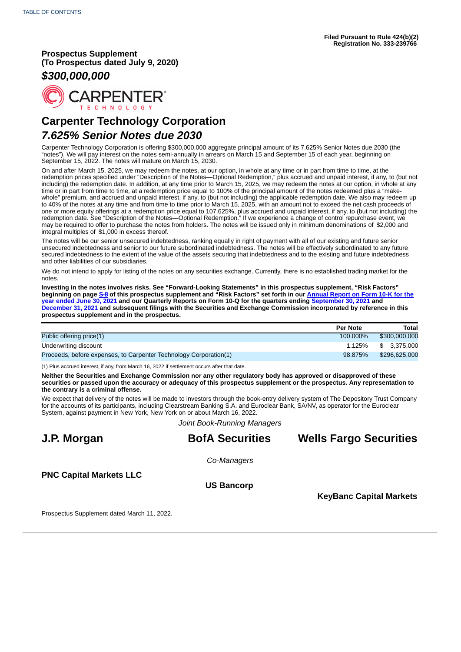**Prospectus Supplement (To Prospectus dated July 9, 2020)**

# *\$300,000,000*



# **Carpenter Technology Corporation** *7.625% Senior Notes due 2030*

Carpenter Technology Corporation is offering \$300,000,000 aggregate principal amount of its 7.625% Senior Notes due 2030 (the "notes"). We will pay interest on the notes semi-annually in arrears on March 15 and September 15 of each year, beginning on September 15, 2022. The notes will mature on March 15, 2030.

On and after March 15, 2025, we may redeem the notes, at our option, in whole at any time or in part from time to time, at the redemption prices specified under "Description of the Notes—Optional Redemption," plus accrued and unpaid interest, if any, to (but not including) the redemption date. In addition, at any time prior to March 15, 2025, we may redeem the notes at our option, in whole at any time or in part from time to time, at a redemption price equal to 100% of the principal amount of the notes redeemed plus a "makewhole" premium, and accrued and unpaid interest, if any, to (but not including) the applicable redemption date. We also may redeem up to 40% of the notes at any time and from time to time prior to March 15, 2025, with an amount not to exceed the net cash proceeds of one or more equity offerings at a redemption price equal to 107.625%, plus accrued and unpaid interest, if any, to (but not including) the redemption date. See "Description of the Notes—Optional Redemption." If we experience a change of control repurchase event, we may be required to offer to purchase the notes from holders. The notes will be issued only in minimum denominations of \$2,000 and integral multiples of \$1,000 in excess thereof.

The notes will be our senior unsecured indebtedness, ranking equally in right of payment with all of our existing and future senior unsecured indebtedness and senior to our future subordinated indebtedness. The notes will be effectively subordinated to any future secured indebtedness to the extent of the value of the assets securing that indebtedness and to the existing and future indebtedness and other liabilities of our subsidiaries.

We do not intend to apply for listing of the notes on any securities exchange. Currently, there is no established trading market for the notes.

**Investing in the notes involves risks. See "Forward-Looking Statements" in this prospectus supplement, "Risk Factors" [beginning on page S-8 of this prospectus supplement and "Risk Factors" set forth in our Annual Report on Form 10-K for the](http://www.sec.gov/ix?doc=/Archives/edgar/data/17843/000001784321000030/crs-20210630.htm) year ended June 30, 2021 and our Quarterly Reports on Form 10-Q for the quarters ending [September 30, 2021](http://www.sec.gov/ix?doc=/Archives/edgar/data/17843/000001784321000035/crs-20210930.htm) and [December 31, 2021](http://www.sec.gov/ix?doc=/Archives/edgar/data/17843/000001784322000005/crs-20211231.htm) and subsequent filings with the Securities and Exchange Commission incorporated by reference in this prospectus supplement and in the prospectus.**

|                                                                   | <b>Per Note</b> | <b>Total</b>  |
|-------------------------------------------------------------------|-----------------|---------------|
| Public offering price(1)                                          | 100.000%        | \$300,000,000 |
| Underwriting discount                                             | 1.125%          | \$ 3.375,000  |
| Proceeds, before expenses, to Carpenter Technology Corporation(1) | 98.875%         | \$296,625,000 |

(1) Plus accrued interest, if any, from March 16, 2022 if settlement occurs after that date.

**Neither the Securities and Exchange Commission nor any other regulatory body has approved or disapproved of these securities or passed upon the accuracy or adequacy of this prospectus supplement or the prospectus. Any representation to the contrary is a criminal offense.**

We expect that delivery of the notes will be made to investors through the book-entry delivery system of The Depository Trust Company for the accounts of its participants, including Clearstream Banking S.A. and Euroclear Bank, SA/NV, as operator for the Euroclear System, against payment in New York, New York on or about March 16, 2022.

*Joint Book-Running Managers*

# **J.P. Morgan BofA Securities Wells Fargo Securities**

*Co-Managers*

**PNC Capital Markets LLC**

**US Bancorp**

**KeyBanc Capital Markets**

<span id="page-0-0"></span>Prospectus Supplement dated March 11, 2022.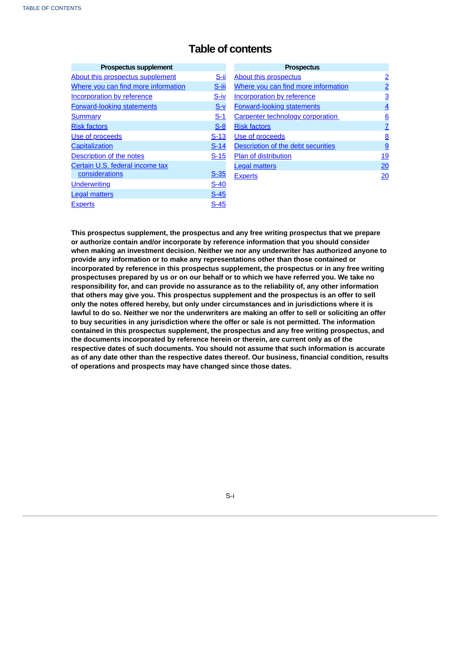# **Table of contents**

| <b>Prospectus supplement</b>        |             |
|-------------------------------------|-------------|
| About this prospectus supplement    | S-ii        |
| Where you can find more information | S-iii       |
| <b>Incorporation by reference</b>   | S-iv        |
| <b>Forward-looking statements</b>   | $S-V$       |
| <b>Summary</b>                      | $S-1$       |
| <b>Risk factors</b>                 | $S-8$       |
| Use of proceeds                     | $S-13$      |
| Capitalization                      | $S-14$      |
| Description of the notes            | $S-15$      |
| Certain U.S. federal income tax     |             |
| considerations                      | <u>S-35</u> |
| <b>Underwriting</b>                 | $S-40$      |
| <b>Legal matters</b>                | $S-45$      |
| <b>Experts</b>                      | S-45        |

| <b>Prospectus</b>                       |          |
|-----------------------------------------|----------|
| <b>About this prospectus</b>            |          |
| Where you can find more information     |          |
| <b>Incorporation by reference</b>       | <u>3</u> |
| <b>Forward-looking statements</b>       | <u>4</u> |
| <b>Carpenter technology corporation</b> | <u>6</u> |
| <b>Risk factors</b>                     | <u>7</u> |
| Use of proceeds                         | <u>8</u> |
| Description of the debt securities      | <u>9</u> |
| <b>Plan of distribution</b>             | 19       |
| <b>Legal matters</b>                    | 20       |
| <b>Experts</b>                          |          |

**This prospectus supplement, the prospectus and any free writing prospectus that we prepare or authorize contain and/or incorporate by reference information that you should consider when making an investment decision. Neither we nor any underwriter has authorized anyone to provide any information or to make any representations other than those contained or incorporated by reference in this prospectus supplement, the prospectus or in any free writing prospectuses prepared by us or on our behalf or to which we have referred you. We take no responsibility for, and can provide no assurance as to the reliability of, any other information that others may give you. This prospectus supplement and the prospectus is an offer to sell only the notes offered hereby, but only under circumstances and in jurisdictions where it is** lawful to do so. Neither we nor the underwriters are making an offer to sell or soliciting an offer **to buy securities in any jurisdiction where the offer or sale is not permitted. The information contained in this prospectus supplement, the prospectus and any free writing prospectus, and the documents incorporated by reference herein or therein, are current only as of the respective dates of such documents. You should not assume that such information is accurate as of any date other than the respective dates thereof. Our business, financial condition, results of operations and prospects may have changed since those dates.**

## <span id="page-1-0"></span>S-i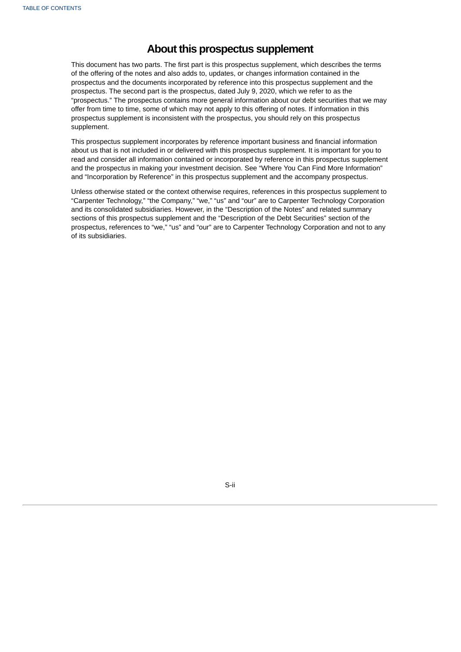# **About this prospectus supplement**

This document has two parts. The first part is this prospectus supplement, which describes the terms of the offering of the notes and also adds to, updates, or changes information contained in the prospectus and the documents incorporated by reference into this prospectus supplement and the prospectus. The second part is the prospectus, dated July 9, 2020, which we refer to as the "prospectus." The prospectus contains more general information about our debt securities that we may offer from time to time, some of which may not apply to this offering of notes. If information in this prospectus supplement is inconsistent with the prospectus, you should rely on this prospectus supplement.

This prospectus supplement incorporates by reference important business and financial information about us that is not included in or delivered with this prospectus supplement. It is important for you to read and consider all information contained or incorporated by reference in this prospectus supplement and the prospectus in making your investment decision. See "Where You Can Find More Information" and "Incorporation by Reference" in this prospectus supplement and the accompany prospectus.

Unless otherwise stated or the context otherwise requires, references in this prospectus supplement to "Carpenter Technology," "the Company," "we," "us" and "our" are to Carpenter Technology Corporation and its consolidated subsidiaries. However, in the "Description of the Notes" and related summary sections of this prospectus supplement and the "Description of the Debt Securities" section of the prospectus, references to "we," "us" and "our" are to Carpenter Technology Corporation and not to any of its subsidiaries.

<span id="page-2-0"></span>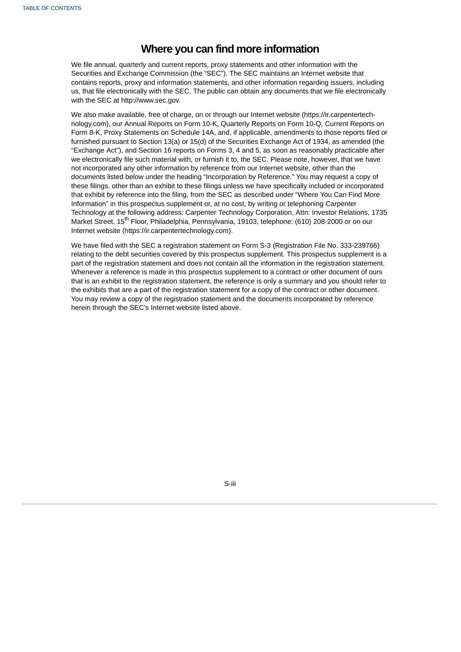# **Where you can find more information**

We file annual, quarterly and current reports, proxy statements and other information with the Securities and Exchange Commission (the "SEC"). The SEC maintains an Internet website that contains reports, proxy and information statements, and other information regarding issuers, including us, that file electronically with the SEC. The public can obtain any documents that we file electronically with the SEC at http://www.sec.gov.

We also make available, free of charge, on or through our Internet website (https://ir.carpentertechnology.com), our Annual Reports on Form 10-K, Quarterly Reports on Form 10-Q, Current Reports on Form 8-K, Proxy Statements on Schedule 14A, and, if applicable, amendments to those reports filed or furnished pursuant to Section 13(a) or 15(d) of the Securities Exchange Act of 1934, as amended (the "Exchange Act"), and Section 16 reports on Forms 3, 4 and 5, as soon as reasonably practicable after we electronically file such material with, or furnish it to, the SEC. Please note, however, that we have not incorporated any other information by reference from our Internet website, other than the documents listed below under the heading "Incorporation by Reference." You may request a copy of these filings, other than an exhibit to these filings unless we have specifically included or incorporated that exhibit by reference into the filing, from the SEC as described under "Where You Can Find More Information" in this prospectus supplement or, at no cost, by writing or telephoning Carpenter Technology at the following address: Carpenter Technology Corporation, Attn: Investor Relations, 1735 Market Street, 15<sup>th</sup> Floor, Philadelphia, Pennsylvania, 19103, telephone: (610) 208-2000 or on our Internet website (https://ir.carpentertechnology.com).

We have filed with the SEC a registration statement on Form S-3 (Registration File No. 333-239766) relating to the debt securities covered by this prospectus supplement. This prospectus supplement is a part of the registration statement and does not contain all the information in the registration statement. Whenever a reference is made in this prospectus supplement to a contract or other document of ours that is an exhibit to the registration statement, the reference is only a summary and you should refer to the exhibits that are a part of the registration statement for a copy of the contract or other document. You may review a copy of the registration statement and the documents incorporated by reference herein through the SEC's Internet website listed above.

<span id="page-3-0"></span>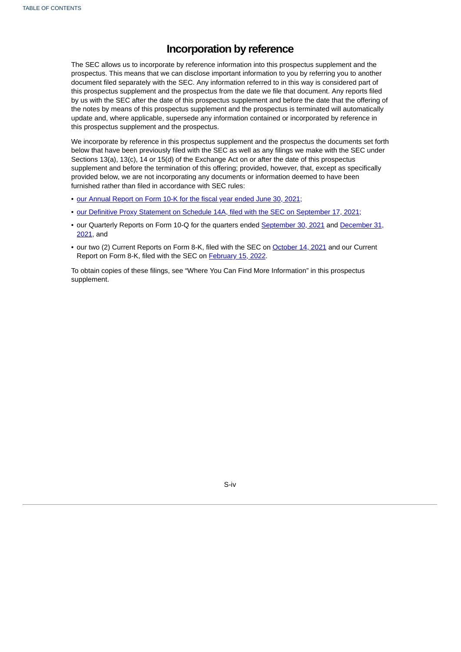# **Incorporation by reference**

The SEC allows us to incorporate by reference information into this prospectus supplement and the prospectus. This means that we can disclose important information to you by referring you to another document filed separately with the SEC. Any information referred to in this way is considered part of this prospectus supplement and the prospectus from the date we file that document. Any reports filed by us with the SEC after the date of this prospectus supplement and before the date that the offering of the notes by means of this prospectus supplement and the prospectus is terminated will automatically update and, where applicable, supersede any information contained or incorporated by reference in this prospectus supplement and the prospectus.

We incorporate by reference in this prospectus supplement and the prospectus the documents set forth below that have been previously filed with the SEC as well as any filings we make with the SEC under Sections 13(a), 13(c), 14 or 15(d) of the Exchange Act on or after the date of this prospectus supplement and before the termination of this offering; provided, however, that, except as specifically provided below, we are not incorporating any documents or information deemed to have been furnished rather than filed in accordance with SEC rules:

- our [Annual](http://www.sec.gov/ix?doc=/Archives/edgar/data/17843/000001784321000030/crs-20210630.htm) Report on Form 10-K for the fiscal year ended June 30, 2021;
- our Definitive Proxy Statement on Schedule 14A, filed with the SEC on [September](http://www.sec.gov/Archives/edgar/data/17843/000119312521275962/d176573ddef14a.htm) 17, 2021;
- our Quarterly Reports on Form 10-Q for the quarters ended [S](http://www.sec.gov/ix?doc=/Archives/edgar/data/17843/000001784322000005/crs-20211231.htm)[eptember](http://www.sec.gov/ix?doc=/Archives/edgar/data/17843/000001784321000035/crs-20210930.htm) 30, 2021 and December 31, 2021, and
- our two (2) Current Reports on Form 8-K, filed with the SEC on [October](http://www.sec.gov/ix?doc=/Archives/edgar/data/17843/000119312521298687/d217279d8k.htm) 14, 2021 and our Current Report on Form 8-K, filed with the SEC on [February](http://www.sec.gov/ix?doc=/Archives/edgar/data/17843/000110465922023844/tm226790d1_8k.htm) 15, 2022.

<span id="page-4-0"></span>To obtain copies of these filings, see "Where You Can Find More Information" in this prospectus supplement.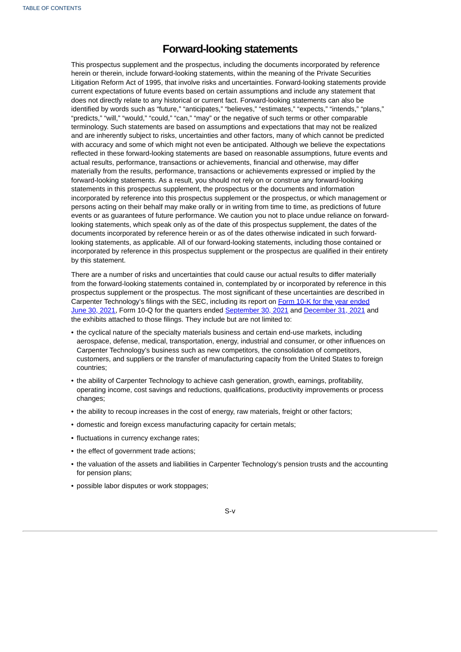# **Forward-looking statements**

This prospectus supplement and the prospectus, including the documents incorporated by reference herein or therein, include forward-looking statements, within the meaning of the Private Securities Litigation Reform Act of 1995, that involve risks and uncertainties. Forward-looking statements provide current expectations of future events based on certain assumptions and include any statement that does not directly relate to any historical or current fact. Forward-looking statements can also be identified by words such as "future," "anticipates," "believes," "estimates," "expects," "intends," "plans," "predicts," "will," "would," "could," "can," "may" or the negative of such terms or other comparable terminology. Such statements are based on assumptions and expectations that may not be realized and are inherently subject to risks, uncertainties and other factors, many of which cannot be predicted with accuracy and some of which might not even be anticipated. Although we believe the expectations reflected in these forward-looking statements are based on reasonable assumptions, future events and actual results, performance, transactions or achievements, financial and otherwise, may differ materially from the results, performance, transactions or achievements expressed or implied by the forward-looking statements. As a result, you should not rely on or construe any forward-looking statements in this prospectus supplement, the prospectus or the documents and information incorporated by reference into this prospectus supplement or the prospectus, or which management or persons acting on their behalf may make orally or in writing from time to time, as predictions of future events or as guarantees of future performance. We caution you not to place undue reliance on forwardlooking statements, which speak only as of the date of this prospectus supplement, the dates of the documents incorporated by reference herein or as of the dates otherwise indicated in such forwardlooking statements, as applicable. All of our forward-looking statements, including those contained or incorporated by reference in this prospectus supplement or the prospectus are qualified in their entirety by this statement.

There are a number of risks and uncertainties that could cause our actual results to differ materially from the forward-looking statements contained in, contemplated by or incorporated by reference in this prospectus supplement or the prospectus. The most significant of these uncertainties are described in Carpenter [Technology's](http://www.sec.gov/ix?doc=/Archives/edgar/data/17843/000001784321000030/crs-20210630.htm) filings with the SEC, including its report on Form 10-K for the year ended June 30, 2021, Form 10-Q for the quarters ended [September](http://www.sec.gov/ix?doc=/Archives/edgar/data/17843/000001784321000035/crs-20210930.htm) 30, 2021 and [December](http://www.sec.gov/ix?doc=/Archives/edgar/data/17843/000001784322000005/crs-20211231.htm) 31, 2021 and the exhibits attached to those filings. They include but are not limited to:

- the cyclical nature of the specialty materials business and certain end-use markets, including aerospace, defense, medical, transportation, energy, industrial and consumer, or other influences on Carpenter Technology's business such as new competitors, the consolidation of competitors, customers, and suppliers or the transfer of manufacturing capacity from the United States to foreign countries;
- the ability of Carpenter Technology to achieve cash generation, growth, earnings, profitability, operating income, cost savings and reductions, qualifications, productivity improvements or process changes;
- the ability to recoup increases in the cost of energy, raw materials, freight or other factors;
- domestic and foreign excess manufacturing capacity for certain metals;
- fluctuations in currency exchange rates;
- the effect of government trade actions;
- the valuation of the assets and liabilities in Carpenter Technology's pension trusts and the accounting for pension plans;
- possible labor disputes or work stoppages;

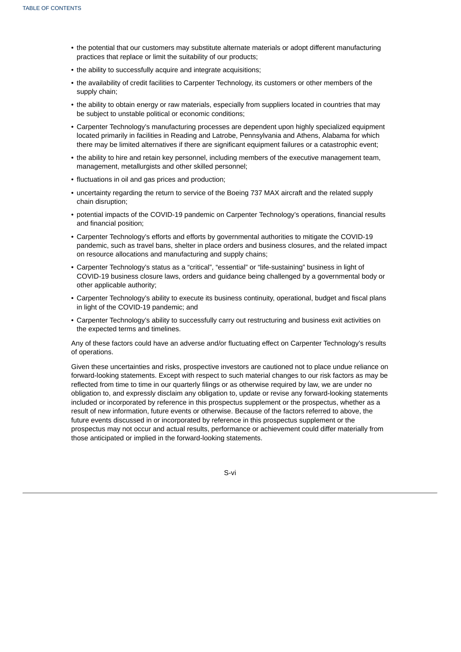- the potential that our customers may substitute alternate materials or adopt different manufacturing practices that replace or limit the suitability of our products;
- the ability to successfully acquire and integrate acquisitions;
- the availability of credit facilities to Carpenter Technology, its customers or other members of the supply chain;
- the ability to obtain energy or raw materials, especially from suppliers located in countries that may be subject to unstable political or economic conditions;
- Carpenter Technology's manufacturing processes are dependent upon highly specialized equipment located primarily in facilities in Reading and Latrobe, Pennsylvania and Athens, Alabama for which there may be limited alternatives if there are significant equipment failures or a catastrophic event;
- the ability to hire and retain key personnel, including members of the executive management team, management, metallurgists and other skilled personnel;
- fluctuations in oil and gas prices and production;
- uncertainty regarding the return to service of the Boeing 737 MAX aircraft and the related supply chain disruption;
- potential impacts of the COVID-19 pandemic on Carpenter Technology's operations, financial results and financial position;
- Carpenter Technology's efforts and efforts by governmental authorities to mitigate the COVID-19 pandemic, such as travel bans, shelter in place orders and business closures, and the related impact on resource allocations and manufacturing and supply chains;
- Carpenter Technology's status as a "critical", "essential" or "life-sustaining" business in light of COVID-19 business closure laws, orders and guidance being challenged by a governmental body or other applicable authority;
- Carpenter Technology's ability to execute its business continuity, operational, budget and fiscal plans in light of the COVID-19 pandemic; and
- Carpenter Technology's ability to successfully carry out restructuring and business exit activities on the expected terms and timelines.

Any of these factors could have an adverse and/or fluctuating effect on Carpenter Technology's results of operations.

Given these uncertainties and risks, prospective investors are cautioned not to place undue reliance on forward-looking statements. Except with respect to such material changes to our risk factors as may be reflected from time to time in our quarterly filings or as otherwise required by law, we are under no obligation to, and expressly disclaim any obligation to, update or revise any forward-looking statements included or incorporated by reference in this prospectus supplement or the prospectus, whether as a result of new information, future events or otherwise. Because of the factors referred to above, the future events discussed in or incorporated by reference in this prospectus supplement or the prospectus may not occur and actual results, performance or achievement could differ materially from those anticipated or implied in the forward-looking statements.

<span id="page-6-0"></span>S-vi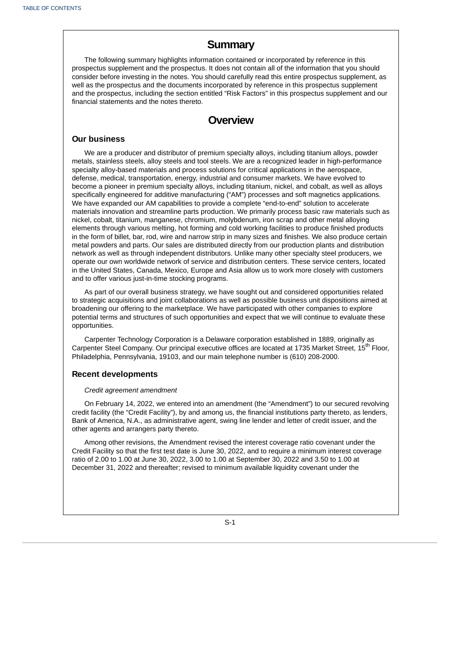# **Summary**

The following summary highlights information contained or incorporated by reference in this prospectus supplement and the prospectus. It does not contain all of the information that you should consider before investing in the notes. You should carefully read this entire prospectus supplement, as well as the prospectus and the documents incorporated by reference in this prospectus supplement and the prospectus, including the section entitled "Risk Factors" in this prospectus supplement and our financial statements and the notes thereto.

# **Overview**

### **Our business**

We are a producer and distributor of premium specialty alloys, including titanium alloys, powder metals, stainless steels, alloy steels and tool steels. We are a recognized leader in high-performance specialty alloy-based materials and process solutions for critical applications in the aerospace, defense, medical, transportation, energy, industrial and consumer markets. We have evolved to become a pioneer in premium specialty alloys, including titanium, nickel, and cobalt, as well as alloys specifically engineered for additive manufacturing ("AM") processes and soft magnetics applications. We have expanded our AM capabilities to provide a complete "end-to-end" solution to accelerate materials innovation and streamline parts production. We primarily process basic raw materials such as nickel, cobalt, titanium, manganese, chromium, molybdenum, iron scrap and other metal alloying elements through various melting, hot forming and cold working facilities to produce finished products in the form of billet, bar, rod, wire and narrow strip in many sizes and finishes. We also produce certain metal powders and parts. Our sales are distributed directly from our production plants and distribution network as well as through independent distributors. Unlike many other specialty steel producers, we operate our own worldwide network of service and distribution centers. These service centers, located in the United States, Canada, Mexico, Europe and Asia allow us to work more closely with customers and to offer various just-in-time stocking programs.

As part of our overall business strategy, we have sought out and considered opportunities related to strategic acquisitions and joint collaborations as well as possible business unit dispositions aimed at broadening our offering to the marketplace. We have participated with other companies to explore potential terms and structures of such opportunities and expect that we will continue to evaluate these opportunities.

Carpenter Technology Corporation is a Delaware corporation established in 1889, originally as Carpenter Steel Company. Our principal executive offices are located at 1735 Market Street, 15<sup>th</sup> Floor, Philadelphia, Pennsylvania, 19103, and our main telephone number is (610) 208-2000.

### **Recent developments**

#### *Credit agreement amendment*

On February 14, 2022, we entered into an amendment (the "Amendment") to our secured revolving credit facility (the "Credit Facility"), by and among us, the financial institutions party thereto, as lenders, Bank of America, N.A., as administrative agent, swing line lender and letter of credit issuer, and the other agents and arrangers party thereto.

Among other revisions, the Amendment revised the interest coverage ratio covenant under the Credit Facility so that the first test date is June 30, 2022, and to require a minimum interest coverage ratio of 2.00 to 1.00 at June 30, 2022, 3.00 to 1.00 at September 30, 2022 and 3.50 to 1.00 at December 31, 2022 and thereafter; revised to minimum available liquidity covenant under the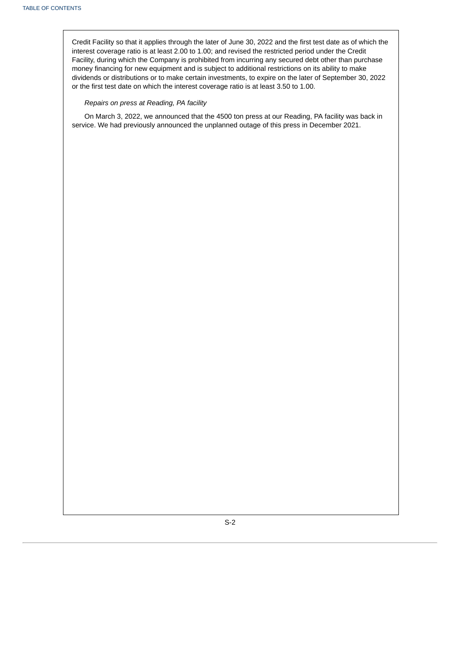Credit Facility so that it applies through the later of June 30, 2022 and the first test date as of which the interest coverage ratio is at least 2.00 to 1.00; and revised the restricted period under the Credit Facility, during which the Company is prohibited from incurring any secured debt other than purchase money financing for new equipment and is subject to additional restrictions on its ability to make dividends or distributions or to make certain investments, to expire on the later of September 30, 2022 or the first test date on which the interest coverage ratio is at least 3.50 to 1.00.

### *Repairs on press at Reading, PA facility*

On March 3, 2022, we announced that the 4500 ton press at our Reading, PA facility was back in service. We had previously announced the unplanned outage of this press in December 2021.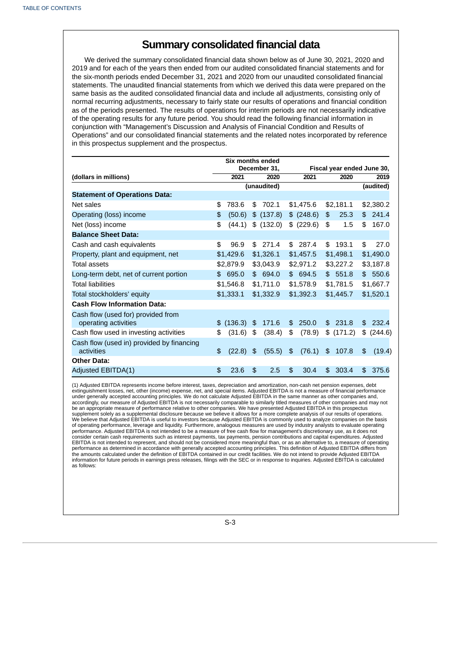# **Summary consolidated financial data**

We derived the summary consolidated financial data shown below as of June 30, 2021, 2020 and 2019 and for each of the years then ended from our audited consolidated financial statements and for the six-month periods ended December 31, 2021 and 2020 from our unaudited consolidated financial statements. The unaudited financial statements from which we derived this data were prepared on the same basis as the audited consolidated financial data and include all adjustments, consisting only of normal recurring adjustments, necessary to fairly state our results of operations and financial condition as of the periods presented. The results of operations for interim periods are not necessarily indicative of the operating results for any future period. You should read the following financial information in conjunction with "Management's Discussion and Analysis of Financial Condition and Results of Operations" and our consolidated financial statements and the related notes incorporated by reference in this prospectus supplement and the prospectus.

|                                                         |                                            | Six months ended |                |             |               |            |               |           |    |           |
|---------------------------------------------------------|--------------------------------------------|------------------|----------------|-------------|---------------|------------|---------------|-----------|----|-----------|
|                                                         | December 31,<br>Fiscal year ended June 30, |                  |                |             |               |            |               |           |    |           |
| (dollars in millions)                                   |                                            | 2021             |                | 2020        |               | 2021       |               | 2020      |    | 2019      |
|                                                         |                                            |                  |                | (unaudited) |               |            |               |           |    | (audited) |
| <b>Statement of Operations Data:</b>                    |                                            |                  |                |             |               |            |               |           |    |           |
| Net sales                                               | \$                                         | 783.6            | \$             | 702.1       |               | \$1,475.6  |               | \$2,181.1 |    | \$2,380.2 |
| Operating (loss) income                                 | \$                                         | (50.6)           |                | \$ (137.8)  |               | \$ (248.6) | \$            | 25.3      |    | \$241.4   |
| Net (loss) income                                       | \$                                         | (44.1)           |                | \$ (132.0)  | \$            | (229.6)    | \$            | 1.5       | \$ | 167.0     |
| <b>Balance Sheet Data:</b>                              |                                            |                  |                |             |               |            |               |           |    |           |
| Cash and cash equivalents                               | \$                                         | 96.9             |                | \$271.4     |               | \$287.4    | \$            | 193.1     | \$ | 27.0      |
| Property, plant and equipment, net                      |                                            | \$1,429.6        |                | \$1,326.1   |               | \$1,457.5  |               | \$1,498.1 |    | \$1,490.0 |
| Total assets                                            |                                            | \$2,879.9        |                | \$3,043.9   |               | \$2,971.2  |               | \$3,227.2 |    | \$3,187.8 |
| Long-term debt, net of current portion                  |                                            | \$695.0          |                | \$694.0     |               | \$694.5    |               | \$551.8   |    | \$550.6   |
| <b>Total liabilities</b>                                |                                            | \$1,546.8        |                | \$1,711.0   |               | \$1,578.9  |               | \$1,781.5 |    | \$1,667.7 |
| Total stockholders' equity                              |                                            | \$1,333.1        |                | \$1,332.9   |               | \$1,392.3  |               | \$1,445.7 |    | \$1,520.1 |
| <b>Cash Flow Information Data:</b>                      |                                            |                  |                |             |               |            |               |           |    |           |
| Cash flow (used for) provided from                      |                                            |                  |                |             |               |            |               |           |    |           |
| operating activities                                    | \$                                         | (136.3)          | \$             | 171.6       | \$            | 250.0      | \$            | 231.8     | \$ | 232.4     |
| Cash flow used in investing activities                  | \$                                         | (31.6)           | \$             | (38.4)      | \$            | (78.9)     | \$            | (171.2)   | \$ | (244.6)   |
| Cash flow (used in) provided by financing<br>activities | \$                                         | (22.8)           | $\mathfrak{F}$ | (55.5)      | $\frac{4}{5}$ | (76.1)     | $\frac{1}{2}$ | 107.8     | \$ | (19.4)    |
| <b>Other Data:</b>                                      |                                            |                  |                |             |               |            |               |           |    |           |
| Adjusted EBITDA(1)                                      | \$                                         | 23.6             | \$             | 2.5         | \$            | 30.4       | \$            | 303.4     | \$ | 375.6     |

(1) Adjusted EBITDA represents income before interest, taxes, depreciation and amortization, non-cash net pension expenses, debt extinguishment losses, net, other (income) expense, net, and special items. Adjusted EBITDA is not a measure of financial performance under generally accepted accounting principles. We do not calculate Adjusted EBITDA in the same manner as other companies and,<br>accordingly, our measure of Adjusted EBITDA is not necessarily comparable to similarly titled m be an appropriate measure of performance relative to other companies. We have presented Adjusted EBITDA in this prospectus supplement solely as a supplemental disclosure because we believe it allows for a more complete analysis of our results of operations. We believe that Adjusted EBITDA is useful to investors because Adjusted EBITDA is commonly used to analyze companies on the basis of operating performance, leverage and liquidity. Furthermore, analogous measures are used by industry analysts to evaluate operating performance. Adjusted EBITDA is not intended to be a measure of free cash flow for management's discretionary use, as it does not consider certain cash requirements such as interest payments, tax payments, pension contributions and capital expenditures. Adjusted EBITDA is not intended to represent, and should not be considered more meaningful than, or as an alternative to, a measure of operating performance as determined in accordance with generally accepted accounting principles. This definition of Adjusted EBITDA differs from<br>the amounts calculated under the definition of EBITDA contained in our credit facilitie information for future periods in earnings press releases, filings with the SEC or in response to inquiries. Adjusted EBITDA is calculated as follows: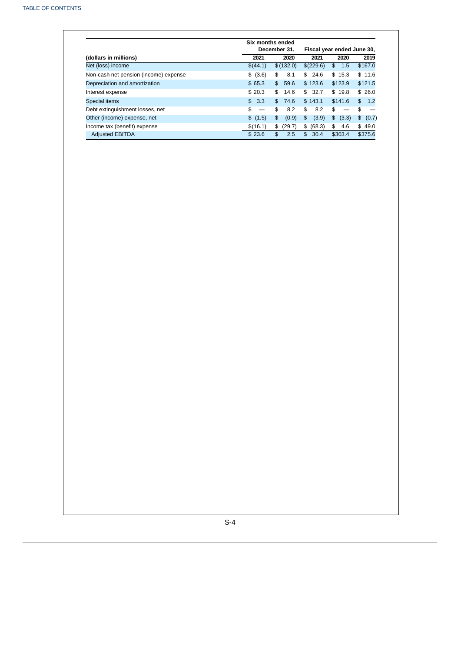|                                       | Six months ended<br>December 31. |                         | Fiscal year ended June 30, |             |             |
|---------------------------------------|----------------------------------|-------------------------|----------------------------|-------------|-------------|
| (dollars in millions)                 | 2021                             | 2020                    | 2021                       | 2020        | 2019        |
| Net (loss) income                     | \$(44.1)                         | \$(132.0)               | \$(229.6)                  | \$<br>1.5   | \$167.0     |
| Non-cash net pension (income) expense | \$ (3.6)                         | \$<br>8.1               | 24.6<br>\$                 | \$15.3      | \$11.6      |
| Depreciation and amortization         | \$65.3                           | \$<br>59.6              | \$123.6                    | \$123.9     | \$121.5     |
| Interest expense                      | \$20.3                           | \$<br>14.6              | 32.7<br>\$                 | \$19.8      | \$26.0      |
| Special items                         | 3.3<br>$$^{\circ}$               | \$<br>74.6              | \$143.1                    | \$141.6     | \$ 1.2      |
| Debt extinguishment losses, net       | \$                               | \$<br>8.2               | \$<br>8.2                  | \$          | \$          |
| Other (income) expense, net           | \$ (1.5)                         | $\mathfrak{p}$<br>(0.9) | \$<br>(3.9)                | \$<br>(3.3) | \$<br>(0.7) |
| Income tax (benefit) expense          | \$(16.1)                         | (29.7)<br>\$            | \$<br>(68.3)               | 4.6<br>\$   | \$49.0      |
| <b>Adjusted EBITDA</b>                | \$23.6                           | \$<br>2.5               | 30.4<br>$\mathfrak{L}$     | \$303.4     | \$375.6     |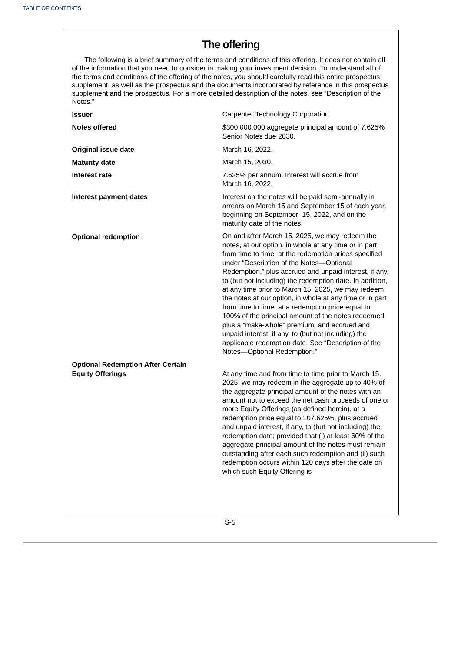# **The offering**

The following is a brief summary of the terms and conditions of this offering. It does not contain all of the information that you need to consider in making your investment decision. To understand all of the terms and conditions of the offering of the notes, you should carefully read this entire prospectus supplement, as well as the prospectus and the documents incorporated by reference in this prospectus supplement and the prospectus. For a more detailed description of the notes, see "Description of the Notes."

| <b>Issuer</b>                                                       | Carpenter Technology Corporation.                                                                                                                                                                                                                                                                                                                                                                                                                                                                                                                                                                                                                                                                                                                            |
|---------------------------------------------------------------------|--------------------------------------------------------------------------------------------------------------------------------------------------------------------------------------------------------------------------------------------------------------------------------------------------------------------------------------------------------------------------------------------------------------------------------------------------------------------------------------------------------------------------------------------------------------------------------------------------------------------------------------------------------------------------------------------------------------------------------------------------------------|
| <b>Notes offered</b>                                                | \$300,000,000 aggregate principal amount of 7.625%<br>Senior Notes due 2030.                                                                                                                                                                                                                                                                                                                                                                                                                                                                                                                                                                                                                                                                                 |
| <b>Original issue date</b>                                          | March 16, 2022.                                                                                                                                                                                                                                                                                                                                                                                                                                                                                                                                                                                                                                                                                                                                              |
| <b>Maturity date</b>                                                | March 15, 2030.                                                                                                                                                                                                                                                                                                                                                                                                                                                                                                                                                                                                                                                                                                                                              |
| Interest rate                                                       | 7.625% per annum. Interest will accrue from<br>March 16, 2022.                                                                                                                                                                                                                                                                                                                                                                                                                                                                                                                                                                                                                                                                                               |
| <b>Interest payment dates</b>                                       | Interest on the notes will be paid semi-annually in<br>arrears on March 15 and September 15 of each year,<br>beginning on September 15, 2022, and on the<br>maturity date of the notes.                                                                                                                                                                                                                                                                                                                                                                                                                                                                                                                                                                      |
| <b>Optional redemption</b>                                          | On and after March 15, 2025, we may redeem the<br>notes, at our option, in whole at any time or in part<br>from time to time, at the redemption prices specified<br>under "Description of the Notes-Optional<br>Redemption," plus accrued and unpaid interest, if any,<br>to (but not including) the redemption date. In addition,<br>at any time prior to March 15, 2025, we may redeem<br>the notes at our option, in whole at any time or in part<br>from time to time, at a redemption price equal to<br>100% of the principal amount of the notes redeemed<br>plus a "make-whole" premium, and accrued and<br>unpaid interest, if any, to (but not including) the<br>applicable redemption date. See "Description of the<br>Notes-Optional Redemption." |
| <b>Optional Redemption After Certain</b><br><b>Equity Offerings</b> | At any time and from time to time prior to March 15,<br>2025, we may redeem in the aggregate up to 40% of<br>the aggregate principal amount of the notes with an<br>amount not to exceed the net cash proceeds of one or<br>more Equity Offerings (as defined herein), at a<br>redemption price equal to 107.625%, plus accrued<br>and unpaid interest, if any, to (but not including) the<br>redemption date; provided that (i) at least 60% of the<br>aggregate principal amount of the notes must remain<br>outstanding after each such redemption and (ii) such<br>redemption occurs within 120 days after the date on<br>which such Equity Offering is                                                                                                  |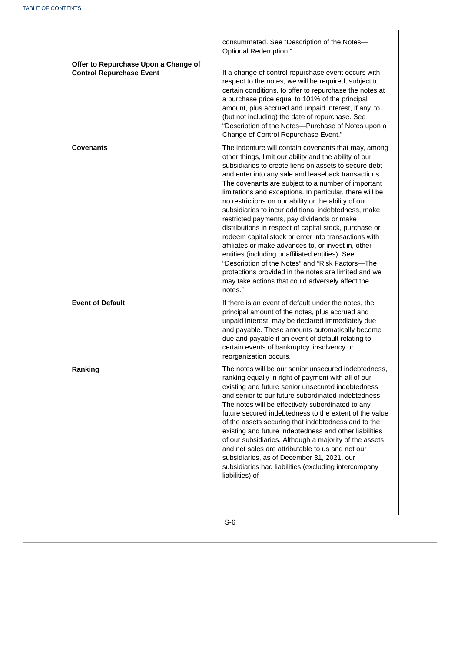|                                                                         | consummated. See "Description of the Notes-<br>Optional Redemption."                                                                                                                                                                                                                                                                                                                                                                                                                                                                                                                                                                                                                                                                                                                                                                                                                                                 |
|-------------------------------------------------------------------------|----------------------------------------------------------------------------------------------------------------------------------------------------------------------------------------------------------------------------------------------------------------------------------------------------------------------------------------------------------------------------------------------------------------------------------------------------------------------------------------------------------------------------------------------------------------------------------------------------------------------------------------------------------------------------------------------------------------------------------------------------------------------------------------------------------------------------------------------------------------------------------------------------------------------|
| Offer to Repurchase Upon a Change of<br><b>Control Repurchase Event</b> | If a change of control repurchase event occurs with<br>respect to the notes, we will be required, subject to<br>certain conditions, to offer to repurchase the notes at<br>a purchase price equal to 101% of the principal<br>amount, plus accrued and unpaid interest, if any, to<br>(but not including) the date of repurchase. See<br>"Description of the Notes-Purchase of Notes upon a<br>Change of Control Repurchase Event."                                                                                                                                                                                                                                                                                                                                                                                                                                                                                  |
| <b>Covenants</b>                                                        | The indenture will contain covenants that may, among<br>other things, limit our ability and the ability of our<br>subsidiaries to create liens on assets to secure debt<br>and enter into any sale and leaseback transactions.<br>The covenants are subject to a number of important<br>limitations and exceptions. In particular, there will be<br>no restrictions on our ability or the ability of our<br>subsidiaries to incur additional indebtedness, make<br>restricted payments, pay dividends or make<br>distributions in respect of capital stock, purchase or<br>redeem capital stock or enter into transactions with<br>affiliates or make advances to, or invest in, other<br>entities (including unaffiliated entities). See<br>"Description of the Notes" and "Risk Factors-The<br>protections provided in the notes are limited and we<br>may take actions that could adversely affect the<br>notes." |
| <b>Event of Default</b>                                                 | If there is an event of default under the notes, the<br>principal amount of the notes, plus accrued and<br>unpaid interest, may be declared immediately due<br>and payable. These amounts automatically become<br>due and payable if an event of default relating to<br>certain events of bankruptcy, insolvency or<br>reorganization occurs.                                                                                                                                                                                                                                                                                                                                                                                                                                                                                                                                                                        |
| Ranking                                                                 | The notes will be our senior unsecured indebtedness,<br>ranking equally in right of payment with all of our<br>existing and future senior unsecured indebtedness<br>and senior to our future subordinated indebtedness.<br>The notes will be effectively subordinated to any<br>future secured indebtedness to the extent of the value<br>of the assets securing that indebtedness and to the<br>existing and future indebtedness and other liabilities<br>of our subsidiaries. Although a majority of the assets<br>and net sales are attributable to us and not our<br>subsidiaries, as of December 31, 2021, our<br>subsidiaries had liabilities (excluding intercompany<br>liabilities) of                                                                                                                                                                                                                       |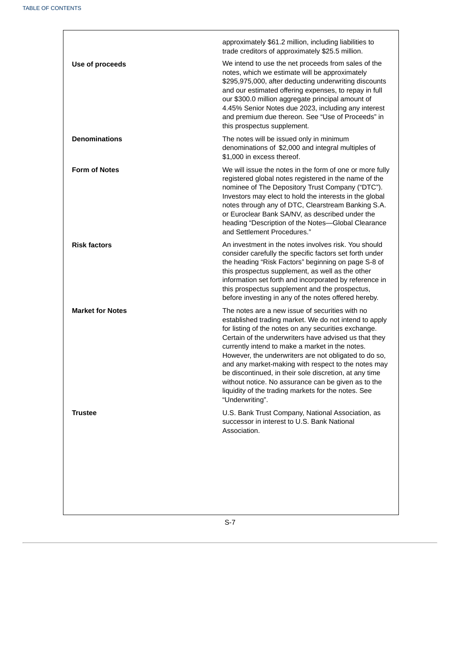<span id="page-13-0"></span>

|                         | approximately \$61.2 million, including liabilities to<br>trade creditors of approximately \$25.5 million.                                                                                                                                                                                                                                                                                                                                                                                                                                                                              |
|-------------------------|-----------------------------------------------------------------------------------------------------------------------------------------------------------------------------------------------------------------------------------------------------------------------------------------------------------------------------------------------------------------------------------------------------------------------------------------------------------------------------------------------------------------------------------------------------------------------------------------|
| Use of proceeds         | We intend to use the net proceeds from sales of the<br>notes, which we estimate will be approximately<br>\$295,975,000, after deducting underwriting discounts<br>and our estimated offering expenses, to repay in full<br>our \$300.0 million aggregate principal amount of<br>4.45% Senior Notes due 2023, including any interest<br>and premium due thereon. See "Use of Proceeds" in<br>this prospectus supplement.                                                                                                                                                                 |
| <b>Denominations</b>    | The notes will be issued only in minimum<br>denominations of \$2,000 and integral multiples of<br>\$1,000 in excess thereof.                                                                                                                                                                                                                                                                                                                                                                                                                                                            |
| <b>Form of Notes</b>    | We will issue the notes in the form of one or more fully<br>registered global notes registered in the name of the<br>nominee of The Depository Trust Company ("DTC").<br>Investors may elect to hold the interests in the global<br>notes through any of DTC, Clearstream Banking S.A.<br>or Euroclear Bank SA/NV, as described under the<br>heading "Description of the Notes-Global Clearance<br>and Settlement Procedures."                                                                                                                                                          |
| <b>Risk factors</b>     | An investment in the notes involves risk. You should<br>consider carefully the specific factors set forth under<br>the heading "Risk Factors" beginning on page S-8 of<br>this prospectus supplement, as well as the other<br>information set forth and incorporated by reference in<br>this prospectus supplement and the prospectus,<br>before investing in any of the notes offered hereby.                                                                                                                                                                                          |
| <b>Market for Notes</b> | The notes are a new issue of securities with no<br>established trading market. We do not intend to apply<br>for listing of the notes on any securities exchange.<br>Certain of the underwriters have advised us that they<br>currently intend to make a market in the notes.<br>However, the underwriters are not obligated to do so,<br>and any market-making with respect to the notes may<br>be discontinued, in their sole discretion, at any time<br>without notice. No assurance can be given as to the<br>liquidity of the trading markets for the notes. See<br>"Underwriting". |
| <b>Trustee</b>          | U.S. Bank Trust Company, National Association, as<br>successor in interest to U.S. Bank National<br>Association.                                                                                                                                                                                                                                                                                                                                                                                                                                                                        |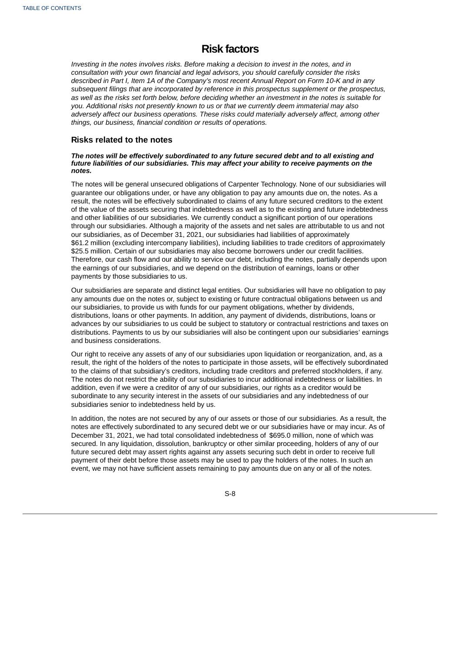# **Risk factors**

*Investing in the notes involves risks. Before making a decision to invest in the notes, and in consultation with your own financial and legal advisors, you should carefully consider the risks* described in Part I, Item 1A of the Company's most recent Annual Report on Form 10-K and in any *subsequent filings that are incorporated by reference in this prospectus supplement or the prospectus,* as well as the risks set forth below, before deciding whether an investment in the notes is suitable for *you. Additional risks not presently known to us or that we currently deem immaterial may also adversely affect our business operations. These risks could materially adversely affect, among other things, our business, financial condition or results of operations.*

## **Risks related to the notes**

#### *The notes will be effectively subordinated to any future secured debt and to all existing and future liabilities of our subsidiaries. This may affect your ability to receive payments on the notes.*

The notes will be general unsecured obligations of Carpenter Technology. None of our subsidiaries will guarantee our obligations under, or have any obligation to pay any amounts due on, the notes. As a result, the notes will be effectively subordinated to claims of any future secured creditors to the extent of the value of the assets securing that indebtedness as well as to the existing and future indebtedness and other liabilities of our subsidiaries. We currently conduct a significant portion of our operations through our subsidiaries. Although a majority of the assets and net sales are attributable to us and not our subsidiaries, as of December 31, 2021, our subsidiaries had liabilities of approximately \$61.2 million (excluding intercompany liabilities), including liabilities to trade creditors of approximately \$25.5 million. Certain of our subsidiaries may also become borrowers under our credit facilities. Therefore, our cash flow and our ability to service our debt, including the notes, partially depends upon the earnings of our subsidiaries, and we depend on the distribution of earnings, loans or other payments by those subsidiaries to us.

Our subsidiaries are separate and distinct legal entities. Our subsidiaries will have no obligation to pay any amounts due on the notes or, subject to existing or future contractual obligations between us and our subsidiaries, to provide us with funds for our payment obligations, whether by dividends, distributions, loans or other payments. In addition, any payment of dividends, distributions, loans or advances by our subsidiaries to us could be subject to statutory or contractual restrictions and taxes on distributions. Payments to us by our subsidiaries will also be contingent upon our subsidiaries' earnings and business considerations.

Our right to receive any assets of any of our subsidiaries upon liquidation or reorganization, and, as a result, the right of the holders of the notes to participate in those assets, will be effectively subordinated to the claims of that subsidiary's creditors, including trade creditors and preferred stockholders, if any. The notes do not restrict the ability of our subsidiaries to incur additional indebtedness or liabilities. In addition, even if we were a creditor of any of our subsidiaries, our rights as a creditor would be subordinate to any security interest in the assets of our subsidiaries and any indebtedness of our subsidiaries senior to indebtedness held by us.

In addition, the notes are not secured by any of our assets or those of our subsidiaries. As a result, the notes are effectively subordinated to any secured debt we or our subsidiaries have or may incur. As of December 31, 2021, we had total consolidated indebtedness of \$695.0 million, none of which was secured. In any liquidation, dissolution, bankruptcy or other similar proceeding, holders of any of our future secured debt may assert rights against any assets securing such debt in order to receive full payment of their debt before those assets may be used to pay the holders of the notes. In such an event, we may not have sufficient assets remaining to pay amounts due on any or all of the notes.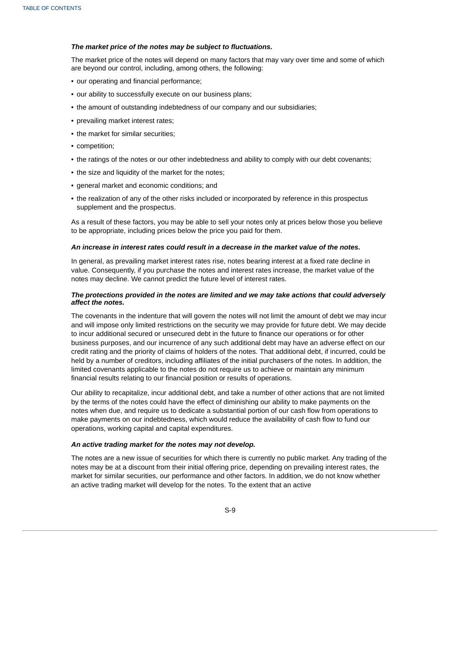#### *The market price of the notes may be subject to fluctuations.*

The market price of the notes will depend on many factors that may vary over time and some of which are beyond our control, including, among others, the following:

- our operating and financial performance;
- our ability to successfully execute on our business plans;
- the amount of outstanding indebtedness of our company and our subsidiaries;
- prevailing market interest rates;
- the market for similar securities;
- competition;
- the ratings of the notes or our other indebtedness and ability to comply with our debt covenants;
- the size and liquidity of the market for the notes;
- general market and economic conditions; and
- the realization of any of the other risks included or incorporated by reference in this prospectus supplement and the prospectus.

As a result of these factors, you may be able to sell your notes only at prices below those you believe to be appropriate, including prices below the price you paid for them.

#### *An increase in interest rates could result in a decrease in the market value of the notes.*

In general, as prevailing market interest rates rise, notes bearing interest at a fixed rate decline in value. Consequently, if you purchase the notes and interest rates increase, the market value of the notes may decline. We cannot predict the future level of interest rates.

#### *The protections provided in the notes are limited and we may take actions that could adversely affect the notes.*

The covenants in the indenture that will govern the notes will not limit the amount of debt we may incur and will impose only limited restrictions on the security we may provide for future debt. We may decide to incur additional secured or unsecured debt in the future to finance our operations or for other business purposes, and our incurrence of any such additional debt may have an adverse effect on our credit rating and the priority of claims of holders of the notes. That additional debt, if incurred, could be held by a number of creditors, including affiliates of the initial purchasers of the notes. In addition, the limited covenants applicable to the notes do not require us to achieve or maintain any minimum financial results relating to our financial position or results of operations.

Our ability to recapitalize, incur additional debt, and take a number of other actions that are not limited by the terms of the notes could have the effect of diminishing our ability to make payments on the notes when due, and require us to dedicate a substantial portion of our cash flow from operations to make payments on our indebtedness, which would reduce the availability of cash flow to fund our operations, working capital and capital expenditures.

### *An active trading market for the notes may not develop.*

The notes are a new issue of securities for which there is currently no public market. Any trading of the notes may be at a discount from their initial offering price, depending on prevailing interest rates, the market for similar securities, our performance and other factors. In addition, we do not know whether an active trading market will develop for the notes. To the extent that an active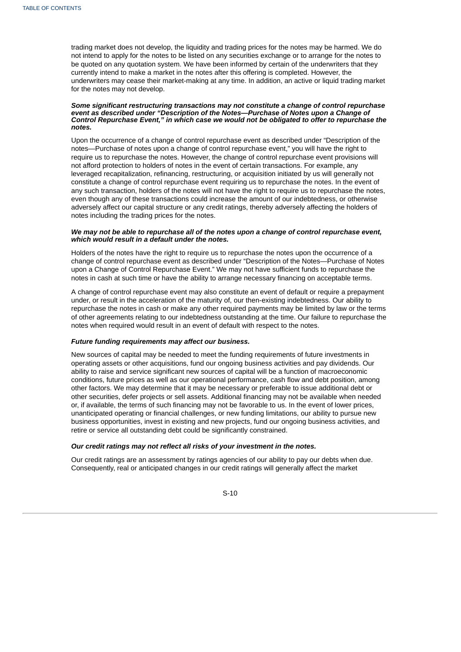trading market does not develop, the liquidity and trading prices for the notes may be harmed. We do not intend to apply for the notes to be listed on any securities exchange or to arrange for the notes to be quoted on any quotation system. We have been informed by certain of the underwriters that they currently intend to make a market in the notes after this offering is completed. However, the underwriters may cease their market-making at any time. In addition, an active or liquid trading market for the notes may not develop.

#### *Some significant restructuring transactions may not constitute a change of control repurchase event as described under "Description of the Notes—Purchase of Notes upon a Change of Control Repurchase Event," in which case we would not be obligated to offer to repurchase the notes.*

Upon the occurrence of a change of control repurchase event as described under "Description of the notes—Purchase of notes upon a change of control repurchase event," you will have the right to require us to repurchase the notes. However, the change of control repurchase event provisions will not afford protection to holders of notes in the event of certain transactions. For example, any leveraged recapitalization, refinancing, restructuring, or acquisition initiated by us will generally not constitute a change of control repurchase event requiring us to repurchase the notes. In the event of any such transaction, holders of the notes will not have the right to require us to repurchase the notes, even though any of these transactions could increase the amount of our indebtedness, or otherwise adversely affect our capital structure or any credit ratings, thereby adversely affecting the holders of notes including the trading prices for the notes.

#### *We may not be able to repurchase all of the notes upon a change of control repurchase event, which would result in a default under the notes.*

Holders of the notes have the right to require us to repurchase the notes upon the occurrence of a change of control repurchase event as described under "Description of the Notes—Purchase of Notes upon a Change of Control Repurchase Event." We may not have sufficient funds to repurchase the notes in cash at such time or have the ability to arrange necessary financing on acceptable terms.

A change of control repurchase event may also constitute an event of default or require a prepayment under, or result in the acceleration of the maturity of, our then-existing indebtedness. Our ability to repurchase the notes in cash or make any other required payments may be limited by law or the terms of other agreements relating to our indebtedness outstanding at the time. Our failure to repurchase the notes when required would result in an event of default with respect to the notes.

#### *Future funding requirements may affect our business.*

New sources of capital may be needed to meet the funding requirements of future investments in operating assets or other acquisitions, fund our ongoing business activities and pay dividends. Our ability to raise and service significant new sources of capital will be a function of macroeconomic conditions, future prices as well as our operational performance, cash flow and debt position, among other factors. We may determine that it may be necessary or preferable to issue additional debt or other securities, defer projects or sell assets. Additional financing may not be available when needed or, if available, the terms of such financing may not be favorable to us. In the event of lower prices, unanticipated operating or financial challenges, or new funding limitations, our ability to pursue new business opportunities, invest in existing and new projects, fund our ongoing business activities, and retire or service all outstanding debt could be significantly constrained.

#### *Our credit ratings may not reflect all risks of your investment in the notes.*

Our credit ratings are an assessment by ratings agencies of our ability to pay our debts when due. Consequently, real or anticipated changes in our credit ratings will generally affect the market

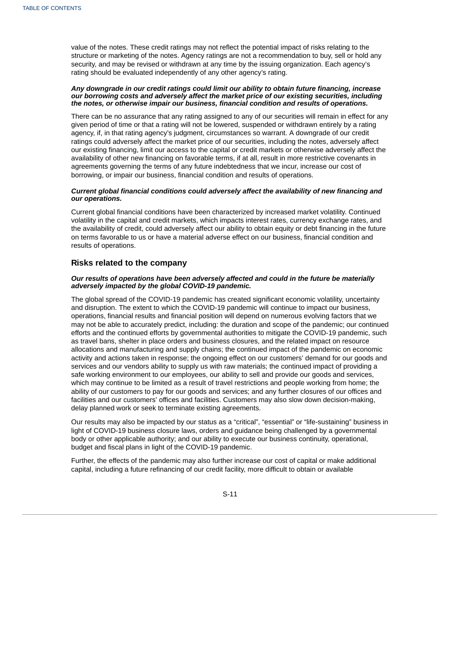value of the notes. These credit ratings may not reflect the potential impact of risks relating to the structure or marketing of the notes. Agency ratings are not a recommendation to buy, sell or hold any security, and may be revised or withdrawn at any time by the issuing organization. Each agency's rating should be evaluated independently of any other agency's rating.

#### *Any downgrade in our credit ratings could limit our ability to obtain future financing, increase our borrowing costs and adversely affect the market price of our existing securities, including the notes, or otherwise impair our business, financial condition and results of operations.*

There can be no assurance that any rating assigned to any of our securities will remain in effect for any given period of time or that a rating will not be lowered, suspended or withdrawn entirely by a rating agency, if, in that rating agency's judgment, circumstances so warrant. A downgrade of our credit ratings could adversely affect the market price of our securities, including the notes, adversely affect our existing financing, limit our access to the capital or credit markets or otherwise adversely affect the availability of other new financing on favorable terms, if at all, result in more restrictive covenants in agreements governing the terms of any future indebtedness that we incur, increase our cost of borrowing, or impair our business, financial condition and results of operations.

#### *Current global financial conditions could adversely affect the availability of new financing and our operations.*

Current global financial conditions have been characterized by increased market volatility. Continued volatility in the capital and credit markets, which impacts interest rates, currency exchange rates, and the availability of credit, could adversely affect our ability to obtain equity or debt financing in the future on terms favorable to us or have a material adverse effect on our business, financial condition and results of operations.

### **Risks related to the company**

#### *Our results of operations have been adversely affected and could in the future be materially adversely impacted by the global COVID-19 pandemic.*

The global spread of the COVID-19 pandemic has created significant economic volatility, uncertainty and disruption. The extent to which the COVID-19 pandemic will continue to impact our business, operations, financial results and financial position will depend on numerous evolving factors that we may not be able to accurately predict, including: the duration and scope of the pandemic; our continued efforts and the continued efforts by governmental authorities to mitigate the COVID-19 pandemic, such as travel bans, shelter in place orders and business closures, and the related impact on resource allocations and manufacturing and supply chains; the continued impact of the pandemic on economic activity and actions taken in response; the ongoing effect on our customers' demand for our goods and services and our vendors ability to supply us with raw materials; the continued impact of providing a safe working environment to our employees, our ability to sell and provide our goods and services, which may continue to be limited as a result of travel restrictions and people working from home; the ability of our customers to pay for our goods and services; and any further closures of our offices and facilities and our customers' offices and facilities. Customers may also slow down decision-making, delay planned work or seek to terminate existing agreements.

Our results may also be impacted by our status as a "critical", "essential" or "life-sustaining" business in light of COVID-19 business closure laws, orders and guidance being challenged by a governmental body or other applicable authority; and our ability to execute our business continuity, operational, budget and fiscal plans in light of the COVID-19 pandemic.

Further, the effects of the pandemic may also further increase our cost of capital or make additional capital, including a future refinancing of our credit facility, more difficult to obtain or available

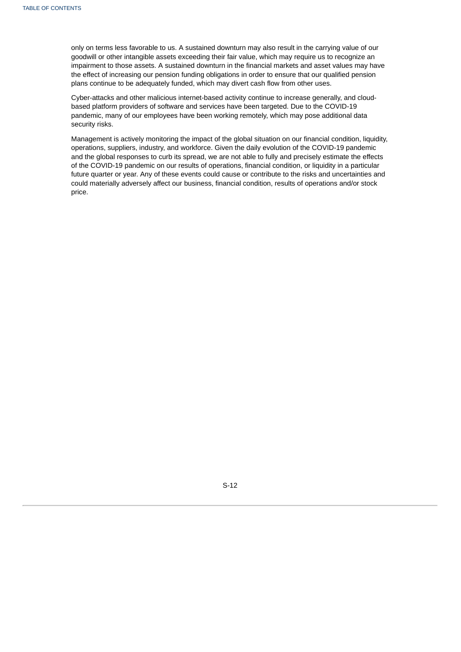only on terms less favorable to us. A sustained downturn may also result in the carrying value of our goodwill or other intangible assets exceeding their fair value, which may require us to recognize an impairment to those assets. A sustained downturn in the financial markets and asset values may have the effect of increasing our pension funding obligations in order to ensure that our qualified pension plans continue to be adequately funded, which may divert cash flow from other uses.

Cyber-attacks and other malicious internet-based activity continue to increase generally, and cloudbased platform providers of software and services have been targeted. Due to the COVID-19 pandemic, many of our employees have been working remotely, which may pose additional data security risks.

<span id="page-18-0"></span>Management is actively monitoring the impact of the global situation on our financial condition, liquidity, operations, suppliers, industry, and workforce. Given the daily evolution of the COVID-19 pandemic and the global responses to curb its spread, we are not able to fully and precisely estimate the effects of the COVID-19 pandemic on our results of operations, financial condition, or liquidity in a particular future quarter or year. Any of these events could cause or contribute to the risks and uncertainties and could materially adversely affect our business, financial condition, results of operations and/or stock price.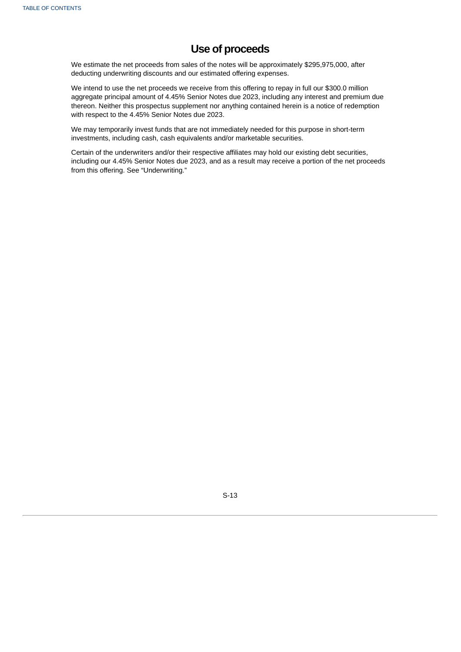# **Use of proceeds**

We estimate the net proceeds from sales of the notes will be approximately \$295,975,000, after deducting underwriting discounts and our estimated offering expenses.

We intend to use the net proceeds we receive from this offering to repay in full our \$300.0 million aggregate principal amount of 4.45% Senior Notes due 2023, including any interest and premium due thereon. Neither this prospectus supplement nor anything contained herein is a notice of redemption with respect to the 4.45% Senior Notes due 2023.

We may temporarily invest funds that are not immediately needed for this purpose in short-term investments, including cash, cash equivalents and/or marketable securities.

<span id="page-19-0"></span>Certain of the underwriters and/or their respective affiliates may hold our existing debt securities, including our 4.45% Senior Notes due 2023, and as a result may receive a portion of the net proceeds from this offering. See "Underwriting."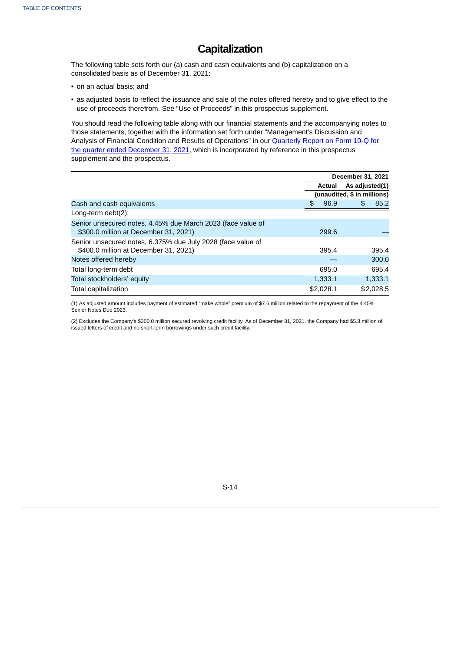# **Capitalization**

The following table sets forth our (a) cash and cash equivalents and (b) capitalization on a consolidated basis as of December 31, 2021:

- on an actual basis; and
- as adjusted basis to reflect the issuance and sale of the notes offered hereby and to give effect to the use of proceeds therefrom. See "Use of Proceeds" in this prospectus supplement.

You should read the following table along with our financial statements and the accompanying notes to those statements, together with the information set forth under "Management's Discussion and Analysis of Financial Condition and Results of Operations" in our Quarterly Report on Form 10-Q for the quarter ended December 31, 2021, which is [incorporated](http://www.sec.gov/ix?doc=/Archives/edgar/data/17843/000001784322000005/crs-20211231.htm) by reference in this prospectus supplement and the prospectus.

|                                                                                                      | December 31, 2021           |           |                |           |
|------------------------------------------------------------------------------------------------------|-----------------------------|-----------|----------------|-----------|
|                                                                                                      |                             | Actual    | As adjusted(1) |           |
|                                                                                                      | (unaudited, \$ in millions) |           |                |           |
| Cash and cash equivalents                                                                            | \$                          | 96.9      | \$             | 85.2      |
| Long-term $debt(2)$ :                                                                                |                             |           |                |           |
| Senior unsecured notes, 4.45% due March 2023 (face value of<br>\$300.0 million at December 31, 2021) |                             | 299.6     |                |           |
| Senior unsecured notes, 6.375% due July 2028 (face value of<br>\$400.0 million at December 31, 2021) |                             | 395.4     |                | 395.4     |
| Notes offered hereby                                                                                 |                             |           |                | 300.0     |
| Total long-term debt                                                                                 |                             | 695.0     |                | 695.4     |
| Total stockholders' equity                                                                           |                             | 1,333.1   |                | 1,333.1   |
| Total capitalization                                                                                 |                             | \$2,028.1 |                | \$2,028.5 |

(1) As adjusted amount includes payment of estimated "make whole" premium of \$7.6 million related to the repayment of the 4.45% Senior Notes Due 2023.

(2) Excludes the Company's \$300.0 million secured revolving credit facility. As of December 31, 2021, the Company had \$5.3 million of issued letters of credit and no short-term borrowings under such credit facility.

<span id="page-20-0"></span>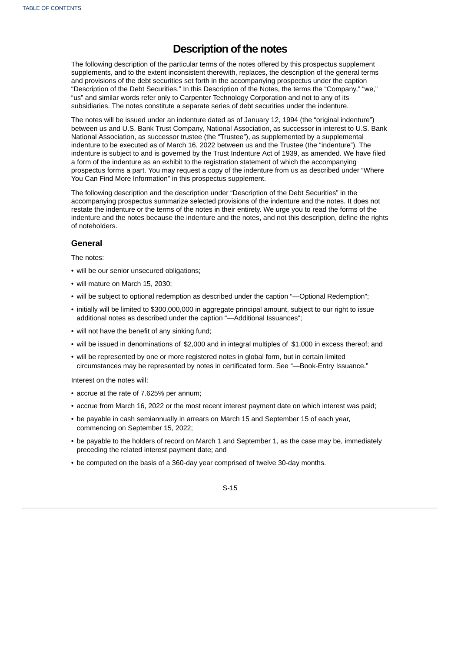# **Description of the notes**

The following description of the particular terms of the notes offered by this prospectus supplement supplements, and to the extent inconsistent therewith, replaces, the description of the general terms and provisions of the debt securities set forth in the accompanying prospectus under the caption "Description of the Debt Securities." In this Description of the Notes, the terms the "Company," "we," "us" and similar words refer only to Carpenter Technology Corporation and not to any of its subsidiaries. The notes constitute a separate series of debt securities under the indenture.

The notes will be issued under an indenture dated as of January 12, 1994 (the "original indenture") between us and U.S. Bank Trust Company, National Association, as successor in interest to U.S. Bank National Association, as successor trustee (the "Trustee"), as supplemented by a supplemental indenture to be executed as of March 16, 2022 between us and the Trustee (the "indenture"). The indenture is subject to and is governed by the Trust Indenture Act of 1939, as amended. We have filed a form of the indenture as an exhibit to the registration statement of which the accompanying prospectus forms a part. You may request a copy of the indenture from us as described under "Where You Can Find More Information" in this prospectus supplement.

The following description and the description under "Description of the Debt Securities" in the accompanying prospectus summarize selected provisions of the indenture and the notes. It does not restate the indenture or the terms of the notes in their entirety. We urge you to read the forms of the indenture and the notes because the indenture and the notes, and not this description, define the rights of noteholders.

### **General**

The notes:

- will be our senior unsecured obligations;
- will mature on March 15, 2030;
- will be subject to optional redemption as described under the caption "—Optional Redemption";
- initially will be limited to \$300,000,000 in aggregate principal amount, subject to our right to issue additional notes as described under the caption "—Additional Issuances";
- will not have the benefit of any sinking fund;
- will be issued in denominations of \$2,000 and in integral multiples of \$1,000 in excess thereof; and
- will be represented by one or more registered notes in global form, but in certain limited circumstances may be represented by notes in certificated form. See "—Book-Entry Issuance."

Interest on the notes will:

- accrue at the rate of 7.625% per annum;
- accrue from March 16, 2022 or the most recent interest payment date on which interest was paid;
- be payable in cash semiannually in arrears on March 15 and September 15 of each year, commencing on September 15, 2022;
- be payable to the holders of record on March 1 and September 1, as the case may be, immediately preceding the related interest payment date; and
- be computed on the basis of a 360-day year comprised of twelve 30-day months.

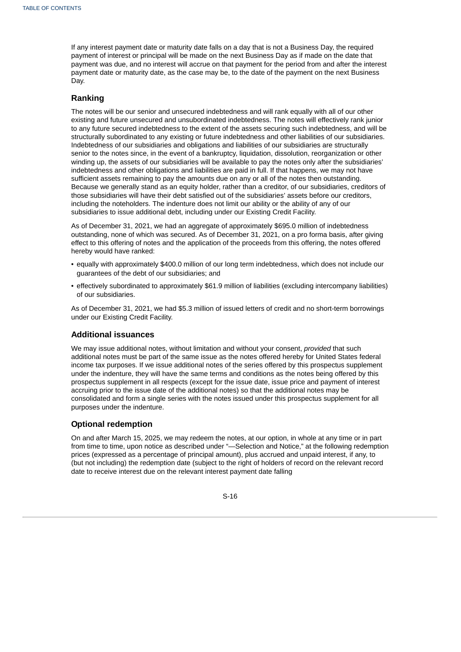If any interest payment date or maturity date falls on a day that is not a Business Day, the required payment of interest or principal will be made on the next Business Day as if made on the date that payment was due, and no interest will accrue on that payment for the period from and after the interest payment date or maturity date, as the case may be, to the date of the payment on the next Business Day.

# **Ranking**

The notes will be our senior and unsecured indebtedness and will rank equally with all of our other existing and future unsecured and unsubordinated indebtedness. The notes will effectively rank junior to any future secured indebtedness to the extent of the assets securing such indebtedness, and will be structurally subordinated to any existing or future indebtedness and other liabilities of our subsidiaries. Indebtedness of our subsidiaries and obligations and liabilities of our subsidiaries are structurally senior to the notes since, in the event of a bankruptcy, liquidation, dissolution, reorganization or other winding up, the assets of our subsidiaries will be available to pay the notes only after the subsidiaries' indebtedness and other obligations and liabilities are paid in full. If that happens, we may not have sufficient assets remaining to pay the amounts due on any or all of the notes then outstanding. Because we generally stand as an equity holder, rather than a creditor, of our subsidiaries, creditors of those subsidiaries will have their debt satisfied out of the subsidiaries' assets before our creditors, including the noteholders. The indenture does not limit our ability or the ability of any of our subsidiaries to issue additional debt, including under our Existing Credit Facility.

As of December 31, 2021, we had an aggregate of approximately \$695.0 million of indebtedness outstanding, none of which was secured. As of December 31, 2021, on a pro forma basis, after giving effect to this offering of notes and the application of the proceeds from this offering, the notes offered hereby would have ranked:

- equally with approximately \$400.0 million of our long term indebtedness, which does not include our guarantees of the debt of our subsidiaries; and
- effectively subordinated to approximately \$61.9 million of liabilities (excluding intercompany liabilities) of our subsidiaries.

As of December 31, 2021, we had \$5.3 million of issued letters of credit and no short-term borrowings under our Existing Credit Facility.

### **Additional issuances**

We may issue additional notes, without limitation and without your consent, *provided* that such additional notes must be part of the same issue as the notes offered hereby for United States federal income tax purposes. If we issue additional notes of the series offered by this prospectus supplement under the indenture, they will have the same terms and conditions as the notes being offered by this prospectus supplement in all respects (except for the issue date, issue price and payment of interest accruing prior to the issue date of the additional notes) so that the additional notes may be consolidated and form a single series with the notes issued under this prospectus supplement for all purposes under the indenture.

# **Optional redemption**

On and after March 15, 2025, we may redeem the notes, at our option, in whole at any time or in part from time to time, upon notice as described under "—Selection and Notice," at the following redemption prices (expressed as a percentage of principal amount), plus accrued and unpaid interest, if any, to (but not including) the redemption date (subject to the right of holders of record on the relevant record date to receive interest due on the relevant interest payment date falling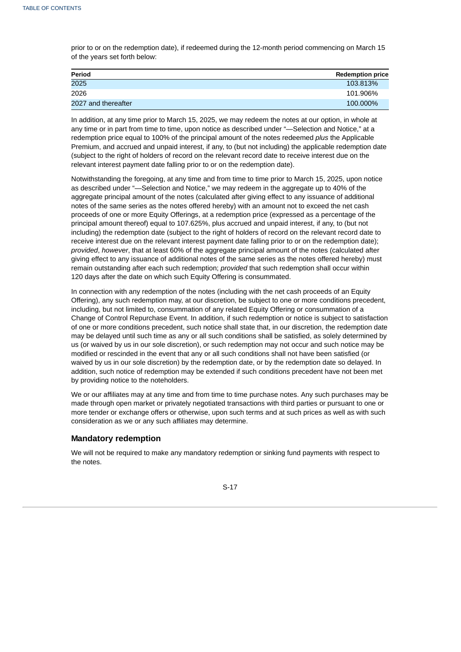prior to or on the redemption date), if redeemed during the 12-month period commencing on March 15 of the years set forth below:

| Period              | <b>Redemption price</b> |
|---------------------|-------------------------|
| 2025                | 103.813%                |
| 2026                | 101.906%                |
| 2027 and thereafter | 100.000%                |

In addition, at any time prior to March 15, 2025, we may redeem the notes at our option, in whole at any time or in part from time to time, upon notice as described under "—Selection and Notice," at a redemption price equal to 100% of the principal amount of the notes redeemed *plus* the Applicable Premium, and accrued and unpaid interest, if any, to (but not including) the applicable redemption date (subject to the right of holders of record on the relevant record date to receive interest due on the relevant interest payment date falling prior to or on the redemption date).

Notwithstanding the foregoing, at any time and from time to time prior to March 15, 2025, upon notice as described under "—Selection and Notice," we may redeem in the aggregate up to 40% of the aggregate principal amount of the notes (calculated after giving effect to any issuance of additional notes of the same series as the notes offered hereby) with an amount not to exceed the net cash proceeds of one or more Equity Offerings, at a redemption price (expressed as a percentage of the principal amount thereof) equal to 107.625%, plus accrued and unpaid interest, if any, to (but not including) the redemption date (subject to the right of holders of record on the relevant record date to receive interest due on the relevant interest payment date falling prior to or on the redemption date); *provided*, *however*, that at least 60% of the aggregate principal amount of the notes (calculated after giving effect to any issuance of additional notes of the same series as the notes offered hereby) must remain outstanding after each such redemption; *provided* that such redemption shall occur within 120 days after the date on which such Equity Offering is consummated.

In connection with any redemption of the notes (including with the net cash proceeds of an Equity Offering), any such redemption may, at our discretion, be subject to one or more conditions precedent, including, but not limited to, consummation of any related Equity Offering or consummation of a Change of Control Repurchase Event. In addition, if such redemption or notice is subject to satisfaction of one or more conditions precedent, such notice shall state that, in our discretion, the redemption date may be delayed until such time as any or all such conditions shall be satisfied, as solely determined by us (or waived by us in our sole discretion), or such redemption may not occur and such notice may be modified or rescinded in the event that any or all such conditions shall not have been satisfied (or waived by us in our sole discretion) by the redemption date, or by the redemption date so delayed. In addition, such notice of redemption may be extended if such conditions precedent have not been met by providing notice to the noteholders.

We or our affiliates may at any time and from time to time purchase notes. Any such purchases may be made through open market or privately negotiated transactions with third parties or pursuant to one or more tender or exchange offers or otherwise, upon such terms and at such prices as well as with such consideration as we or any such affiliates may determine.

# **Mandatory redemption**

We will not be required to make any mandatory redemption or sinking fund payments with respect to the notes.

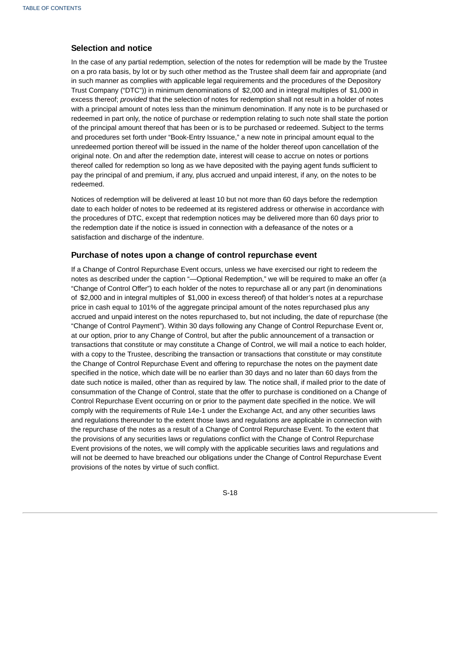# **Selection and notice**

In the case of any partial redemption, selection of the notes for redemption will be made by the Trustee on a pro rata basis, by lot or by such other method as the Trustee shall deem fair and appropriate (and in such manner as complies with applicable legal requirements and the procedures of the Depository Trust Company ("DTC")) in minimum denominations of \$2,000 and in integral multiples of \$1,000 in excess thereof; *provided* that the selection of notes for redemption shall not result in a holder of notes with a principal amount of notes less than the minimum denomination. If any note is to be purchased or redeemed in part only, the notice of purchase or redemption relating to such note shall state the portion of the principal amount thereof that has been or is to be purchased or redeemed. Subject to the terms and procedures set forth under "Book-Entry Issuance," a new note in principal amount equal to the unredeemed portion thereof will be issued in the name of the holder thereof upon cancellation of the original note. On and after the redemption date, interest will cease to accrue on notes or portions thereof called for redemption so long as we have deposited with the paying agent funds sufficient to pay the principal of and premium, if any, plus accrued and unpaid interest, if any, on the notes to be redeemed.

Notices of redemption will be delivered at least 10 but not more than 60 days before the redemption date to each holder of notes to be redeemed at its registered address or otherwise in accordance with the procedures of DTC, except that redemption notices may be delivered more than 60 days prior to the redemption date if the notice is issued in connection with a defeasance of the notes or a satisfaction and discharge of the indenture.

### **Purchase of notes upon a change of control repurchase event**

If a Change of Control Repurchase Event occurs, unless we have exercised our right to redeem the notes as described under the caption "—Optional Redemption," we will be required to make an offer (a "Change of Control Offer") to each holder of the notes to repurchase all or any part (in denominations of \$2,000 and in integral multiples of \$1,000 in excess thereof) of that holder's notes at a repurchase price in cash equal to 101% of the aggregate principal amount of the notes repurchased plus any accrued and unpaid interest on the notes repurchased to, but not including, the date of repurchase (the "Change of Control Payment"). Within 30 days following any Change of Control Repurchase Event or, at our option, prior to any Change of Control, but after the public announcement of a transaction or transactions that constitute or may constitute a Change of Control, we will mail a notice to each holder, with a copy to the Trustee, describing the transaction or transactions that constitute or may constitute the Change of Control Repurchase Event and offering to repurchase the notes on the payment date specified in the notice, which date will be no earlier than 30 days and no later than 60 days from the date such notice is mailed, other than as required by law. The notice shall, if mailed prior to the date of consummation of the Change of Control, state that the offer to purchase is conditioned on a Change of Control Repurchase Event occurring on or prior to the payment date specified in the notice. We will comply with the requirements of Rule 14e-1 under the Exchange Act, and any other securities laws and regulations thereunder to the extent those laws and regulations are applicable in connection with the repurchase of the notes as a result of a Change of Control Repurchase Event. To the extent that the provisions of any securities laws or regulations conflict with the Change of Control Repurchase Event provisions of the notes, we will comply with the applicable securities laws and regulations and will not be deemed to have breached our obligations under the Change of Control Repurchase Event provisions of the notes by virtue of such conflict.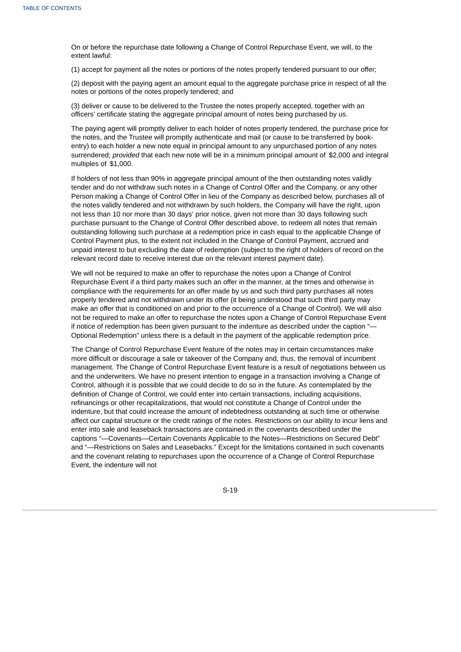On or before the repurchase date following a Change of Control Repurchase Event, we will, to the extent lawful:

(1) accept for payment all the notes or portions of the notes properly tendered pursuant to our offer;

(2) deposit with the paying agent an amount equal to the aggregate purchase price in respect of all the notes or portions of the notes properly tendered; and

(3) deliver or cause to be delivered to the Trustee the notes properly accepted, together with an officers' certificate stating the aggregate principal amount of notes being purchased by us.

The paying agent will promptly deliver to each holder of notes properly tendered, the purchase price for the notes, and the Trustee will promptly authenticate and mail (or cause to be transferred by bookentry) to each holder a new note equal in principal amount to any unpurchased portion of any notes surrendered; *provided* that each new note will be in a minimum principal amount of \$2,000 and integral multiples of \$1,000.

If holders of not less than 90% in aggregate principal amount of the then outstanding notes validly tender and do not withdraw such notes in a Change of Control Offer and the Company, or any other Person making a Change of Control Offer in lieu of the Company as described below, purchases all of the notes validly tendered and not withdrawn by such holders, the Company will have the right, upon not less than 10 nor more than 30 days' prior notice, given not more than 30 days following such purchase pursuant to the Change of Control Offer described above, to redeem all notes that remain outstanding following such purchase at a redemption price in cash equal to the applicable Change of Control Payment plus, to the extent not included in the Change of Control Payment, accrued and unpaid interest to but excluding the date of redemption (subject to the right of holders of record on the relevant record date to receive interest due on the relevant interest payment date).

We will not be required to make an offer to repurchase the notes upon a Change of Control Repurchase Event if a third party makes such an offer in the manner, at the times and otherwise in compliance with the requirements for an offer made by us and such third party purchases all notes properly tendered and not withdrawn under its offer (it being understood that such third party may make an offer that is conditioned on and prior to the occurrence of a Change of Control). We will also not be required to make an offer to repurchase the notes upon a Change of Control Repurchase Event if notice of redemption has been given pursuant to the indenture as described under the caption "— Optional Redemption" unless there is a default in the payment of the applicable redemption price.

The Change of Control Repurchase Event feature of the notes may in certain circumstances make more difficult or discourage a sale or takeover of the Company and, thus, the removal of incumbent management. The Change of Control Repurchase Event feature is a result of negotiations between us and the underwriters. We have no present intention to engage in a transaction involving a Change of Control, although it is possible that we could decide to do so in the future. As contemplated by the definition of Change of Control, we could enter into certain transactions, including acquisitions, refinancings or other recapitalizations, that would not constitute a Change of Control under the indenture, but that could increase the amount of indebtedness outstanding at such time or otherwise affect our capital structure or the credit ratings of the notes. Restrictions on our ability to incur liens and enter into sale and leaseback transactions are contained in the covenants described under the captions "—Covenants—Certain Covenants Applicable to the Notes—Restrictions on Secured Debt" and "—Restrictions on Sales and Leasebacks." Except for the limitations contained in such covenants and the covenant relating to repurchases upon the occurrence of a Change of Control Repurchase Event, the indenture will not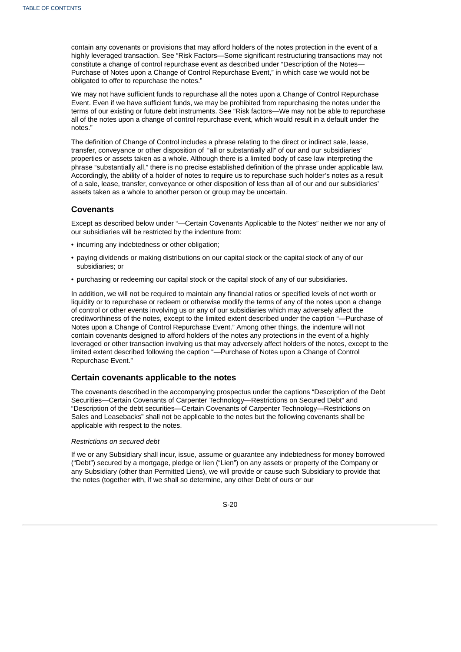contain any covenants or provisions that may afford holders of the notes protection in the event of a highly leveraged transaction. See "Risk Factors—Some significant restructuring transactions may not constitute a change of control repurchase event as described under "Description of the Notes— Purchase of Notes upon a Change of Control Repurchase Event," in which case we would not be obligated to offer to repurchase the notes."

We may not have sufficient funds to repurchase all the notes upon a Change of Control Repurchase Event. Even if we have sufficient funds, we may be prohibited from repurchasing the notes under the terms of our existing or future debt instruments. See "Risk factors—We may not be able to repurchase all of the notes upon a change of control repurchase event, which would result in a default under the notes."

The definition of Change of Control includes a phrase relating to the direct or indirect sale, lease, transfer, conveyance or other disposition of "all or substantially all" of our and our subsidiaries' properties or assets taken as a whole. Although there is a limited body of case law interpreting the phrase "substantially all," there is no precise established definition of the phrase under applicable law. Accordingly, the ability of a holder of notes to require us to repurchase such holder's notes as a result of a sale, lease, transfer, conveyance or other disposition of less than all of our and our subsidiaries' assets taken as a whole to another person or group may be uncertain.

### **Covenants**

Except as described below under "—Certain Covenants Applicable to the Notes" neither we nor any of our subsidiaries will be restricted by the indenture from:

- incurring any indebtedness or other obligation;
- paying dividends or making distributions on our capital stock or the capital stock of any of our subsidiaries; or
- purchasing or redeeming our capital stock or the capital stock of any of our subsidiaries.

In addition, we will not be required to maintain any financial ratios or specified levels of net worth or liquidity or to repurchase or redeem or otherwise modify the terms of any of the notes upon a change of control or other events involving us or any of our subsidiaries which may adversely affect the creditworthiness of the notes, except to the limited extent described under the caption "—Purchase of Notes upon a Change of Control Repurchase Event." Among other things, the indenture will not contain covenants designed to afford holders of the notes any protections in the event of a highly leveraged or other transaction involving us that may adversely affect holders of the notes, except to the limited extent described following the caption "—Purchase of Notes upon a Change of Control Repurchase Event."

### **Certain covenants applicable to the notes**

The covenants described in the accompanying prospectus under the captions "Description of the Debt Securities—Certain Covenants of Carpenter Technology—Restrictions on Secured Debt" and "Description of the debt securities—Certain Covenants of Carpenter Technology—Restrictions on Sales and Leasebacks" shall not be applicable to the notes but the following covenants shall be applicable with respect to the notes.

#### *Restrictions on secured debt*

If we or any Subsidiary shall incur, issue, assume or guarantee any indebtedness for money borrowed ("Debt") secured by a mortgage, pledge or lien ("Lien") on any assets or property of the Company or any Subsidiary (other than Permitted Liens), we will provide or cause such Subsidiary to provide that the notes (together with, if we shall so determine, any other Debt of ours or our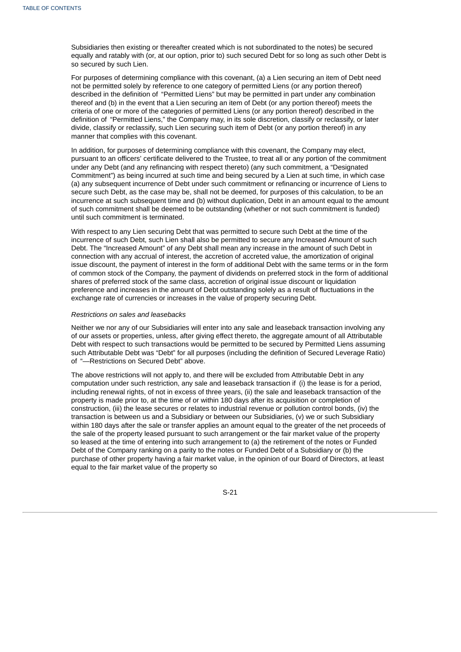Subsidiaries then existing or thereafter created which is not subordinated to the notes) be secured equally and ratably with (or, at our option, prior to) such secured Debt for so long as such other Debt is so secured by such Lien.

For purposes of determining compliance with this covenant, (a) a Lien securing an item of Debt need not be permitted solely by reference to one category of permitted Liens (or any portion thereof) described in the definition of "Permitted Liens" but may be permitted in part under any combination thereof and (b) in the event that a Lien securing an item of Debt (or any portion thereof) meets the criteria of one or more of the categories of permitted Liens (or any portion thereof) described in the definition of "Permitted Liens," the Company may, in its sole discretion, classify or reclassify, or later divide, classify or reclassify, such Lien securing such item of Debt (or any portion thereof) in any manner that complies with this covenant.

In addition, for purposes of determining compliance with this covenant, the Company may elect, pursuant to an officers' certificate delivered to the Trustee, to treat all or any portion of the commitment under any Debt (and any refinancing with respect thereto) (any such commitment, a "Designated Commitment") as being incurred at such time and being secured by a Lien at such time, in which case (a) any subsequent incurrence of Debt under such commitment or refinancing or incurrence of Liens to secure such Debt, as the case may be, shall not be deemed, for purposes of this calculation, to be an incurrence at such subsequent time and (b) without duplication, Debt in an amount equal to the amount of such commitment shall be deemed to be outstanding (whether or not such commitment is funded) until such commitment is terminated.

With respect to any Lien securing Debt that was permitted to secure such Debt at the time of the incurrence of such Debt, such Lien shall also be permitted to secure any Increased Amount of such Debt. The "Increased Amount" of any Debt shall mean any increase in the amount of such Debt in connection with any accrual of interest, the accretion of accreted value, the amortization of original issue discount, the payment of interest in the form of additional Debt with the same terms or in the form of common stock of the Company, the payment of dividends on preferred stock in the form of additional shares of preferred stock of the same class, accretion of original issue discount or liquidation preference and increases in the amount of Debt outstanding solely as a result of fluctuations in the exchange rate of currencies or increases in the value of property securing Debt.

#### *Restrictions on sales and leasebacks*

Neither we nor any of our Subsidiaries will enter into any sale and leaseback transaction involving any of our assets or properties, unless, after giving effect thereto, the aggregate amount of all Attributable Debt with respect to such transactions would be permitted to be secured by Permitted Liens assuming such Attributable Debt was "Debt" for all purposes (including the definition of Secured Leverage Ratio) of "—Restrictions on Secured Debt" above.

The above restrictions will not apply to, and there will be excluded from Attributable Debt in any computation under such restriction, any sale and leaseback transaction if (i) the lease is for a period, including renewal rights, of not in excess of three years, (ii) the sale and leaseback transaction of the property is made prior to, at the time of or within 180 days after its acquisition or completion of construction, (iii) the lease secures or relates to industrial revenue or pollution control bonds, (iv) the transaction is between us and a Subsidiary or between our Subsidiaries, (v) we or such Subsidiary within 180 days after the sale or transfer applies an amount equal to the greater of the net proceeds of the sale of the property leased pursuant to such arrangement or the fair market value of the property so leased at the time of entering into such arrangement to (a) the retirement of the notes or Funded Debt of the Company ranking on a parity to the notes or Funded Debt of a Subsidiary or (b) the purchase of other property having a fair market value, in the opinion of our Board of Directors, at least equal to the fair market value of the property so

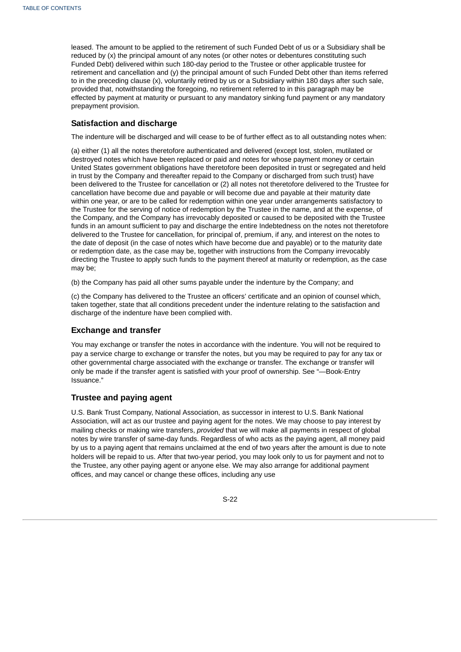leased. The amount to be applied to the retirement of such Funded Debt of us or a Subsidiary shall be reduced by (x) the principal amount of any notes (or other notes or debentures constituting such Funded Debt) delivered within such 180-day period to the Trustee or other applicable trustee for retirement and cancellation and (y) the principal amount of such Funded Debt other than items referred to in the preceding clause (x), voluntarily retired by us or a Subsidiary within 180 days after such sale, provided that, notwithstanding the foregoing, no retirement referred to in this paragraph may be effected by payment at maturity or pursuant to any mandatory sinking fund payment or any mandatory prepayment provision.

### **Satisfaction and discharge**

The indenture will be discharged and will cease to be of further effect as to all outstanding notes when:

(a) either (1) all the notes theretofore authenticated and delivered (except lost, stolen, mutilated or destroyed notes which have been replaced or paid and notes for whose payment money or certain United States government obligations have theretofore been deposited in trust or segregated and held in trust by the Company and thereafter repaid to the Company or discharged from such trust) have been delivered to the Trustee for cancellation or (2) all notes not theretofore delivered to the Trustee for cancellation have become due and payable or will become due and payable at their maturity date within one year, or are to be called for redemption within one year under arrangements satisfactory to the Trustee for the serving of notice of redemption by the Trustee in the name, and at the expense, of the Company, and the Company has irrevocably deposited or caused to be deposited with the Trustee funds in an amount sufficient to pay and discharge the entire Indebtedness on the notes not theretofore delivered to the Trustee for cancellation, for principal of, premium, if any, and interest on the notes to the date of deposit (in the case of notes which have become due and payable) or to the maturity date or redemption date, as the case may be, together with instructions from the Company irrevocably directing the Trustee to apply such funds to the payment thereof at maturity or redemption, as the case may be;

(b) the Company has paid all other sums payable under the indenture by the Company; and

(c) the Company has delivered to the Trustee an officers' certificate and an opinion of counsel which, taken together, state that all conditions precedent under the indenture relating to the satisfaction and discharge of the indenture have been complied with.

### **Exchange and transfer**

You may exchange or transfer the notes in accordance with the indenture. You will not be required to pay a service charge to exchange or transfer the notes, but you may be required to pay for any tax or other governmental charge associated with the exchange or transfer. The exchange or transfer will only be made if the transfer agent is satisfied with your proof of ownership. See "—Book-Entry Issuance."

# **Trustee and paying agent**

U.S. Bank Trust Company, National Association, as successor in interest to U.S. Bank National Association, will act as our trustee and paying agent for the notes. We may choose to pay interest by mailing checks or making wire transfers, *provided* that we will make all payments in respect of global notes by wire transfer of same-day funds. Regardless of who acts as the paying agent, all money paid by us to a paying agent that remains unclaimed at the end of two years after the amount is due to note holders will be repaid to us. After that two-year period, you may look only to us for payment and not to the Trustee, any other paying agent or anyone else. We may also arrange for additional payment offices, and may cancel or change these offices, including any use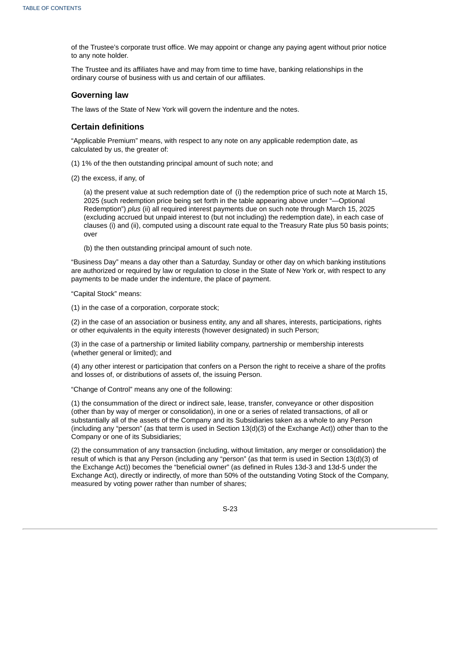of the Trustee's corporate trust office. We may appoint or change any paying agent without prior notice to any note holder.

The Trustee and its affiliates have and may from time to time have, banking relationships in the ordinary course of business with us and certain of our affiliates.

### **Governing law**

The laws of the State of New York will govern the indenture and the notes.

### **Certain definitions**

"Applicable Premium" means, with respect to any note on any applicable redemption date, as calculated by us, the greater of:

- (1) 1% of the then outstanding principal amount of such note; and
- (2) the excess, if any, of

(a) the present value at such redemption date of (i) the redemption price of such note at March 15, 2025 (such redemption price being set forth in the table appearing above under "—Optional Redemption") *plus* (ii) all required interest payments due on such note through March 15, 2025 (excluding accrued but unpaid interest to (but not including) the redemption date), in each case of clauses (i) and (ii), computed using a discount rate equal to the Treasury Rate plus 50 basis points; over

(b) the then outstanding principal amount of such note.

"Business Day" means a day other than a Saturday, Sunday or other day on which banking institutions are authorized or required by law or regulation to close in the State of New York or, with respect to any payments to be made under the indenture, the place of payment.

"Capital Stock" means:

(1) in the case of a corporation, corporate stock;

(2) in the case of an association or business entity, any and all shares, interests, participations, rights or other equivalents in the equity interests (however designated) in such Person;

(3) in the case of a partnership or limited liability company, partnership or membership interests (whether general or limited); and

(4) any other interest or participation that confers on a Person the right to receive a share of the profits and losses of, or distributions of assets of, the issuing Person.

"Change of Control" means any one of the following:

(1) the consummation of the direct or indirect sale, lease, transfer, conveyance or other disposition (other than by way of merger or consolidation), in one or a series of related transactions, of all or substantially all of the assets of the Company and its Subsidiaries taken as a whole to any Person (including any "person" (as that term is used in Section 13(d)(3) of the Exchange Act)) other than to the Company or one of its Subsidiaries;

(2) the consummation of any transaction (including, without limitation, any merger or consolidation) the result of which is that any Person (including any "person" (as that term is used in Section 13(d)(3) of the Exchange Act)) becomes the "beneficial owner" (as defined in Rules 13d-3 and 13d-5 under the Exchange Act), directly or indirectly, of more than 50% of the outstanding Voting Stock of the Company, measured by voting power rather than number of shares;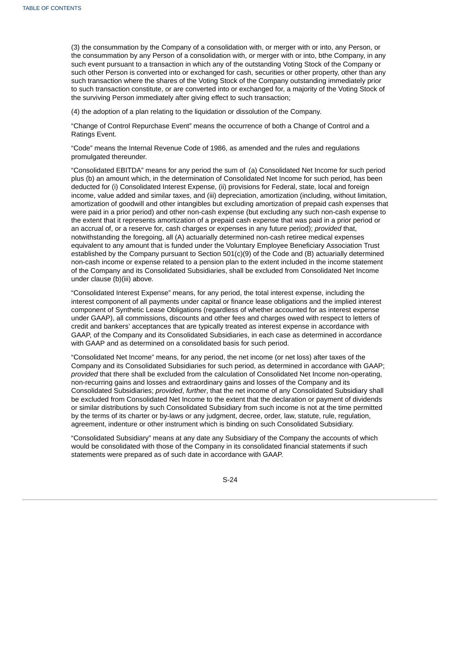(3) the consummation by the Company of a consolidation with, or merger with or into, any Person, or the consummation by any Person of a consolidation with, or merger with or into, bthe Company, in any such event pursuant to a transaction in which any of the outstanding Voting Stock of the Company or such other Person is converted into or exchanged for cash, securities or other property, other than any such transaction where the shares of the Voting Stock of the Company outstanding immediately prior to such transaction constitute, or are converted into or exchanged for, a majority of the Voting Stock of the surviving Person immediately after giving effect to such transaction;

(4) the adoption of a plan relating to the liquidation or dissolution of the Company.

"Change of Control Repurchase Event" means the occurrence of both a Change of Control and a Ratings Event.

"Code" means the Internal Revenue Code of 1986, as amended and the rules and regulations promulgated thereunder.

"Consolidated EBITDA" means for any period the sum of (a) Consolidated Net Income for such period plus (b) an amount which, in the determination of Consolidated Net Income for such period, has been deducted for (i) Consolidated Interest Expense, (ii) provisions for Federal, state, local and foreign income, value added and similar taxes, and (iii) depreciation, amortization (including, without limitation, amortization of goodwill and other intangibles but excluding amortization of prepaid cash expenses that were paid in a prior period) and other non-cash expense (but excluding any such non-cash expense to the extent that it represents amortization of a prepaid cash expense that was paid in a prior period or an accrual of, or a reserve for, cash charges or expenses in any future period); *provided* that, notwithstanding the foregoing, all (A) actuarially determined non-cash retiree medical expenses equivalent to any amount that is funded under the Voluntary Employee Beneficiary Association Trust established by the Company pursuant to Section 501(c)(9) of the Code and (B) actuarially determined non-cash income or expense related to a pension plan to the extent included in the income statement of the Company and its Consolidated Subsidiaries, shall be excluded from Consolidated Net Income under clause (b)(iii) above.

"Consolidated Interest Expense" means, for any period, the total interest expense, including the interest component of all payments under capital or finance lease obligations and the implied interest component of Synthetic Lease Obligations (regardless of whether accounted for as interest expense under GAAP), all commissions, discounts and other fees and charges owed with respect to letters of credit and bankers' acceptances that are typically treated as interest expense in accordance with GAAP, of the Company and its Consolidated Subsidiaries, in each case as determined in accordance with GAAP and as determined on a consolidated basis for such period.

"Consolidated Net Income" means, for any period, the net income (or net loss) after taxes of the Company and its Consolidated Subsidiaries for such period, as determined in accordance with GAAP; *provided* that there shall be excluded from the calculation of Consolidated Net Income non-operating, non-recurring gains and losses and extraordinary gains and losses of the Company and its Consolidated Subsidiaries; *provided*, *further*, that the net income of any Consolidated Subsidiary shall be excluded from Consolidated Net Income to the extent that the declaration or payment of dividends or similar distributions by such Consolidated Subsidiary from such income is not at the time permitted by the terms of its charter or by-laws or any judgment, decree, order, law, statute, rule, regulation, agreement, indenture or other instrument which is binding on such Consolidated Subsidiary.

"Consolidated Subsidiary" means at any date any Subsidiary of the Company the accounts of which would be consolidated with those of the Company in its consolidated financial statements if such statements were prepared as of such date in accordance with GAAP.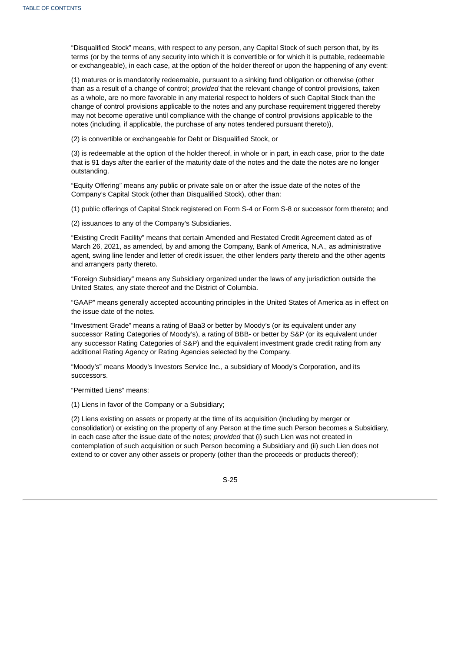"Disqualified Stock" means, with respect to any person, any Capital Stock of such person that, by its terms (or by the terms of any security into which it is convertible or for which it is puttable, redeemable or exchangeable), in each case, at the option of the holder thereof or upon the happening of any event:

(1) matures or is mandatorily redeemable, pursuant to a sinking fund obligation or otherwise (other than as a result of a change of control; *provided* that the relevant change of control provisions, taken as a whole, are no more favorable in any material respect to holders of such Capital Stock than the change of control provisions applicable to the notes and any purchase requirement triggered thereby may not become operative until compliance with the change of control provisions applicable to the notes (including, if applicable, the purchase of any notes tendered pursuant thereto)),

(2) is convertible or exchangeable for Debt or Disqualified Stock, or

(3) is redeemable at the option of the holder thereof, in whole or in part, in each case, prior to the date that is 91 days after the earlier of the maturity date of the notes and the date the notes are no longer outstanding.

"Equity Offering" means any public or private sale on or after the issue date of the notes of the Company's Capital Stock (other than Disqualified Stock), other than:

(1) public offerings of Capital Stock registered on Form S-4 or Form S-8 or successor form thereto; and

(2) issuances to any of the Company's Subsidiaries.

"Existing Credit Facility" means that certain Amended and Restated Credit Agreement dated as of March 26, 2021, as amended, by and among the Company, Bank of America, N.A., as administrative agent, swing line lender and letter of credit issuer, the other lenders party thereto and the other agents and arrangers party thereto.

"Foreign Subsidiary" means any Subsidiary organized under the laws of any jurisdiction outside the United States, any state thereof and the District of Columbia.

"GAAP" means generally accepted accounting principles in the United States of America as in effect on the issue date of the notes.

"Investment Grade" means a rating of Baa3 or better by Moody's (or its equivalent under any successor Rating Categories of Moody's), a rating of BBB- or better by S&P (or its equivalent under any successor Rating Categories of S&P) and the equivalent investment grade credit rating from any additional Rating Agency or Rating Agencies selected by the Company.

"Moody's" means Moody's Investors Service Inc., a subsidiary of Moody's Corporation, and its successors.

"Permitted Liens" means:

(1) Liens in favor of the Company or a Subsidiary;

(2) Liens existing on assets or property at the time of its acquisition (including by merger or consolidation) or existing on the property of any Person at the time such Person becomes a Subsidiary, in each case after the issue date of the notes; *provided* that (i) such Lien was not created in contemplation of such acquisition or such Person becoming a Subsidiary and (ii) such Lien does not extend to or cover any other assets or property (other than the proceeds or products thereof);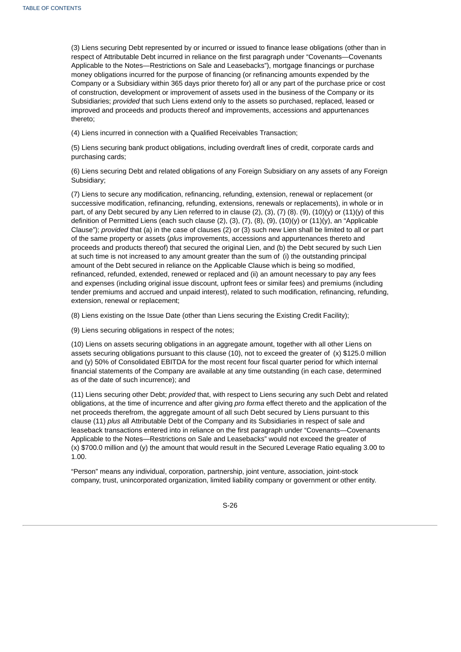(3) Liens securing Debt represented by or incurred or issued to finance lease obligations (other than in respect of Attributable Debt incurred in reliance on the first paragraph under "Covenants—Covenants Applicable to the Notes—Restrictions on Sale and Leasebacks"), mortgage financings or purchase money obligations incurred for the purpose of financing (or refinancing amounts expended by the Company or a Subsidiary within 365 days prior thereto for) all or any part of the purchase price or cost of construction, development or improvement of assets used in the business of the Company or its Subsidiaries; *provided* that such Liens extend only to the assets so purchased, replaced, leased or improved and proceeds and products thereof and improvements, accessions and appurtenances thereto;

(4) Liens incurred in connection with a Qualified Receivables Transaction;

(5) Liens securing bank product obligations, including overdraft lines of credit, corporate cards and purchasing cards;

(6) Liens securing Debt and related obligations of any Foreign Subsidiary on any assets of any Foreign Subsidiary;

(7) Liens to secure any modification, refinancing, refunding, extension, renewal or replacement (or successive modification, refinancing, refunding, extensions, renewals or replacements), in whole or in part, of any Debt secured by any Lien referred to in clause (2), (3), (7) (8). (9), (10)(y) or (11)(y) of this definition of Permitted Liens (each such clause  $(2)$ ,  $(3)$ ,  $(7)$ ,  $(8)$ ,  $(9)$ ,  $(10)(y)$  or  $(11)(y)$ , an "Applicable Clause"); *provided* that (a) in the case of clauses (2) or (3) such new Lien shall be limited to all or part of the same property or assets (*plus* improvements, accessions and appurtenances thereto and proceeds and products thereof) that secured the original Lien, and (b) the Debt secured by such Lien at such time is not increased to any amount greater than the sum of (i) the outstanding principal amount of the Debt secured in reliance on the Applicable Clause which is being so modified, refinanced, refunded, extended, renewed or replaced and (ii) an amount necessary to pay any fees and expenses (including original issue discount, upfront fees or similar fees) and premiums (including tender premiums and accrued and unpaid interest), related to such modification, refinancing, refunding, extension, renewal or replacement;

(8) Liens existing on the Issue Date (other than Liens securing the Existing Credit Facility);

(9) Liens securing obligations in respect of the notes;

(10) Liens on assets securing obligations in an aggregate amount, together with all other Liens on assets securing obligations pursuant to this clause (10), not to exceed the greater of (x) \$125.0 million and (y) 50% of Consolidated EBITDA for the most recent four fiscal quarter period for which internal financial statements of the Company are available at any time outstanding (in each case, determined as of the date of such incurrence); and

(11) Liens securing other Debt; *provided* that, with respect to Liens securing any such Debt and related obligations, at the time of incurrence and after giving *pro forma* effect thereto and the application of the net proceeds therefrom, the aggregate amount of all such Debt secured by Liens pursuant to this clause (11) *plus* all Attributable Debt of the Company and its Subsidiaries in respect of sale and leaseback transactions entered into in reliance on the first paragraph under "Covenants—Covenants Applicable to the Notes—Restrictions on Sale and Leasebacks" would not exceed the greater of (x) \$700.0 million and (y) the amount that would result in the Secured Leverage Ratio equaling 3.00 to 1.00.

"Person" means any individual, corporation, partnership, joint venture, association, joint-stock company, trust, unincorporated organization, limited liability company or government or other entity.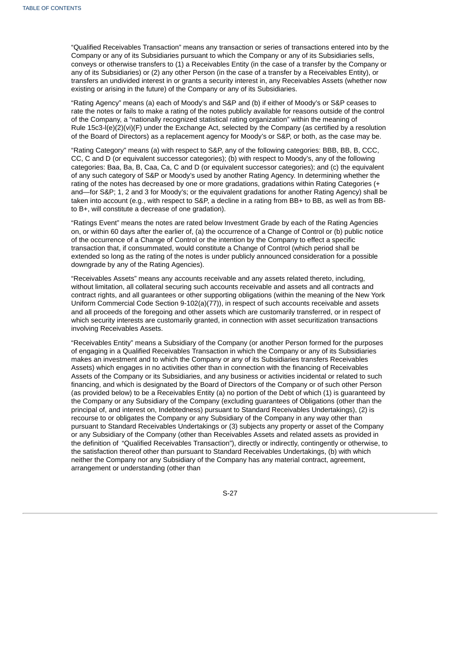"Qualified Receivables Transaction" means any transaction or series of transactions entered into by the Company or any of its Subsidiaries pursuant to which the Company or any of its Subsidiaries sells, conveys or otherwise transfers to (1) a Receivables Entity (in the case of a transfer by the Company or any of its Subsidiaries) or (2) any other Person (in the case of a transfer by a Receivables Entity), or transfers an undivided interest in or grants a security interest in, any Receivables Assets (whether now existing or arising in the future) of the Company or any of its Subsidiaries.

"Rating Agency" means (a) each of Moody's and S&P and (b) if either of Moody's or S&P ceases to rate the notes or fails to make a rating of the notes publicly available for reasons outside of the control of the Company, a "nationally recognized statistical rating organization" within the meaning of Rule 15c3-l(e)(2)(vi)(F) under the Exchange Act, selected by the Company (as certified by a resolution of the Board of Directors) as a replacement agency for Moody's or S&P, or both, as the case may be.

"Rating Category" means (a) with respect to S&P, any of the following categories: BBB, BB, B, CCC, CC, C and D (or equivalent successor categories); (b) with respect to Moody's, any of the following categories: Baa, Ba, B, Caa, Ca, C and D (or equivalent successor categories); and (c) the equivalent of any such category of S&P or Moody's used by another Rating Agency. In determining whether the rating of the notes has decreased by one or more gradations, gradations within Rating Categories (+ and—for S&P; 1, 2 and 3 for Moody's; or the equivalent gradations for another Rating Agency) shall be taken into account (e.g., with respect to S&P, a decline in a rating from BB+ to BB, as well as from BBto B+, will constitute a decrease of one gradation).

"Ratings Event" means the notes are rated below Investment Grade by each of the Rating Agencies on, or within 60 days after the earlier of, (a) the occurrence of a Change of Control or (b) public notice of the occurrence of a Change of Control or the intention by the Company to effect a specific transaction that, if consummated, would constitute a Change of Control (which period shall be extended so long as the rating of the notes is under publicly announced consideration for a possible downgrade by any of the Rating Agencies).

"Receivables Assets" means any accounts receivable and any assets related thereto, including, without limitation, all collateral securing such accounts receivable and assets and all contracts and contract rights, and all guarantees or other supporting obligations (within the meaning of the New York Uniform Commercial Code Section 9-102(a)(77)), in respect of such accounts receivable and assets and all proceeds of the foregoing and other assets which are customarily transferred, or in respect of which security interests are customarily granted, in connection with asset securitization transactions involving Receivables Assets.

"Receivables Entity" means a Subsidiary of the Company (or another Person formed for the purposes of engaging in a Qualified Receivables Transaction in which the Company or any of its Subsidiaries makes an investment and to which the Company or any of its Subsidiaries transfers Receivables Assets) which engages in no activities other than in connection with the financing of Receivables Assets of the Company or its Subsidiaries, and any business or activities incidental or related to such financing, and which is designated by the Board of Directors of the Company or of such other Person (as provided below) to be a Receivables Entity (a) no portion of the Debt of which (1) is guaranteed by the Company or any Subsidiary of the Company (excluding guarantees of Obligations (other than the principal of, and interest on, Indebtedness) pursuant to Standard Receivables Undertakings), (2) is recourse to or obligates the Company or any Subsidiary of the Company in any way other than pursuant to Standard Receivables Undertakings or (3) subjects any property or asset of the Company or any Subsidiary of the Company (other than Receivables Assets and related assets as provided in the definition of "Qualified Receivables Transaction"), directly or indirectly, contingently or otherwise, to the satisfaction thereof other than pursuant to Standard Receivables Undertakings, (b) with which neither the Company nor any Subsidiary of the Company has any material contract, agreement, arrangement or understanding (other than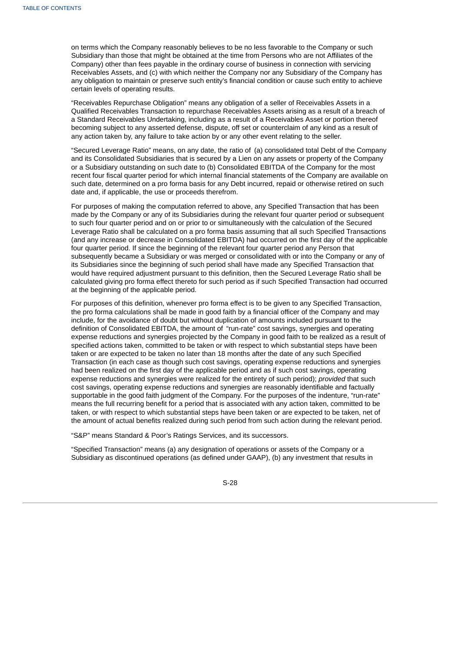on terms which the Company reasonably believes to be no less favorable to the Company or such Subsidiary than those that might be obtained at the time from Persons who are not Affiliates of the Company) other than fees payable in the ordinary course of business in connection with servicing Receivables Assets, and (c) with which neither the Company nor any Subsidiary of the Company has any obligation to maintain or preserve such entity's financial condition or cause such entity to achieve certain levels of operating results.

"Receivables Repurchase Obligation" means any obligation of a seller of Receivables Assets in a Qualified Receivables Transaction to repurchase Receivables Assets arising as a result of a breach of a Standard Receivables Undertaking, including as a result of a Receivables Asset or portion thereof becoming subject to any asserted defense, dispute, off set or counterclaim of any kind as a result of any action taken by, any failure to take action by or any other event relating to the seller.

"Secured Leverage Ratio" means, on any date, the ratio of (a) consolidated total Debt of the Company and its Consolidated Subsidiaries that is secured by a Lien on any assets or property of the Company or a Subsidiary outstanding on such date to (b) Consolidated EBITDA of the Company for the most recent four fiscal quarter period for which internal financial statements of the Company are available on such date, determined on a pro forma basis for any Debt incurred, repaid or otherwise retired on such date and, if applicable, the use or proceeds therefrom.

For purposes of making the computation referred to above, any Specified Transaction that has been made by the Company or any of its Subsidiaries during the relevant four quarter period or subsequent to such four quarter period and on or prior to or simultaneously with the calculation of the Secured Leverage Ratio shall be calculated on a pro forma basis assuming that all such Specified Transactions (and any increase or decrease in Consolidated EBITDA) had occurred on the first day of the applicable four quarter period. If since the beginning of the relevant four quarter period any Person that subsequently became a Subsidiary or was merged or consolidated with or into the Company or any of its Subsidiaries since the beginning of such period shall have made any Specified Transaction that would have required adjustment pursuant to this definition, then the Secured Leverage Ratio shall be calculated giving pro forma effect thereto for such period as if such Specified Transaction had occurred at the beginning of the applicable period.

For purposes of this definition, whenever pro forma effect is to be given to any Specified Transaction, the pro forma calculations shall be made in good faith by a financial officer of the Company and may include, for the avoidance of doubt but without duplication of amounts included pursuant to the definition of Consolidated EBITDA, the amount of "run-rate" cost savings, synergies and operating expense reductions and synergies projected by the Company in good faith to be realized as a result of specified actions taken, committed to be taken or with respect to which substantial steps have been taken or are expected to be taken no later than 18 months after the date of any such Specified Transaction (in each case as though such cost savings, operating expense reductions and synergies had been realized on the first day of the applicable period and as if such cost savings, operating expense reductions and synergies were realized for the entirety of such period); *provided* that such cost savings, operating expense reductions and synergies are reasonably identifiable and factually supportable in the good faith judgment of the Company. For the purposes of the indenture, "run-rate" means the full recurring benefit for a period that is associated with any action taken, committed to be taken, or with respect to which substantial steps have been taken or are expected to be taken, net of the amount of actual benefits realized during such period from such action during the relevant period.

"S&P" means Standard & Poor's Ratings Services, and its successors.

"Specified Transaction" means (a) any designation of operations or assets of the Company or a Subsidiary as discontinued operations (as defined under GAAP), (b) any investment that results in

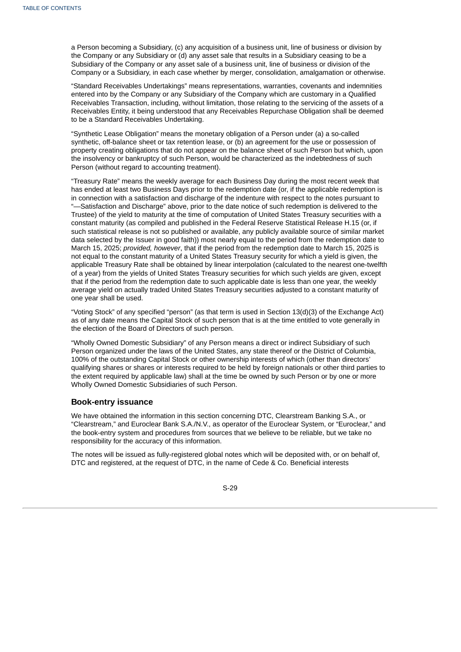a Person becoming a Subsidiary, (c) any acquisition of a business unit, line of business or division by the Company or any Subsidiary or (d) any asset sale that results in a Subsidiary ceasing to be a Subsidiary of the Company or any asset sale of a business unit, line of business or division of the Company or a Subsidiary, in each case whether by merger, consolidation, amalgamation or otherwise.

"Standard Receivables Undertakings" means representations, warranties, covenants and indemnities entered into by the Company or any Subsidiary of the Company which are customary in a Qualified Receivables Transaction, including, without limitation, those relating to the servicing of the assets of a Receivables Entity, it being understood that any Receivables Repurchase Obligation shall be deemed to be a Standard Receivables Undertaking.

"Synthetic Lease Obligation" means the monetary obligation of a Person under (a) a so-called synthetic, off-balance sheet or tax retention lease, or (b) an agreement for the use or possession of property creating obligations that do not appear on the balance sheet of such Person but which, upon the insolvency or bankruptcy of such Person, would be characterized as the indebtedness of such Person (without regard to accounting treatment).

"Treasury Rate" means the weekly average for each Business Day during the most recent week that has ended at least two Business Days prior to the redemption date (or, if the applicable redemption is in connection with a satisfaction and discharge of the indenture with respect to the notes pursuant to "—Satisfaction and Discharge" above, prior to the date notice of such redemption is delivered to the Trustee) of the yield to maturity at the time of computation of United States Treasury securities with a constant maturity (as compiled and published in the Federal Reserve Statistical Release H.15 (or, if such statistical release is not so published or available, any publicly available source of similar market data selected by the Issuer in good faith)) most nearly equal to the period from the redemption date to March 15, 2025; *provided, however*, that if the period from the redemption date to March 15, 2025 is not equal to the constant maturity of a United States Treasury security for which a yield is given, the applicable Treasury Rate shall be obtained by linear interpolation (calculated to the nearest one-twelfth of a year) from the yields of United States Treasury securities for which such yields are given, except that if the period from the redemption date to such applicable date is less than one year, the weekly average yield on actually traded United States Treasury securities adjusted to a constant maturity of one year shall be used.

"Voting Stock" of any specified "person" (as that term is used in Section 13(d)(3) of the Exchange Act) as of any date means the Capital Stock of such person that is at the time entitled to vote generally in the election of the Board of Directors of such person.

"Wholly Owned Domestic Subsidiary" of any Person means a direct or indirect Subsidiary of such Person organized under the laws of the United States, any state thereof or the District of Columbia, 100% of the outstanding Capital Stock or other ownership interests of which (other than directors' qualifying shares or shares or interests required to be held by foreign nationals or other third parties to the extent required by applicable law) shall at the time be owned by such Person or by one or more Wholly Owned Domestic Subsidiaries of such Person.

### **Book-entry issuance**

We have obtained the information in this section concerning DTC, Clearstream Banking S.A., or "Clearstream," and Euroclear Bank S.A./N.V., as operator of the Euroclear System, or "Euroclear," and the book-entry system and procedures from sources that we believe to be reliable, but we take no responsibility for the accuracy of this information.

The notes will be issued as fully-registered global notes which will be deposited with, or on behalf of, DTC and registered, at the request of DTC, in the name of Cede & Co. Beneficial interests

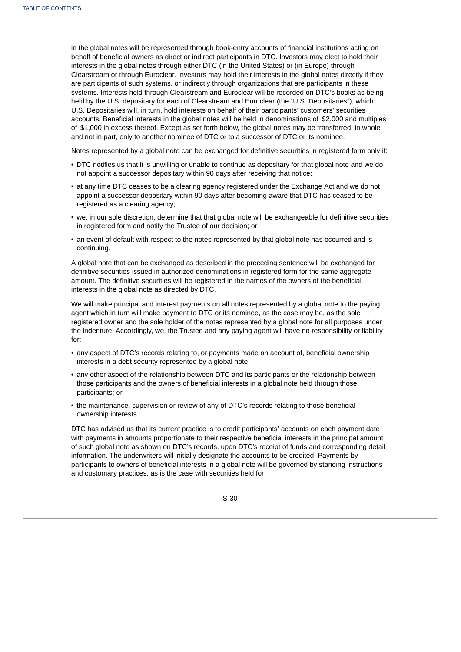in the global notes will be represented through book-entry accounts of financial institutions acting on behalf of beneficial owners as direct or indirect participants in DTC. Investors may elect to hold their interests in the global notes through either DTC (in the United States) or (in Europe) through Clearstream or through Euroclear. Investors may hold their interests in the global notes directly if they are participants of such systems, or indirectly through organizations that are participants in these systems. Interests held through Clearstream and Euroclear will be recorded on DTC's books as being held by the U.S. depositary for each of Clearstream and Euroclear (the "U.S. Depositaries"), which U.S. Depositaries will, in turn, hold interests on behalf of their participants' customers' securities accounts. Beneficial interests in the global notes will be held in denominations of \$2,000 and multiples of \$1,000 in excess thereof. Except as set forth below, the global notes may be transferred, in whole and not in part, only to another nominee of DTC or to a successor of DTC or its nominee.

Notes represented by a global note can be exchanged for definitive securities in registered form only if:

- DTC notifies us that it is unwilling or unable to continue as depositary for that global note and we do not appoint a successor depositary within 90 days after receiving that notice;
- at any time DTC ceases to be a clearing agency registered under the Exchange Act and we do not appoint a successor depositary within 90 days after becoming aware that DTC has ceased to be registered as a clearing agency;
- we, in our sole discretion, determine that that global note will be exchangeable for definitive securities in registered form and notify the Trustee of our decision; or
- an event of default with respect to the notes represented by that global note has occurred and is continuing.

A global note that can be exchanged as described in the preceding sentence will be exchanged for definitive securities issued in authorized denominations in registered form for the same aggregate amount. The definitive securities will be registered in the names of the owners of the beneficial interests in the global note as directed by DTC.

We will make principal and interest payments on all notes represented by a global note to the paying agent which in turn will make payment to DTC or its nominee, as the case may be, as the sole registered owner and the sole holder of the notes represented by a global note for all purposes under the indenture. Accordingly, we, the Trustee and any paying agent will have no responsibility or liability for:

- any aspect of DTC's records relating to, or payments made on account of, beneficial ownership interests in a debt security represented by a global note;
- any other aspect of the relationship between DTC and its participants or the relationship between those participants and the owners of beneficial interests in a global note held through those participants; or
- the maintenance, supervision or review of any of DTC's records relating to those beneficial ownership interests.

DTC has advised us that its current practice is to credit participants' accounts on each payment date with payments in amounts proportionate to their respective beneficial interests in the principal amount of such global note as shown on DTC's records, upon DTC's receipt of funds and corresponding detail information. The underwriters will initially designate the accounts to be credited. Payments by participants to owners of beneficial interests in a global note will be governed by standing instructions and customary practices, as is the case with securities held for

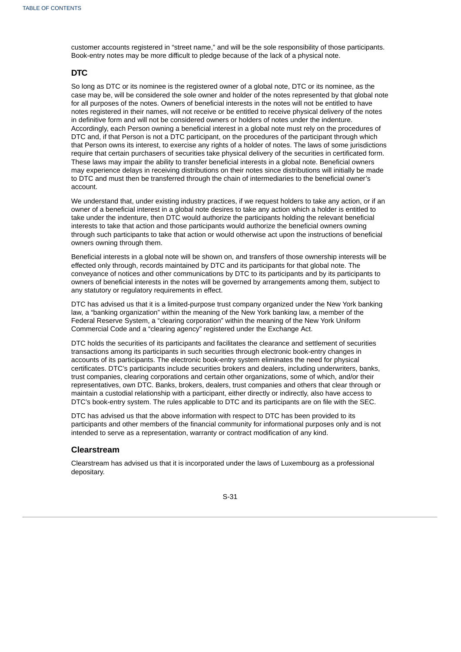customer accounts registered in "street name," and will be the sole responsibility of those participants. Book-entry notes may be more difficult to pledge because of the lack of a physical note.

# **DTC**

So long as DTC or its nominee is the registered owner of a global note, DTC or its nominee, as the case may be, will be considered the sole owner and holder of the notes represented by that global note for all purposes of the notes. Owners of beneficial interests in the notes will not be entitled to have notes registered in their names, will not receive or be entitled to receive physical delivery of the notes in definitive form and will not be considered owners or holders of notes under the indenture. Accordingly, each Person owning a beneficial interest in a global note must rely on the procedures of DTC and, if that Person is not a DTC participant, on the procedures of the participant through which that Person owns its interest, to exercise any rights of a holder of notes. The laws of some jurisdictions require that certain purchasers of securities take physical delivery of the securities in certificated form. These laws may impair the ability to transfer beneficial interests in a global note. Beneficial owners may experience delays in receiving distributions on their notes since distributions will initially be made to DTC and must then be transferred through the chain of intermediaries to the beneficial owner's account.

We understand that, under existing industry practices, if we request holders to take any action, or if an owner of a beneficial interest in a global note desires to take any action which a holder is entitled to take under the indenture, then DTC would authorize the participants holding the relevant beneficial interests to take that action and those participants would authorize the beneficial owners owning through such participants to take that action or would otherwise act upon the instructions of beneficial owners owning through them.

Beneficial interests in a global note will be shown on, and transfers of those ownership interests will be effected only through, records maintained by DTC and its participants for that global note. The conveyance of notices and other communications by DTC to its participants and by its participants to owners of beneficial interests in the notes will be governed by arrangements among them, subject to any statutory or regulatory requirements in effect.

DTC has advised us that it is a limited-purpose trust company organized under the New York banking law, a "banking organization" within the meaning of the New York banking law, a member of the Federal Reserve System, a "clearing corporation" within the meaning of the New York Uniform Commercial Code and a "clearing agency" registered under the Exchange Act.

DTC holds the securities of its participants and facilitates the clearance and settlement of securities transactions among its participants in such securities through electronic book-entry changes in accounts of its participants. The electronic book-entry system eliminates the need for physical certificates. DTC's participants include securities brokers and dealers, including underwriters, banks, trust companies, clearing corporations and certain other organizations, some of which, and/or their representatives, own DTC. Banks, brokers, dealers, trust companies and others that clear through or maintain a custodial relationship with a participant, either directly or indirectly, also have access to DTC's book-entry system. The rules applicable to DTC and its participants are on file with the SEC.

DTC has advised us that the above information with respect to DTC has been provided to its participants and other members of the financial community for informational purposes only and is not intended to serve as a representation, warranty or contract modification of any kind.

## **Clearstream**

Clearstream has advised us that it is incorporated under the laws of Luxembourg as a professional depositary.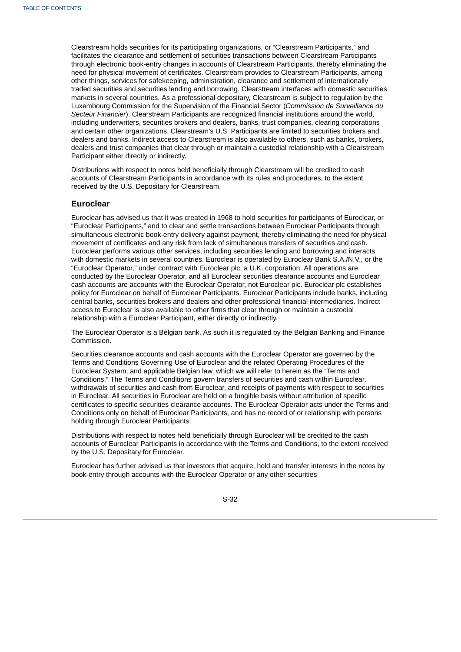Clearstream holds securities for its participating organizations, or "Clearstream Participants," and facilitates the clearance and settlement of securities transactions between Clearstream Participants through electronic book-entry changes in accounts of Clearstream Participants, thereby eliminating the need for physical movement of certificates. Clearstream provides to Clearstream Participants, among other things, services for safekeeping, administration, clearance and settlement of internationally traded securities and securities lending and borrowing. Clearstream interfaces with domestic securities markets in several countries. As a professional depositary, Clearstream is subject to regulation by the Luxembourg Commission for the Supervision of the Financial Sector (*Commission de Surveillance du Secteur Financier*). Clearstream Participants are recognized financial institutions around the world, including underwriters, securities brokers and dealers, banks, trust companies, clearing corporations and certain other organizations. Clearstream's U.S. Participants are limited to securities brokers and dealers and banks. Indirect access to Clearstream is also available to others, such as banks, brokers, dealers and trust companies that clear through or maintain a custodial relationship with a Clearstream Participant either directly or indirectly.

Distributions with respect to notes held beneficially through Clearstream will be credited to cash accounts of Clearstream Participants in accordance with its rules and procedures, to the extent received by the U.S. Depositary for Clearstream.

### **Euroclear**

Euroclear has advised us that it was created in 1968 to hold securities for participants of Euroclear, or "Euroclear Participants," and to clear and settle transactions between Euroclear Participants through simultaneous electronic book-entry delivery against payment, thereby eliminating the need for physical movement of certificates and any risk from lack of simultaneous transfers of securities and cash. Euroclear performs various other services, including securities lending and borrowing and interacts with domestic markets in several countries. Euroclear is operated by Euroclear Bank S.A./N.V., or the "Euroclear Operator," under contract with Euroclear plc, a U.K. corporation. All operations are conducted by the Euroclear Operator, and all Euroclear securities clearance accounts and Euroclear cash accounts are accounts with the Euroclear Operator, not Euroclear plc. Euroclear plc establishes policy for Euroclear on behalf of Euroclear Participants. Euroclear Participants include banks, including central banks, securities brokers and dealers and other professional financial intermediaries. Indirect access to Euroclear is also available to other firms that clear through or maintain a custodial relationship with a Euroclear Participant, either directly or indirectly.

The Euroclear Operator is a Belgian bank. As such it is regulated by the Belgian Banking and Finance Commission.

Securities clearance accounts and cash accounts with the Euroclear Operator are governed by the Terms and Conditions Governing Use of Euroclear and the related Operating Procedures of the Euroclear System, and applicable Belgian law, which we will refer to herein as the "Terms and Conditions." The Terms and Conditions govern transfers of securities and cash within Euroclear, withdrawals of securities and cash from Euroclear, and receipts of payments with respect to securities in Euroclear. All securities in Euroclear are held on a fungible basis without attribution of specific certificates to specific securities clearance accounts. The Euroclear Operator acts under the Terms and Conditions only on behalf of Euroclear Participants, and has no record of or relationship with persons holding through Euroclear Participants.

Distributions with respect to notes held beneficially through Euroclear will be credited to the cash accounts of Euroclear Participants in accordance with the Terms and Conditions, to the extent received by the U.S. Depositary for Euroclear.

Euroclear has further advised us that investors that acquire, hold and transfer interests in the notes by book-entry through accounts with the Euroclear Operator or any other securities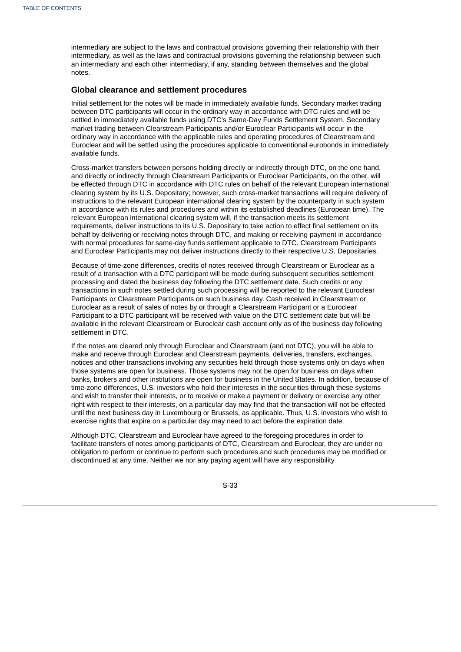intermediary are subject to the laws and contractual provisions governing their relationship with their intermediary, as well as the laws and contractual provisions governing the relationship between such an intermediary and each other intermediary, if any, standing between themselves and the global notes.

# **Global clearance and settlement procedures**

Initial settlement for the notes will be made in immediately available funds. Secondary market trading between DTC participants will occur in the ordinary way in accordance with DTC rules and will be settled in immediately available funds using DTC's Same-Day Funds Settlement System. Secondary market trading between Clearstream Participants and/or Euroclear Participants will occur in the ordinary way in accordance with the applicable rules and operating procedures of Clearstream and Euroclear and will be settled using the procedures applicable to conventional eurobonds in immediately available funds.

Cross-market transfers between persons holding directly or indirectly through DTC, on the one hand, and directly or indirectly through Clearstream Participants or Euroclear Participants, on the other, will be effected through DTC in accordance with DTC rules on behalf of the relevant European international clearing system by its U.S. Depositary; however, such cross-market transactions will require delivery of instructions to the relevant European international clearing system by the counterparty in such system in accordance with its rules and procedures and within its established deadlines (European time). The relevant European international clearing system will, if the transaction meets its settlement requirements, deliver instructions to its U.S. Depositary to take action to effect final settlement on its behalf by delivering or receiving notes through DTC, and making or receiving payment in accordance with normal procedures for same-day funds settlement applicable to DTC. Clearstream Participants and Euroclear Participants may not deliver instructions directly to their respective U.S. Depositaries.

Because of time-zone differences, credits of notes received through Clearstream or Euroclear as a result of a transaction with a DTC participant will be made during subsequent securities settlement processing and dated the business day following the DTC settlement date. Such credits or any transactions in such notes settled during such processing will be reported to the relevant Euroclear Participants or Clearstream Participants on such business day. Cash received in Clearstream or Euroclear as a result of sales of notes by or through a Clearstream Participant or a Euroclear Participant to a DTC participant will be received with value on the DTC settlement date but will be available in the relevant Clearstream or Euroclear cash account only as of the business day following settlement in DTC.

If the notes are cleared only through Euroclear and Clearstream (and not DTC), you will be able to make and receive through Euroclear and Clearstream payments, deliveries, transfers, exchanges, notices and other transactions involving any securities held through those systems only on days when those systems are open for business. Those systems may not be open for business on days when banks, brokers and other institutions are open for business in the United States. In addition, because of time-zone differences, U.S. investors who hold their interests in the securities through these systems and wish to transfer their interests, or to receive or make a payment or delivery or exercise any other right with respect to their interests, on a particular day may find that the transaction will not be effected until the next business day in Luxembourg or Brussels, as applicable. Thus, U.S. investors who wish to exercise rights that expire on a particular day may need to act before the expiration date.

Although DTC, Clearstream and Euroclear have agreed to the foregoing procedures in order to facilitate transfers of notes among participants of DTC, Clearstream and Euroclear, they are under no obligation to perform or continue to perform such procedures and such procedures may be modified or discontinued at any time. Neither we nor any paying agent will have any responsibility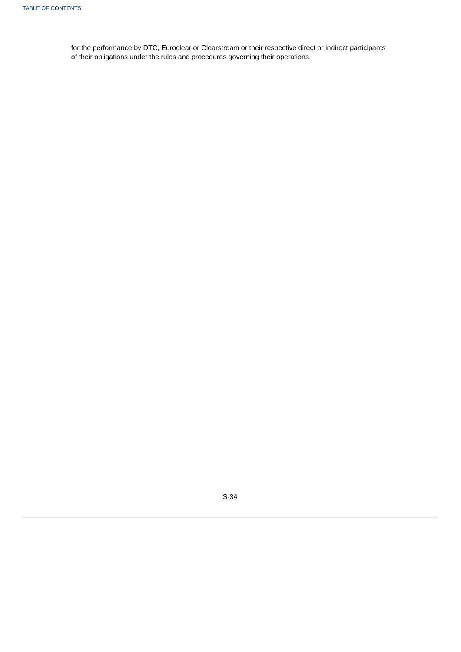for the performance by DTC, Euroclear or Clearstream or their respective direct or indirect participants of their obligations under the rules and procedures governing their operations.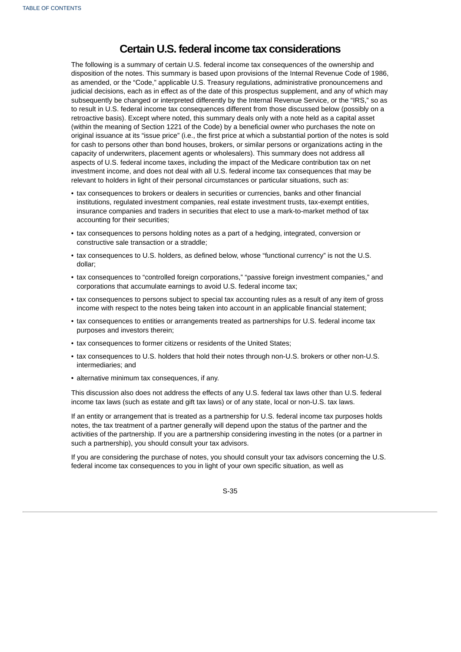# **Certain U.S. federal income tax considerations**

The following is a summary of certain U.S. federal income tax consequences of the ownership and disposition of the notes. This summary is based upon provisions of the Internal Revenue Code of 1986, as amended, or the "Code," applicable U.S. Treasury regulations, administrative pronouncemens and judicial decisions, each as in effect as of the date of this prospectus supplement, and any of which may subsequently be changed or interpreted differently by the Internal Revenue Service, or the "IRS," so as to result in U.S. federal income tax consequences different from those discussed below (possibly on a retroactive basis). Except where noted, this summary deals only with a note held as a capital asset (within the meaning of Section 1221 of the Code) by a beneficial owner who purchases the note on original issuance at its "issue price" (i.e., the first price at which a substantial portion of the notes is sold for cash to persons other than bond houses, brokers, or similar persons or organizations acting in the capacity of underwriters, placement agents or wholesalers). This summary does not address all aspects of U.S. federal income taxes, including the impact of the Medicare contribution tax on net investment income, and does not deal with all U.S. federal income tax consequences that may be relevant to holders in light of their personal circumstances or particular situations, such as:

- tax consequences to brokers or dealers in securities or currencies, banks and other financial institutions, regulated investment companies, real estate investment trusts, tax-exempt entities, insurance companies and traders in securities that elect to use a mark-to-market method of tax accounting for their securities;
- tax consequences to persons holding notes as a part of a hedging, integrated, conversion or constructive sale transaction or a straddle;
- tax consequences to U.S. holders, as defined below, whose "functional currency" is not the U.S. dollar;
- tax consequences to "controlled foreign corporations," "passive foreign investment companies," and corporations that accumulate earnings to avoid U.S. federal income tax;
- tax consequences to persons subject to special tax accounting rules as a result of any item of gross income with respect to the notes being taken into account in an applicable financial statement;
- tax consequences to entities or arrangements treated as partnerships for U.S. federal income tax purposes and investors therein;
- tax consequences to former citizens or residents of the United States;
- tax consequences to U.S. holders that hold their notes through non-U.S. brokers or other non-U.S. intermediaries; and
- alternative minimum tax consequences, if any.

This discussion also does not address the effects of any U.S. federal tax laws other than U.S. federal income tax laws (such as estate and gift tax laws) or of any state, local or non-U.S. tax laws.

If an entity or arrangement that is treated as a partnership for U.S. federal income tax purposes holds notes, the tax treatment of a partner generally will depend upon the status of the partner and the activities of the partnership. If you are a partnership considering investing in the notes (or a partner in such a partnership), you should consult your tax advisors.

If you are considering the purchase of notes, you should consult your tax advisors concerning the U.S. federal income tax consequences to you in light of your own specific situation, as well as

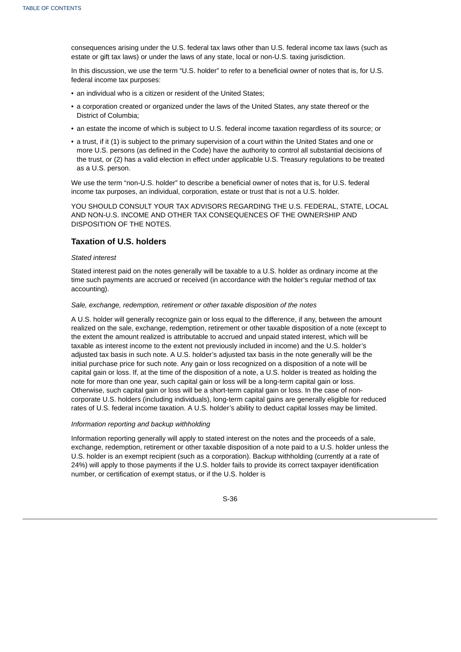consequences arising under the U.S. federal tax laws other than U.S. federal income tax laws (such as estate or gift tax laws) or under the laws of any state, local or non-U.S. taxing jurisdiction.

In this discussion, we use the term "U.S. holder" to refer to a beneficial owner of notes that is, for U.S. federal income tax purposes:

- an individual who is a citizen or resident of the United States;
- a corporation created or organized under the laws of the United States, any state thereof or the District of Columbia;
- an estate the income of which is subject to U.S. federal income taxation regardless of its source; or
- a trust, if it (1) is subject to the primary supervision of a court within the United States and one or more U.S. persons (as defined in the Code) have the authority to control all substantial decisions of the trust, or (2) has a valid election in effect under applicable U.S. Treasury regulations to be treated as a U.S. person.

We use the term "non-U.S. holder" to describe a beneficial owner of notes that is, for U.S. federal income tax purposes, an individual, corporation, estate or trust that is not a U.S. holder.

YOU SHOULD CONSULT YOUR TAX ADVISORS REGARDING THE U.S. FEDERAL, STATE, LOCAL AND NON-U.S. INCOME AND OTHER TAX CONSEQUENCES OF THE OWNERSHIP AND DISPOSITION OF THE NOTES.

# **Taxation of U.S. holders**

#### *Stated interest*

Stated interest paid on the notes generally will be taxable to a U.S. holder as ordinary income at the time such payments are accrued or received (in accordance with the holder's regular method of tax accounting).

#### *Sale, exchange, redemption, retirement or other taxable disposition of the notes*

A U.S. holder will generally recognize gain or loss equal to the difference, if any, between the amount realized on the sale, exchange, redemption, retirement or other taxable disposition of a note (except to the extent the amount realized is attributable to accrued and unpaid stated interest, which will be taxable as interest income to the extent not previously included in income) and the U.S. holder's adjusted tax basis in such note. A U.S. holder's adjusted tax basis in the note generally will be the initial purchase price for such note. Any gain or loss recognized on a disposition of a note will be capital gain or loss. If, at the time of the disposition of a note, a U.S. holder is treated as holding the note for more than one year, such capital gain or loss will be a long-term capital gain or loss. Otherwise, such capital gain or loss will be a short-term capital gain or loss. In the case of noncorporate U.S. holders (including individuals), long-term capital gains are generally eligible for reduced rates of U.S. federal income taxation. A U.S. holder's ability to deduct capital losses may be limited.

# *Information reporting and backup withholding*

Information reporting generally will apply to stated interest on the notes and the proceeds of a sale, exchange, redemption, retirement or other taxable disposition of a note paid to a U.S. holder unless the U.S. holder is an exempt recipient (such as a corporation). Backup withholding (currently at a rate of 24%) will apply to those payments if the U.S. holder fails to provide its correct taxpayer identification number, or certification of exempt status, or if the U.S. holder is

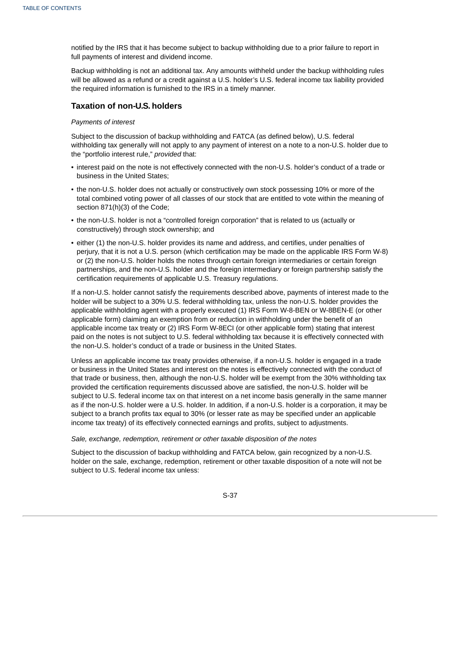notified by the IRS that it has become subject to backup withholding due to a prior failure to report in full payments of interest and dividend income.

Backup withholding is not an additional tax. Any amounts withheld under the backup withholding rules will be allowed as a refund or a credit against a U.S. holder's U.S. federal income tax liability provided the required information is furnished to the IRS in a timely manner.

# **Taxation of non-U.S. holders**

# *Payments of interest*

Subject to the discussion of backup withholding and FATCA (as defined below), U.S. federal withholding tax generally will not apply to any payment of interest on a note to a non-U.S. holder due to the "portfolio interest rule," *provided* that:

- interest paid on the note is not effectively connected with the non-U.S. holder's conduct of a trade or business in the United States;
- the non-U.S. holder does not actually or constructively own stock possessing 10% or more of the total combined voting power of all classes of our stock that are entitled to vote within the meaning of section 871(h)(3) of the Code;
- the non-U.S. holder is not a "controlled foreign corporation" that is related to us (actually or constructively) through stock ownership; and
- either (1) the non-U.S. holder provides its name and address, and certifies, under penalties of perjury, that it is not a U.S. person (which certification may be made on the applicable IRS Form W-8) or (2) the non-U.S. holder holds the notes through certain foreign intermediaries or certain foreign partnerships, and the non-U.S. holder and the foreign intermediary or foreign partnership satisfy the certification requirements of applicable U.S. Treasury regulations.

If a non-U.S. holder cannot satisfy the requirements described above, payments of interest made to the holder will be subject to a 30% U.S. federal withholding tax, unless the non-U.S. holder provides the applicable withholding agent with a properly executed (1) IRS Form W-8-BEN or W-8BEN-E (or other applicable form) claiming an exemption from or reduction in withholding under the benefit of an applicable income tax treaty or (2) IRS Form W-8ECI (or other applicable form) stating that interest paid on the notes is not subject to U.S. federal withholding tax because it is effectively connected with the non-U.S. holder's conduct of a trade or business in the United States.

Unless an applicable income tax treaty provides otherwise, if a non-U.S. holder is engaged in a trade or business in the United States and interest on the notes is effectively connected with the conduct of that trade or business, then, although the non-U.S. holder will be exempt from the 30% withholding tax provided the certification requirements discussed above are satisfied, the non-U.S. holder will be subject to U.S. federal income tax on that interest on a net income basis generally in the same manner as if the non-U.S. holder were a U.S. holder. In addition, if a non-U.S. holder is a corporation, it may be subject to a branch profits tax equal to 30% (or lesser rate as may be specified under an applicable income tax treaty) of its effectively connected earnings and profits, subject to adjustments.

*Sale, exchange, redemption, retirement or other taxable disposition of the notes*

Subject to the discussion of backup withholding and FATCA below, gain recognized by a non-U.S. holder on the sale, exchange, redemption, retirement or other taxable disposition of a note will not be subject to U.S. federal income tax unless:

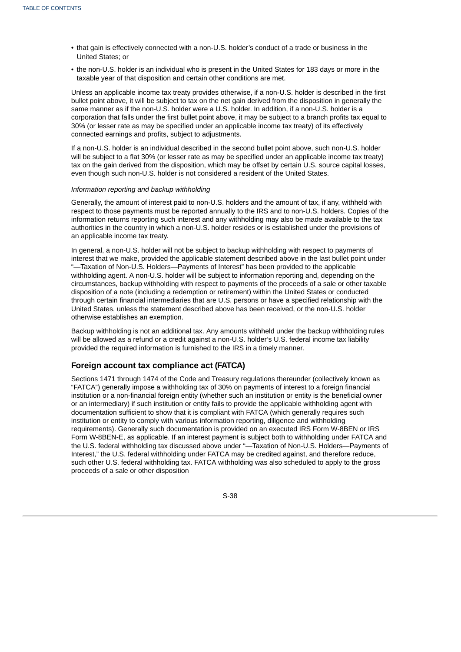- that gain is effectively connected with a non-U.S. holder's conduct of a trade or business in the United States; or
- the non-U.S. holder is an individual who is present in the United States for 183 days or more in the taxable year of that disposition and certain other conditions are met.

Unless an applicable income tax treaty provides otherwise, if a non-U.S. holder is described in the first bullet point above, it will be subject to tax on the net gain derived from the disposition in generally the same manner as if the non-U.S. holder were a U.S. holder. In addition, if a non-U.S. holder is a corporation that falls under the first bullet point above, it may be subject to a branch profits tax equal to 30% (or lesser rate as may be specified under an applicable income tax treaty) of its effectively connected earnings and profits, subject to adjustments.

If a non-U.S. holder is an individual described in the second bullet point above, such non-U.S. holder will be subject to a flat 30% (or lesser rate as may be specified under an applicable income tax treaty) tax on the gain derived from the disposition, which may be offset by certain U.S. source capital losses, even though such non-U.S. holder is not considered a resident of the United States.

## *Information reporting and backup withholding*

Generally, the amount of interest paid to non-U.S. holders and the amount of tax, if any, withheld with respect to those payments must be reported annually to the IRS and to non-U.S. holders. Copies of the information returns reporting such interest and any withholding may also be made available to the tax authorities in the country in which a non-U.S. holder resides or is established under the provisions of an applicable income tax treaty.

In general, a non-U.S. holder will not be subject to backup withholding with respect to payments of interest that we make, provided the applicable statement described above in the last bullet point under "—Taxation of Non-U.S. Holders—Payments of Interest" has been provided to the applicable withholding agent. A non-U.S. holder will be subject to information reporting and, depending on the circumstances, backup withholding with respect to payments of the proceeds of a sale or other taxable disposition of a note (including a redemption or retirement) within the United States or conducted through certain financial intermediaries that are U.S. persons or have a specified relationship with the United States, unless the statement described above has been received, or the non-U.S. holder otherwise establishes an exemption.

Backup withholding is not an additional tax. Any amounts withheld under the backup withholding rules will be allowed as a refund or a credit against a non-U.S. holder's U.S. federal income tax liability provided the required information is furnished to the IRS in a timely manner.

# **Foreign account tax compliance act (FATCA)**

Sections 1471 through 1474 of the Code and Treasury regulations thereunder (collectively known as "FATCA") generally impose a withholding tax of 30% on payments of interest to a foreign financial institution or a non-financial foreign entity (whether such an institution or entity is the beneficial owner or an intermediary) if such institution or entity fails to provide the applicable withholding agent with documentation sufficient to show that it is compliant with FATCA (which generally requires such institution or entity to comply with various information reporting, diligence and withholding requirements). Generally such documentation is provided on an executed IRS Form W-8BEN or IRS Form W-8BEN-E, as applicable. If an interest payment is subject both to withholding under FATCA and the U.S. federal withholding tax discussed above under "—Taxation of Non-U.S. Holders—Payments of Interest," the U.S. federal withholding under FATCA may be credited against, and therefore reduce, such other U.S. federal withholding tax. FATCA withholding was also scheduled to apply to the gross proceeds of a sale or other disposition

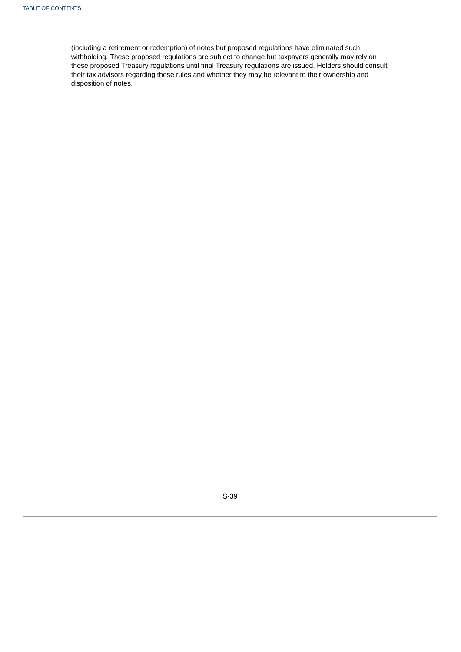(including a retirement or redemption) of notes but proposed regulations have eliminated such withholding. These proposed regulations are subject to change but taxpayers generally may rely on these proposed Treasury regulations until final Treasury regulations are issued. Holders should consult their tax advisors regarding these rules and whether they may be relevant to their ownership and disposition of notes.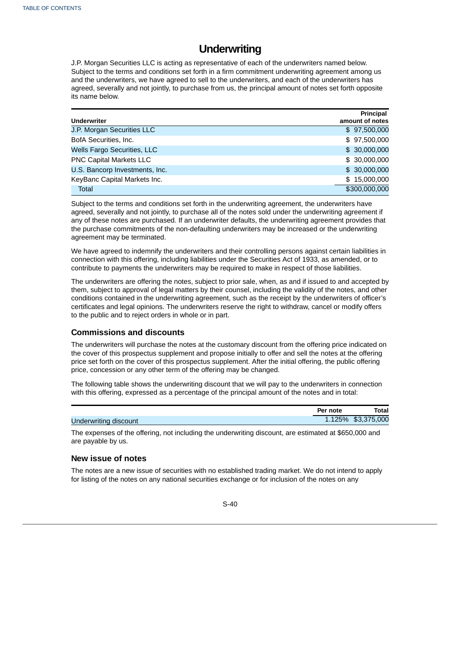# **Underwriting**

J.P. Morgan Securities LLC is acting as representative of each of the underwriters named below. Subject to the terms and conditions set forth in a firm commitment underwriting agreement among us and the underwriters, we have agreed to sell to the underwriters, and each of the underwriters has agreed, severally and not jointly, to purchase from us, the principal amount of notes set forth opposite its name below.

|                                | <b>Principal</b> |
|--------------------------------|------------------|
| <b>Underwriter</b>             | amount of notes  |
| J.P. Morgan Securities LLC     | \$97,500,000     |
| BofA Securities, Inc.          | \$97,500,000     |
| Wells Fargo Securities, LLC    | \$30,000,000     |
| PNC Capital Markets LLC        | \$30,000,000     |
| U.S. Bancorp Investments, Inc. | \$30,000,000     |
| KeyBanc Capital Markets Inc.   | \$15,000,000     |
| <b>Total</b>                   | \$300,000,000    |

Subject to the terms and conditions set forth in the underwriting agreement, the underwriters have agreed, severally and not jointly, to purchase all of the notes sold under the underwriting agreement if any of these notes are purchased. If an underwriter defaults, the underwriting agreement provides that the purchase commitments of the non-defaulting underwriters may be increased or the underwriting agreement may be terminated.

We have agreed to indemnify the underwriters and their controlling persons against certain liabilities in connection with this offering, including liabilities under the Securities Act of 1933, as amended, or to contribute to payments the underwriters may be required to make in respect of those liabilities.

The underwriters are offering the notes, subject to prior sale, when, as and if issued to and accepted by them, subject to approval of legal matters by their counsel, including the validity of the notes, and other conditions contained in the underwriting agreement, such as the receipt by the underwriters of officer's certificates and legal opinions. The underwriters reserve the right to withdraw, cancel or modify offers to the public and to reject orders in whole or in part.

# **Commissions and discounts**

The underwriters will purchase the notes at the customary discount from the offering price indicated on the cover of this prospectus supplement and propose initially to offer and sell the notes at the offering price set forth on the cover of this prospectus supplement. After the initial offering, the public offering price, concession or any other term of the offering may be changed.

The following table shows the underwriting discount that we will pay to the underwriters in connection with this offering, expressed as a percentage of the principal amount of the notes and in total:

|                       | Per note | Total              |
|-----------------------|----------|--------------------|
| Underwriting discount |          | 1.125% \$3,375,000 |

The expenses of the offering, not including the underwriting discount, are estimated at \$650,000 and are payable by us.

# **New issue of notes**

The notes are a new issue of securities with no established trading market. We do not intend to apply for listing of the notes on any national securities exchange or for inclusion of the notes on any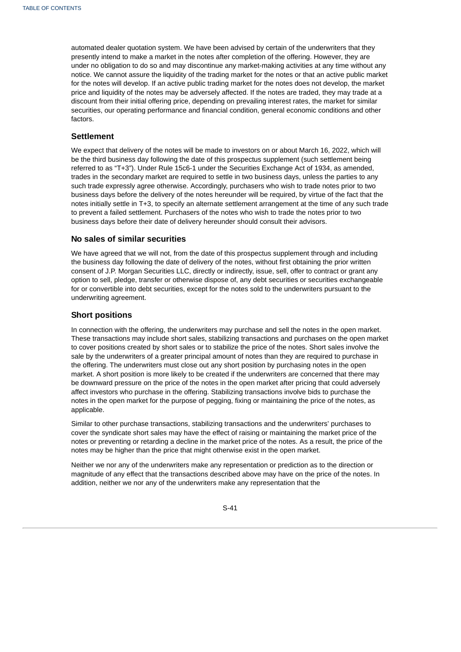automated dealer quotation system. We have been advised by certain of the underwriters that they presently intend to make a market in the notes after completion of the offering. However, they are under no obligation to do so and may discontinue any market-making activities at any time without any notice. We cannot assure the liquidity of the trading market for the notes or that an active public market for the notes will develop. If an active public trading market for the notes does not develop, the market price and liquidity of the notes may be adversely affected. If the notes are traded, they may trade at a discount from their initial offering price, depending on prevailing interest rates, the market for similar securities, our operating performance and financial condition, general economic conditions and other factors.

# **Settlement**

We expect that delivery of the notes will be made to investors on or about March 16, 2022, which will be the third business day following the date of this prospectus supplement (such settlement being referred to as "T+3"). Under Rule 15c6-1 under the Securities Exchange Act of 1934, as amended, trades in the secondary market are required to settle in two business days, unless the parties to any such trade expressly agree otherwise. Accordingly, purchasers who wish to trade notes prior to two business days before the delivery of the notes hereunder will be required, by virtue of the fact that the notes initially settle in T+3, to specify an alternate settlement arrangement at the time of any such trade to prevent a failed settlement. Purchasers of the notes who wish to trade the notes prior to two business days before their date of delivery hereunder should consult their advisors.

## **No sales of similar securities**

We have agreed that we will not, from the date of this prospectus supplement through and including the business day following the date of delivery of the notes, without first obtaining the prior written consent of J.P. Morgan Securities LLC, directly or indirectly, issue, sell, offer to contract or grant any option to sell, pledge, transfer or otherwise dispose of, any debt securities or securities exchangeable for or convertible into debt securities, except for the notes sold to the underwriters pursuant to the underwriting agreement.

# **Short positions**

In connection with the offering, the underwriters may purchase and sell the notes in the open market. These transactions may include short sales, stabilizing transactions and purchases on the open market to cover positions created by short sales or to stabilize the price of the notes. Short sales involve the sale by the underwriters of a greater principal amount of notes than they are required to purchase in the offering. The underwriters must close out any short position by purchasing notes in the open market. A short position is more likely to be created if the underwriters are concerned that there may be downward pressure on the price of the notes in the open market after pricing that could adversely affect investors who purchase in the offering. Stabilizing transactions involve bids to purchase the notes in the open market for the purpose of pegging, fixing or maintaining the price of the notes, as applicable.

Similar to other purchase transactions, stabilizing transactions and the underwriters' purchases to cover the syndicate short sales may have the effect of raising or maintaining the market price of the notes or preventing or retarding a decline in the market price of the notes. As a result, the price of the notes may be higher than the price that might otherwise exist in the open market.

Neither we nor any of the underwriters make any representation or prediction as to the direction or magnitude of any effect that the transactions described above may have on the price of the notes. In addition, neither we nor any of the underwriters make any representation that the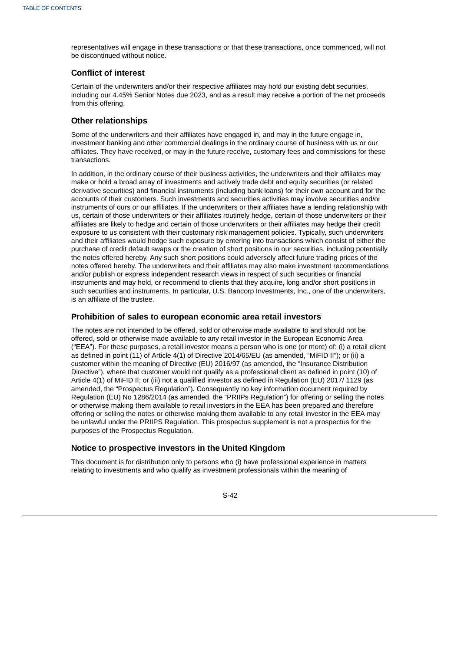representatives will engage in these transactions or that these transactions, once commenced, will not be discontinued without notice.

# **Conflict of interest**

Certain of the underwriters and/or their respective affiliates may hold our existing debt securities, including our 4.45% Senior Notes due 2023, and as a result may receive a portion of the net proceeds from this offering.

# **Other relationships**

Some of the underwriters and their affiliates have engaged in, and may in the future engage in, investment banking and other commercial dealings in the ordinary course of business with us or our affiliates. They have received, or may in the future receive, customary fees and commissions for these transactions.

In addition, in the ordinary course of their business activities, the underwriters and their affiliates may make or hold a broad array of investments and actively trade debt and equity securities (or related derivative securities) and financial instruments (including bank loans) for their own account and for the accounts of their customers. Such investments and securities activities may involve securities and/or instruments of ours or our affiliates. If the underwriters or their affiliates have a lending relationship with us, certain of those underwriters or their affiliates routinely hedge, certain of those underwriters or their affiliates are likely to hedge and certain of those underwriters or their affiliates may hedge their credit exposure to us consistent with their customary risk management policies. Typically, such underwriters and their affiliates would hedge such exposure by entering into transactions which consist of either the purchase of credit default swaps or the creation of short positions in our securities, including potentially the notes offered hereby. Any such short positions could adversely affect future trading prices of the notes offered hereby. The underwriters and their affiliates may also make investment recommendations and/or publish or express independent research views in respect of such securities or financial instruments and may hold, or recommend to clients that they acquire, long and/or short positions in such securities and instruments. In particular, U.S. Bancorp Investments, Inc., one of the underwriters, is an affiliate of the trustee.

# **Prohibition of sales to european economic area retail investors**

The notes are not intended to be offered, sold or otherwise made available to and should not be offered, sold or otherwise made available to any retail investor in the European Economic Area ("EEA"). For these purposes, a retail investor means a person who is one (or more) of: (i) a retail client as defined in point (11) of Article 4(1) of Directive 2014/65/EU (as amended, "MiFID II"); or (ii) a customer within the meaning of Directive (EU) 2016/97 (as amended, the "Insurance Distribution Directive"), where that customer would not qualify as a professional client as defined in point (10) of Article 4(1) of MiFID II; or (iii) not a qualified investor as defined in Regulation (EU) 2017/ 1129 (as amended, the "Prospectus Regulation"). Consequently no key information document required by Regulation (EU) No 1286/2014 (as amended, the "PRIIPs Regulation") for offering or selling the notes or otherwise making them available to retail investors in the EEA has been prepared and therefore offering or selling the notes or otherwise making them available to any retail investor in the EEA may be unlawful under the PRIIPS Regulation. This prospectus supplement is not a prospectus for the purposes of the Prospectus Regulation.

# **Notice to prospective investors in the United Kingdom**

This document is for distribution only to persons who (i) have professional experience in matters relating to investments and who qualify as investment professionals within the meaning of

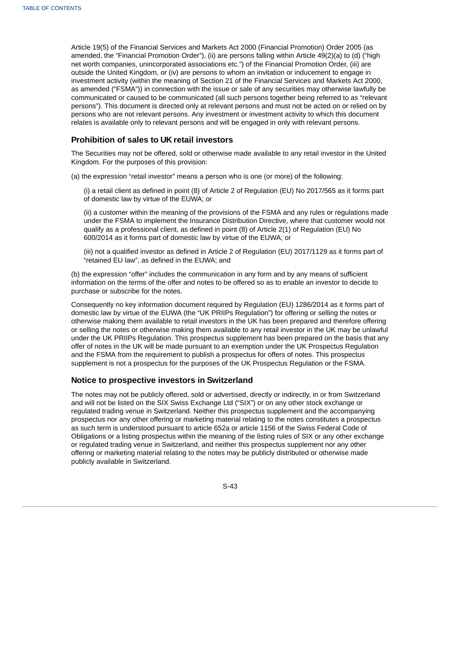Article 19(5) of the Financial Services and Markets Act 2000 (Financial Promotion) Order 2005 (as amended, the "Financial Promotion Order"), (ii) are persons falling within Article 49(2)(a) to (d) ("high net worth companies, unincorporated associations etc.") of the Financial Promotion Order, (iii) are outside the United Kingdom, or (iv) are persons to whom an invitation or inducement to engage in investment activity (within the meaning of Section 21 of the Financial Services and Markets Act 2000, as amended ("FSMA")) in connection with the issue or sale of any securities may otherwise lawfully be communicated or caused to be communicated (all such persons together being referred to as "relevant persons"). This document is directed only at relevant persons and must not be acted on or relied on by persons who are not relevant persons. Any investment or investment activity to which this document relates is available only to relevant persons and will be engaged in only with relevant persons.

# **Prohibition of sales to UK retail investors**

The Securities may not be offered, sold or otherwise made available to any retail investor in the United Kingdom. For the purposes of this provision:

(a) the expression "retail investor" means a person who is one (or more) of the following:

(i) a retail client as defined in point (8) of Article 2 of Regulation (EU) No 2017/565 as it forms part of domestic law by virtue of the EUWA; or

(ii) a customer within the meaning of the provisions of the FSMA and any rules or regulations made under the FSMA to implement the Insurance Distribution Directive, where that customer would not qualify as a professional client, as defined in point (8) of Article 2(1) of Regulation (EU) No 600/2014 as it forms part of domestic law by virtue of the EUWA; or

(iii) not a qualified investor as defined in Article 2 of Regulation (EU) 2017/1129 as it forms part of "retained EU law", as defined in the EUWA; and

(b) the expression "offer" includes the communication in any form and by any means of sufficient information on the terms of the offer and notes to be offered so as to enable an investor to decide to purchase or subscribe for the notes.

Consequently no key information document required by Regulation (EU) 1286/2014 as it forms part of domestic law by virtue of the EUWA (the "UK PRIIPs Regulation") for offering or selling the notes or otherwise making them available to retail investors in the UK has been prepared and therefore offering or selling the notes or otherwise making them available to any retail investor in the UK may be unlawful under the UK PRIIPs Regulation. This prospectus supplement has been prepared on the basis that any offer of notes in the UK will be made pursuant to an exemption under the UK Prospectus Regulation and the FSMA from the requirement to publish a prospectus for offers of notes. This prospectus supplement is not a prospectus for the purposes of the UK Prospectus Regulation or the FSMA.

# **Notice to prospective investors in Switzerland**

The notes may not be publicly offered, sold or advertised, directly or indirectly, in or from Switzerland and will not be listed on the SIX Swiss Exchange Ltd ("SIX") or on any other stock exchange or regulated trading venue in Switzerland. Neither this prospectus supplement and the accompanying prospectus nor any other offering or marketing material relating to the notes constitutes a prospectus as such term is understood pursuant to article 652a or article 1156 of the Swiss Federal Code of Obligations or a listing prospectus within the meaning of the listing rules of SIX or any other exchange or regulated trading venue in Switzerland, and neither this prospectus supplement nor any other offering or marketing material relating to the notes may be publicly distributed or otherwise made publicly available in Switzerland.

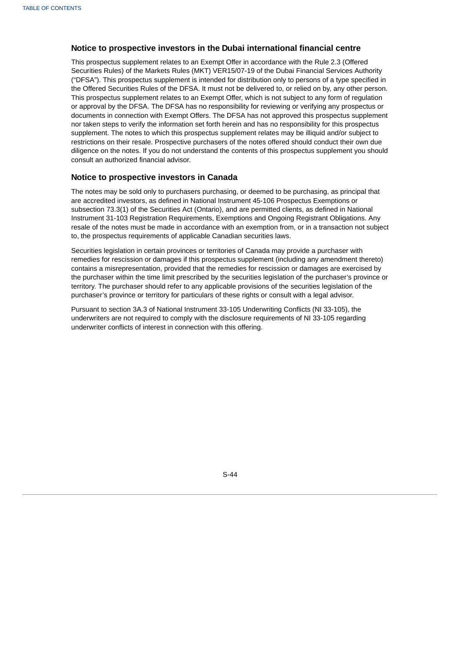# **Notice to prospective investors in the Dubai international financial centre**

This prospectus supplement relates to an Exempt Offer in accordance with the Rule 2.3 (Offered Securities Rules) of the Markets Rules (MKT) VER15/07-19 of the Dubai Financial Services Authority ("DFSA"). This prospectus supplement is intended for distribution only to persons of a type specified in the Offered Securities Rules of the DFSA. It must not be delivered to, or relied on by, any other person. This prospectus supplement relates to an Exempt Offer, which is not subject to any form of regulation or approval by the DFSA. The DFSA has no responsibility for reviewing or verifying any prospectus or documents in connection with Exempt Offers. The DFSA has not approved this prospectus supplement nor taken steps to verify the information set forth herein and has no responsibility for this prospectus supplement. The notes to which this prospectus supplement relates may be illiquid and/or subject to restrictions on their resale. Prospective purchasers of the notes offered should conduct their own due diligence on the notes. If you do not understand the contents of this prospectus supplement you should consult an authorized financial advisor.

# **Notice to prospective investors in Canada**

The notes may be sold only to purchasers purchasing, or deemed to be purchasing, as principal that are accredited investors, as defined in National Instrument 45-106 Prospectus Exemptions or subsection 73.3(1) of the Securities Act (Ontario), and are permitted clients, as defined in National Instrument 31-103 Registration Requirements, Exemptions and Ongoing Registrant Obligations. Any resale of the notes must be made in accordance with an exemption from, or in a transaction not subject to, the prospectus requirements of applicable Canadian securities laws.

Securities legislation in certain provinces or territories of Canada may provide a purchaser with remedies for rescission or damages if this prospectus supplement (including any amendment thereto) contains a misrepresentation, provided that the remedies for rescission or damages are exercised by the purchaser within the time limit prescribed by the securities legislation of the purchaser's province or territory. The purchaser should refer to any applicable provisions of the securities legislation of the purchaser's province or territory for particulars of these rights or consult with a legal advisor.

Pursuant to section 3A.3 of National Instrument 33-105 Underwriting Conflicts (NI 33-105), the underwriters are not required to comply with the disclosure requirements of NI 33-105 regarding underwriter conflicts of interest in connection with this offering.

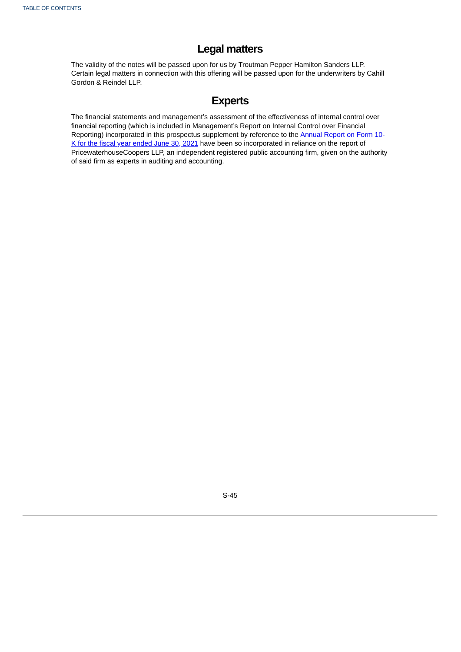# **Legal matters**

The validity of the notes will be passed upon for us by Troutman Pepper Hamilton Sanders LLP. Certain legal matters in connection with this offering will be passed upon for the underwriters by Cahill Gordon & Reindel LLP.

# **Experts**

The financial statements and management's assessment of the effectiveness of internal control over financial reporting (which is included in Management's Report on Internal Control over Financial Reporting) [incorporated](http://www.sec.gov/ix?doc=/Archives/edgar/data/17843/000001784321000030/crs-20210630.htm) in this prospectus supplement by reference to the Annual Report on Form 10-K for the fiscal year ended June 30, 2021 have been so incorporated in reliance on the report of PricewaterhouseCoopers LLP, an independent registered public accounting firm, given on the authority of said firm as experts in auditing and accounting.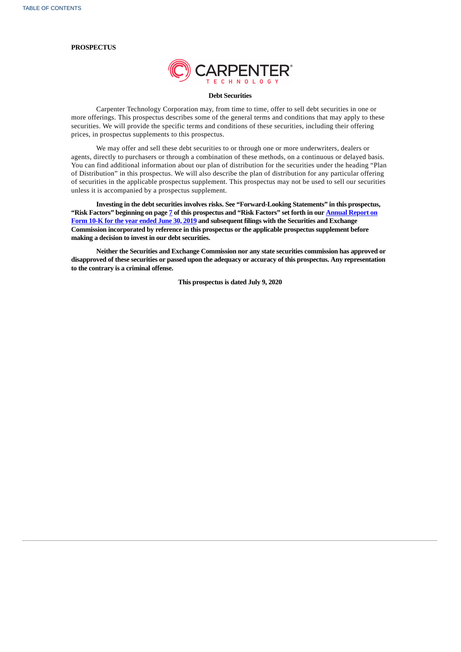#### **PROSPECTUS**



#### **Debt Securities**

Carpenter Technology Corporation may, from time to time, offer to sell debt securities in one or more offerings. This prospectus describes some of the general terms and conditions that may apply to these securities. We will provide the specific terms and conditions of these securities, including their offering prices, in prospectus supplements to this prospectus.

We may offer and sell these debt securities to or through one or more underwriters, dealers or agents, directly to purchasers or through a combination of these methods, on a continuous or delayed basis. You can find additional information about our plan of distribution for the securities under the heading "Plan of Distribution" in this prospectus. We will also describe the plan of distribution for any particular offering of securities in the applicable prospectus supplement. This prospectus may not be used to sell our securities unless it is accompanied by a prospectus supplement.

**Investing in the debt securities involves risks. See "Forward-Looking Statements" in this prospectus,** "Risk Factors" beginning on page [7](#page-58-0) of this prospectus and "Risk Factors" set forth in our **Annual Report on Form 10-K for the year ended June 30, 2019 and [subsequent](http://www.sec.gov/Archives/edgar/data/17843/000001784319000058/crs630201910k.htm) filings with the Securities and Exchange Commission incorporated by reference in this prospectus or the applicable prospectus supplement before making a decision to invest in our debt securities.**

**Neither the Securities and Exchange Commission nor any state securities commission has approved or disapproved of these securities or passed upon the adequacy or accuracy of this prospectus. Any representation to the contrary is a criminal offense.**

**This prospectus is dated July 9, 2020**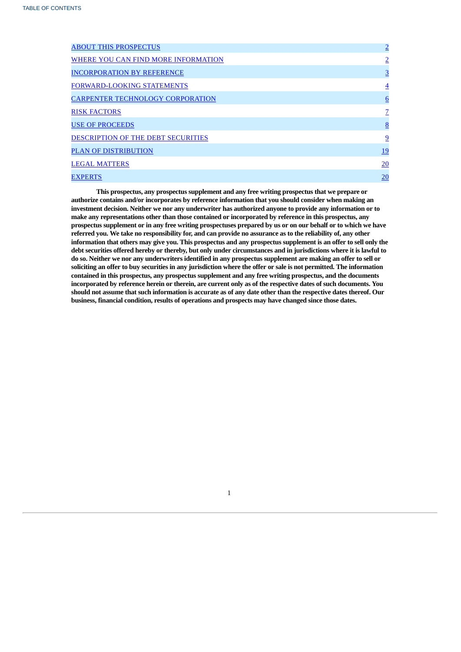| <b>ABOUT THIS PROSPECTUS</b>            | $\overline{2}$  |
|-----------------------------------------|-----------------|
| WHERE YOU CAN FIND MORE INFORMATION     | $\overline{2}$  |
| <b>INCORPORATION BY REFERENCE</b>       | $\overline{3}$  |
| <b>FORWARD-LOOKING STATEMENTS</b>       | $\overline{4}$  |
| <b>CARPENTER TECHNOLOGY CORPORATION</b> | $6\overline{6}$ |
| <b>RISK FACTORS</b>                     | Z               |
| <b>USE OF PROCEEDS</b>                  | 8               |
| DESCRIPTION OF THE DEBT SECURITIES      | 9               |
| <b>PLAN OF DISTRIBUTION</b>             | <u>19</u>       |
| <b>LEGAL MATTERS</b>                    | 20              |
| <b>EXPERTS</b>                          | 20              |

<span id="page-53-0"></span>**This prospectus, any prospectus supplement and any free writing prospectus that we prepare or authorize contains and/or incorporates by reference information that you should consider when making an investment decision. Neither we nor any underwriter has authorized anyone to provide any information or to make any representations other than those contained or incorporated by reference in this prospectus, any** prospectus supplement or in any free writing prospectuses prepared by us or on our behalf or to which we have referred you. We take no responsibility for, and can provide no assurance as to the reliability of, any other information that others may give you. This prospectus and any prospectus supplement is an offer to sell only the debt securities offered hereby or thereby, but only under circumstances and in jurisdictions where it is lawful to do so. Neither we nor any underwriters identified in any prospectus supplement are making an offer to sell or soliciting an offer to buy securities in any jurisdiction where the offer or sale is not permitted. The information **contained in this prospectus, any prospectus supplement and any free writing prospectus, and the documents** incorporated by reference herein or therein, are current only as of the respective dates of such documents. You should not assume that such information is accurate as of any date other than the respective dates thereof. Our **business, financial condition, results of operations and prospects may have changed since those dates.**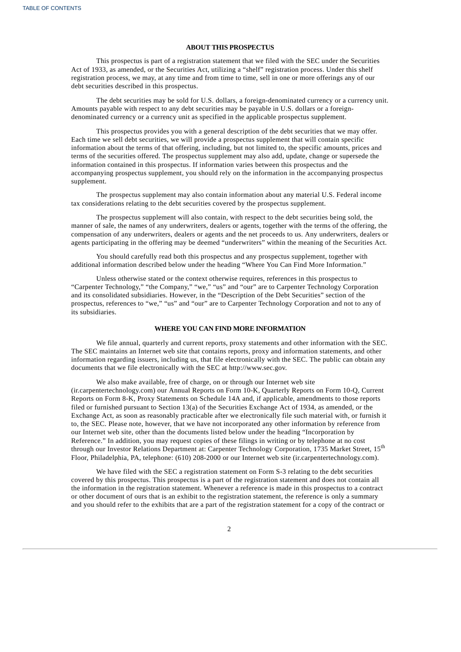## **ABOUT THIS PROSPECTUS**

This prospectus is part of a registration statement that we filed with the SEC under the Securities Act of 1933, as amended, or the Securities Act, utilizing a "shelf" registration process. Under this shelf registration process, we may, at any time and from time to time, sell in one or more offerings any of our debt securities described in this prospectus.

The debt securities may be sold for U.S. dollars, a foreign-denominated currency or a currency unit. Amounts payable with respect to any debt securities may be payable in U.S. dollars or a foreigndenominated currency or a currency unit as specified in the applicable prospectus supplement.

This prospectus provides you with a general description of the debt securities that we may offer. Each time we sell debt securities, we will provide a prospectus supplement that will contain specific information about the terms of that offering, including, but not limited to, the specific amounts, prices and terms of the securities offered. The prospectus supplement may also add, update, change or supersede the information contained in this prospectus. If information varies between this prospectus and the accompanying prospectus supplement, you should rely on the information in the accompanying prospectus supplement.

The prospectus supplement may also contain information about any material U.S. Federal income tax considerations relating to the debt securities covered by the prospectus supplement.

The prospectus supplement will also contain, with respect to the debt securities being sold, the manner of sale, the names of any underwriters, dealers or agents, together with the terms of the offering, the compensation of any underwriters, dealers or agents and the net proceeds to us. Any underwriters, dealers or agents participating in the offering may be deemed "underwriters" within the meaning of the Securities Act.

You should carefully read both this prospectus and any prospectus supplement, together with additional information described below under the heading "Where You Can Find More Information."

Unless otherwise stated or the context otherwise requires, references in this prospectus to "Carpenter Technology," "the Company," "we," "us" and "our" are to Carpenter Technology Corporation and its consolidated subsidiaries. However, in the "Description of the Debt Securities" section of the prospectus, references to "we," "us" and "our" are to Carpenter Technology Corporation and not to any of its subsidiaries.

# **WHERE YOU CAN FIND MORE INFORMATION**

We file annual, quarterly and current reports, proxy statements and other information with the SEC. The SEC maintains an Internet web site that contains reports, proxy and information statements, and other information regarding issuers, including us, that file electronically with the SEC. The public can obtain any documents that we file electronically with the SEC at http://www.sec.gov.

We also make available, free of charge, on or through our Internet web site (ir.carpentertechnology.com) our Annual Reports on Form 10-K, Quarterly Reports on Form 10-Q, Current Reports on Form 8-K, Proxy Statements on Schedule 14A and, if applicable, amendments to those reports filed or furnished pursuant to Section 13(a) of the Securities Exchange Act of 1934, as amended, or the Exchange Act, as soon as reasonably practicable after we electronically file such material with, or furnish it to, the SEC. Please note, however, that we have not incorporated any other information by reference from our Internet web site, other than the documents listed below under the heading "Incorporation by Reference." In addition, you may request copies of these filings in writing or by telephone at no cost through our Investor Relations Department at: Carpenter Technology Corporation, 1735 Market Street, 15<sup>th</sup> Floor, Philadelphia, PA, telephone: (610) 208-2000 or our Internet web site (ir.carpentertechnology.com).

<span id="page-54-0"></span>We have filed with the SEC a registration statement on Form S-3 relating to the debt securities covered by this prospectus. This prospectus is a part of the registration statement and does not contain all the information in the registration statement. Whenever a reference is made in this prospectus to a contract or other document of ours that is an exhibit to the registration statement, the reference is only a summary and you should refer to the exhibits that are a part of the registration statement for a copy of the contract or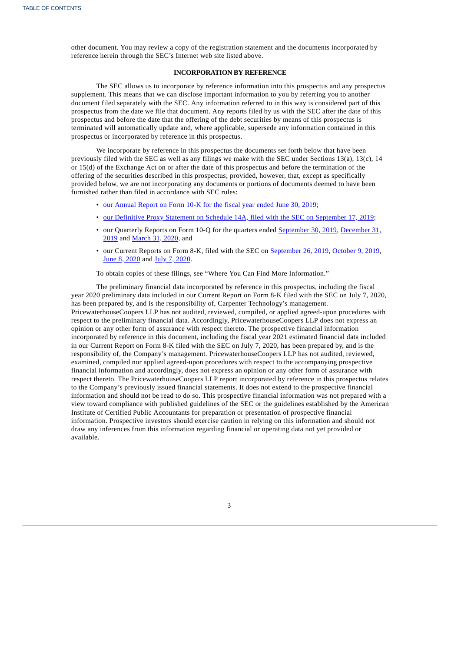other document. You may review a copy of the registration statement and the documents incorporated by reference herein through the SEC's Internet web site listed above.

# **INCORPORATION BY REFERENCE**

The SEC allows us to incorporate by reference information into this prospectus and any prospectus supplement. This means that we can disclose important information to you by referring you to another document filed separately with the SEC. Any information referred to in this way is considered part of this prospectus from the date we file that document. Any reports filed by us with the SEC after the date of this prospectus and before the date that the offering of the debt securities by means of this prospectus is terminated will automatically update and, where applicable, supersede any information contained in this prospectus or incorporated by reference in this prospectus.

We incorporate by reference in this prospectus the documents set forth below that have been previously filed with the SEC as well as any filings we make with the SEC under Sections 13(a), 13(c), 14 or 15(d) of the Exchange Act on or after the date of this prospectus and before the termination of the offering of the securities described in this prospectus; provided, however, that, except as specifically provided below, we are not incorporating any documents or portions of documents deemed to have been furnished rather than filed in accordance with SEC rules:

- our [Annual](http://www.sec.gov/Archives/edgar/data/17843/000001784319000058/crs630201910k.htm) Report on Form 10-K for the fiscal year ended June 30, 2019;
- our Definitive Proxy Statement on Schedule 14A, filed with the SEC on [September](http://www.sec.gov/Archives/edgar/data/17843/000119312519246588/d791270ddef14a.htm) 17, 2019;
- our Quarterly Reports on Form 10-Q for the quarters ended [S](http://www.sec.gov/ix?doc=/Archives/edgar/data/17843/000001784320000004/crs-20191231x10q.htm)[eptember](http://www.sec.gov/ix?doc=/Archives/edgar/data/17843/000001784319000073/crs-2019930x10q.htm) 30, 2019, December 31, 2019 and [March](http://www.sec.gov/ix?doc=/Archives/edgar/data/17843/000001784320000016/crs-2020331x10q.htm) 31, 2020, and
- our Current Reports on Form 8-K, filed with the SEC on [September](http://www.sec.gov/Archives/edgar/data/17843/000110465919051505/a19-19069_18k.htm) 26, 2019, [October](http://www.sec.gov/Archives/edgar/data/17843/000110465919053553/a19-19773_18k.htm) 9, 2019, June 8, [2020](http://www.sec.gov/ix?doc=/Archives/edgar/data/17843/000119312520188647/d934726d8k.htm) and July 7, 2020.

To obtain copies of these filings, see "Where You Can Find More Information."

<span id="page-55-0"></span>The preliminary financial data incorporated by reference in this prospectus, including the fiscal year 2020 preliminary data included in our Current Report on Form 8-K filed with the SEC on July 7, 2020, has been prepared by, and is the responsibility of, Carpenter Technology's management. PricewaterhouseCoopers LLP has not audited, reviewed, compiled, or applied agreed-upon procedures with respect to the preliminary financial data. Accordingly, PricewaterhouseCoopers LLP does not express an opinion or any other form of assurance with respect thereto. The prospective financial information incorporated by reference in this document, including the fiscal year 2021 estimated financial data included in our Current Report on Form 8-K filed with the SEC on July 7, 2020, has been prepared by, and is the responsibility of, the Company's management. PricewaterhouseCoopers LLP has not audited, reviewed, examined, compiled nor applied agreed-upon procedures with respect to the accompanying prospective financial information and accordingly, does not express an opinion or any other form of assurance with respect thereto. The PricewaterhouseCoopers LLP report incorporated by reference in this prospectus relates to the Company's previously issued financial statements. It does not extend to the prospective financial information and should not be read to do so. This prospective financial information was not prepared with a view toward compliance with published guidelines of the SEC or the guidelines established by the American Institute of Certified Public Accountants for preparation or presentation of prospective financial information. Prospective investors should exercise caution in relying on this information and should not draw any inferences from this information regarding financial or operating data not yet provided or available.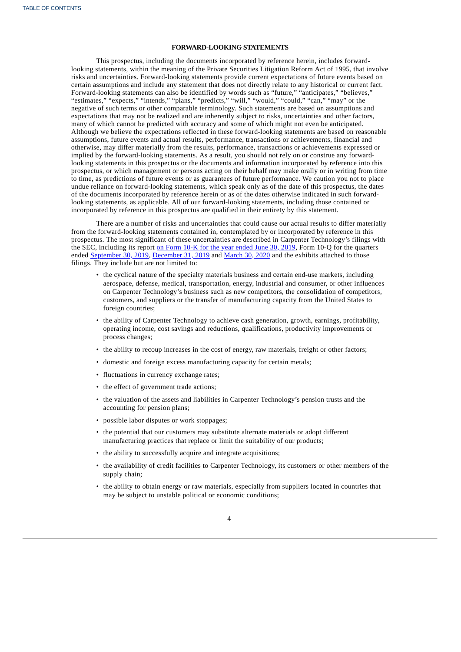## **FORWARD-LOOKING STATEMENTS**

This prospectus, including the documents incorporated by reference herein, includes forwardlooking statements, within the meaning of the Private Securities Litigation Reform Act of 1995, that involve risks and uncertainties. Forward-looking statements provide current expectations of future events based on certain assumptions and include any statement that does not directly relate to any historical or current fact. Forward-looking statements can also be identified by words such as "future," "anticipates," "believes," "estimates," "expects," "intends," "plans," "predicts," "will," "would," "could," "can," "may" or the negative of such terms or other comparable terminology. Such statements are based on assumptions and expectations that may not be realized and are inherently subject to risks, uncertainties and other factors, many of which cannot be predicted with accuracy and some of which might not even be anticipated. Although we believe the expectations reflected in these forward-looking statements are based on reasonable assumptions, future events and actual results, performance, transactions or achievements, financial and otherwise, may differ materially from the results, performance, transactions or achievements expressed or implied by the forward-looking statements. As a result, you should not rely on or construe any forwardlooking statements in this prospectus or the documents and information incorporated by reference into this prospectus, or which management or persons acting on their behalf may make orally or in writing from time to time, as predictions of future events or as guarantees of future performance. We caution you not to place undue reliance on forward-looking statements, which speak only as of the date of this prospectus, the dates of the documents incorporated by reference herein or as of the dates otherwise indicated in such forwardlooking statements, as applicable. All of our forward-looking statements, including those contained or incorporated by reference in this prospectus are qualified in their entirety by this statement.

There are a number of risks and uncertainties that could cause our actual results to differ materially from the forward-looking statements contained in, contemplated by or incorporated by reference in this prospectus. The most significant of these uncertainties are described in Carpenter Technology's filings with the SEC, including its report on Form 10-K for the year [ended](http://www.sec.gov/Archives/edgar/data/17843/000001784319000058/crs630201910k.htm) June 30, 2019, Form 10-Q for the quarters ended [September](http://www.sec.gov/ix?doc=/Archives/edgar/data/17843/000001784319000073/crs-2019930x10q.htm) 30, 2019, [December](http://www.sec.gov/ix?doc=/Archives/edgar/data/17843/000001784320000004/crs-20191231x10q.htm) 31, 2019 and [March](http://www.sec.gov/ix?doc=/Archives/edgar/data/17843/000001784320000016/crs-2020331x10q.htm) 30, 2020 and the exhibits attached to those filings. They include but are not limited to:

- the cyclical nature of the specialty materials business and certain end-use markets, including aerospace, defense, medical, transportation, energy, industrial and consumer, or other influences on Carpenter Technology's business such as new competitors, the consolidation of competitors, customers, and suppliers or the transfer of manufacturing capacity from the United States to foreign countries;
- the ability of Carpenter Technology to achieve cash generation, growth, earnings, profitability, operating income, cost savings and reductions, qualifications, productivity improvements or process changes;
- the ability to recoup increases in the cost of energy, raw materials, freight or other factors;
- domestic and foreign excess manufacturing capacity for certain metals;
- fluctuations in currency exchange rates;
- the effect of government trade actions;
- the valuation of the assets and liabilities in Carpenter Technology's pension trusts and the accounting for pension plans;
- possible labor disputes or work stoppages;
- the potential that our customers may substitute alternate materials or adopt different manufacturing practices that replace or limit the suitability of our products;
- the ability to successfully acquire and integrate acquisitions;
- the availability of credit facilities to Carpenter Technology, its customers or other members of the supply chain;
- the ability to obtain energy or raw materials, especially from suppliers located in countries that may be subject to unstable political or economic conditions;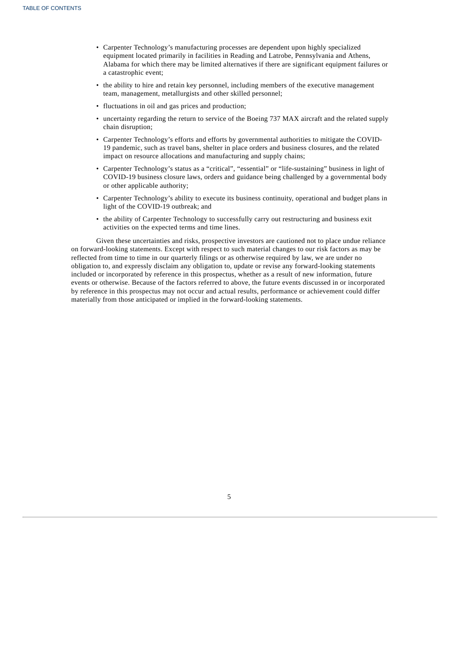- Carpenter Technology's manufacturing processes are dependent upon highly specialized equipment located primarily in facilities in Reading and Latrobe, Pennsylvania and Athens, Alabama for which there may be limited alternatives if there are significant equipment failures or a catastrophic event;
- the ability to hire and retain key personnel, including members of the executive management team, management, metallurgists and other skilled personnel;
- fluctuations in oil and gas prices and production;
- uncertainty regarding the return to service of the Boeing 737 MAX aircraft and the related supply chain disruption;
- Carpenter Technology's efforts and efforts by governmental authorities to mitigate the COVID-19 pandemic, such as travel bans, shelter in place orders and business closures, and the related impact on resource allocations and manufacturing and supply chains;
- Carpenter Technology's status as a "critical", "essential" or "life-sustaining" business in light of COVID-19 business closure laws, orders and guidance being challenged by a governmental body or other applicable authority;
- Carpenter Technology's ability to execute its business continuity, operational and budget plans in light of the COVID-19 outbreak; and
- the ability of Carpenter Technology to successfully carry out restructuring and business exit activities on the expected terms and time lines.

<span id="page-57-0"></span>Given these uncertainties and risks, prospective investors are cautioned not to place undue reliance on forward-looking statements. Except with respect to such material changes to our risk factors as may be reflected from time to time in our quarterly filings or as otherwise required by law, we are under no obligation to, and expressly disclaim any obligation to, update or revise any forward-looking statements included or incorporated by reference in this prospectus, whether as a result of new information, future events or otherwise. Because of the factors referred to above, the future events discussed in or incorporated by reference in this prospectus may not occur and actual results, performance or achievement could differ materially from those anticipated or implied in the forward-looking statements.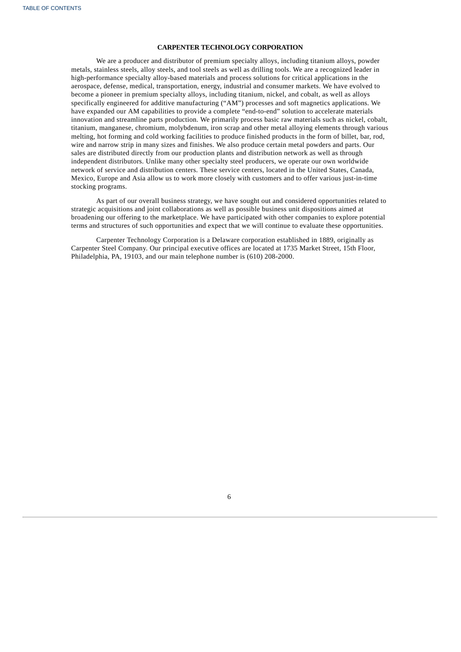## **CARPENTER TECHNOLOGY CORPORATION**

We are a producer and distributor of premium specialty alloys, including titanium alloys, powder metals, stainless steels, alloy steels, and tool steels as well as drilling tools. We are a recognized leader in high-performance specialty alloy-based materials and process solutions for critical applications in the aerospace, defense, medical, transportation, energy, industrial and consumer markets. We have evolved to become a pioneer in premium specialty alloys, including titanium, nickel, and cobalt, as well as alloys specifically engineered for additive manufacturing ("AM") processes and soft magnetics applications. We have expanded our AM capabilities to provide a complete "end-to-end" solution to accelerate materials innovation and streamline parts production. We primarily process basic raw materials such as nickel, cobalt, titanium, manganese, chromium, molybdenum, iron scrap and other metal alloying elements through various melting, hot forming and cold working facilities to produce finished products in the form of billet, bar, rod, wire and narrow strip in many sizes and finishes. We also produce certain metal powders and parts. Our sales are distributed directly from our production plants and distribution network as well as through independent distributors. Unlike many other specialty steel producers, we operate our own worldwide network of service and distribution centers. These service centers, located in the United States, Canada, Mexico, Europe and Asia allow us to work more closely with customers and to offer various just-in-time stocking programs.

As part of our overall business strategy, we have sought out and considered opportunities related to strategic acquisitions and joint collaborations as well as possible business unit dispositions aimed at broadening our offering to the marketplace. We have participated with other companies to explore potential terms and structures of such opportunities and expect that we will continue to evaluate these opportunities.

<span id="page-58-0"></span>Carpenter Technology Corporation is a Delaware corporation established in 1889, originally as Carpenter Steel Company. Our principal executive offices are located at 1735 Market Street, 15th Floor, Philadelphia, PA, 19103, and our main telephone number is (610) 208-2000.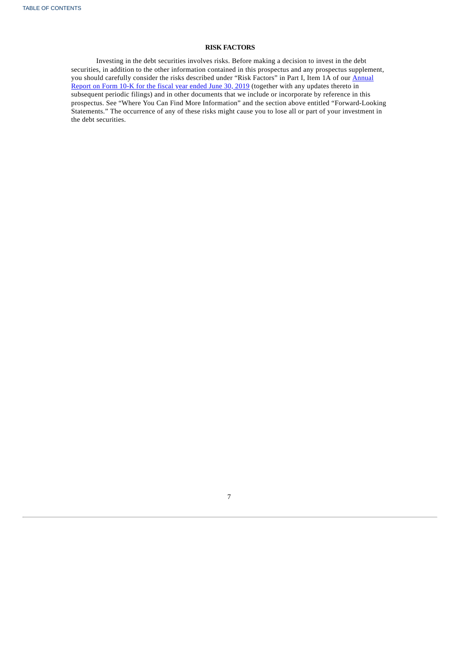# **RISK FACTORS**

<span id="page-59-0"></span>Investing in the debt securities involves risks. Before making a decision to invest in the debt securities, in addition to the other information contained in this prospectus and any prospectus supplement, you should carefully consider the risks [described](http://www.sec.gov/Archives/edgar/data/17843/000001784319000058/crs630201910k.htm) under "Risk Factors" in Part I, Item 1A of our <u>Annual</u> Report on Form 10-K for the fiscal year ended June 30, 2019 (together with any updates thereto in subsequent periodic filings) and in other documents that we include or incorporate by reference in this prospectus. See "Where You Can Find More Information" and the section above entitled "Forward-Looking Statements." The occurrence of any of these risks might cause you to lose all or part of your investment in the debt securities.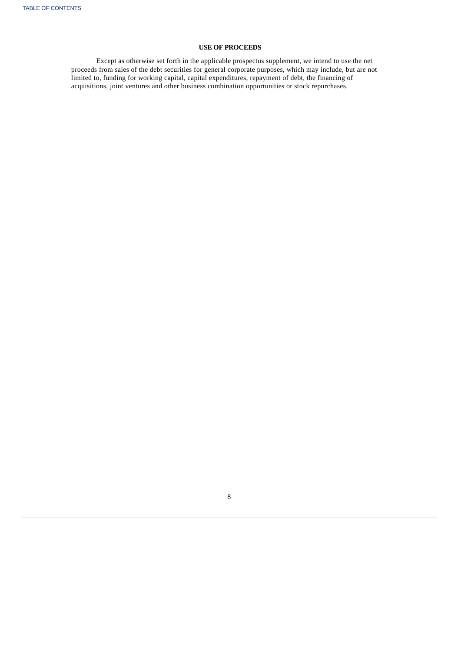# **USE OF PROCEEDS**

<span id="page-60-0"></span>Except as otherwise set forth in the applicable prospectus supplement, we intend to use the net proceeds from sales of the debt securities for general corporate purposes, which may include, but are not limited to, funding for working capital, capital expenditures, repayment of debt, the financing of acquisitions, joint ventures and other business combination opportunities or stock repurchases.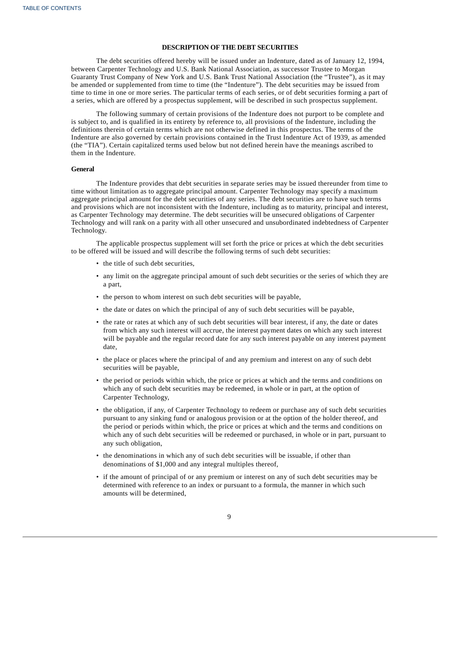## **DESCRIPTION OF THE DEBT SECURITIES**

The debt securities offered hereby will be issued under an Indenture, dated as of January 12, 1994, between Carpenter Technology and U.S. Bank National Association, as successor Trustee to Morgan Guaranty Trust Company of New York and U.S. Bank Trust National Association (the "Trustee"), as it may be amended or supplemented from time to time (the "Indenture"). The debt securities may be issued from time to time in one or more series. The particular terms of each series, or of debt securities forming a part of a series, which are offered by a prospectus supplement, will be described in such prospectus supplement.

The following summary of certain provisions of the Indenture does not purport to be complete and is subject to, and is qualified in its entirety by reference to, all provisions of the Indenture, including the definitions therein of certain terms which are not otherwise defined in this prospectus. The terms of the Indenture are also governed by certain provisions contained in the Trust Indenture Act of 1939, as amended (the "TIA"). Certain capitalized terms used below but not defined herein have the meanings ascribed to them in the Indenture.

#### **General**

The Indenture provides that debt securities in separate series may be issued thereunder from time to time without limitation as to aggregate principal amount. Carpenter Technology may specify a maximum aggregate principal amount for the debt securities of any series. The debt securities are to have such terms and provisions which are not inconsistent with the Indenture, including as to maturity, principal and interest, as Carpenter Technology may determine. The debt securities will be unsecured obligations of Carpenter Technology and will rank on a parity with all other unsecured and unsubordinated indebtedness of Carpenter Technology.

The applicable prospectus supplement will set forth the price or prices at which the debt securities to be offered will be issued and will describe the following terms of such debt securities:

- the title of such debt securities,
- any limit on the aggregate principal amount of such debt securities or the series of which they are a part,
- the person to whom interest on such debt securities will be payable,
- the date or dates on which the principal of any of such debt securities will be payable,
- the rate or rates at which any of such debt securities will bear interest, if any, the date or dates from which any such interest will accrue, the interest payment dates on which any such interest will be payable and the regular record date for any such interest payable on any interest payment date,
- the place or places where the principal of and any premium and interest on any of such debt securities will be payable,
- the period or periods within which, the price or prices at which and the terms and conditions on which any of such debt securities may be redeemed, in whole or in part, at the option of Carpenter Technology,
- the obligation, if any, of Carpenter Technology to redeem or purchase any of such debt securities pursuant to any sinking fund or analogous provision or at the option of the holder thereof, and the period or periods within which, the price or prices at which and the terms and conditions on which any of such debt securities will be redeemed or purchased, in whole or in part, pursuant to any such obligation,
- the denominations in which any of such debt securities will be issuable, if other than denominations of \$1,000 and any integral multiples thereof,
- if the amount of principal of or any premium or interest on any of such debt securities may be determined with reference to an index or pursuant to a formula, the manner in which such amounts will be determined,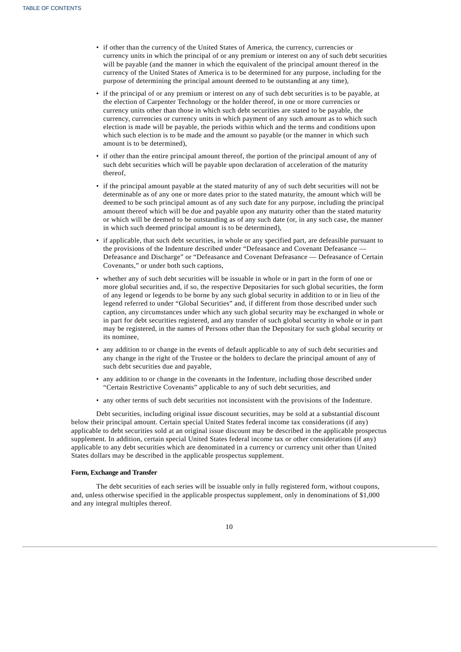- if other than the currency of the United States of America, the currency, currencies or currency units in which the principal of or any premium or interest on any of such debt securities will be payable (and the manner in which the equivalent of the principal amount thereof in the currency of the United States of America is to be determined for any purpose, including for the purpose of determining the principal amount deemed to be outstanding at any time),
- if the principal of or any premium or interest on any of such debt securities is to be payable, at the election of Carpenter Technology or the holder thereof, in one or more currencies or currency units other than those in which such debt securities are stated to be payable, the currency, currencies or currency units in which payment of any such amount as to which such election is made will be payable, the periods within which and the terms and conditions upon which such election is to be made and the amount so payable (or the manner in which such amount is to be determined),
- if other than the entire principal amount thereof, the portion of the principal amount of any of such debt securities which will be payable upon declaration of acceleration of the maturity thereof,
- if the principal amount payable at the stated maturity of any of such debt securities will not be determinable as of any one or more dates prior to the stated maturity, the amount which will be deemed to be such principal amount as of any such date for any purpose, including the principal amount thereof which will be due and payable upon any maturity other than the stated maturity or which will be deemed to be outstanding as of any such date (or, in any such case, the manner in which such deemed principal amount is to be determined),
- if applicable, that such debt securities, in whole or any specified part, are defeasible pursuant to the provisions of the Indenture described under "Defeasance and Covenant Defeasance — Defeasance and Discharge" or "Defeasance and Covenant Defeasance — Defeasance of Certain Covenants," or under both such captions,
- whether any of such debt securities will be issuable in whole or in part in the form of one or more global securities and, if so, the respective Depositaries for such global securities, the form of any legend or legends to be borne by any such global security in addition to or in lieu of the legend referred to under "Global Securities" and, if different from those described under such caption, any circumstances under which any such global security may be exchanged in whole or in part for debt securities registered, and any transfer of such global security in whole or in part may be registered, in the names of Persons other than the Depositary for such global security or its nominee,
- any addition to or change in the events of default applicable to any of such debt securities and any change in the right of the Trustee or the holders to declare the principal amount of any of such debt securities due and payable,
- any addition to or change in the covenants in the Indenture, including those described under "Certain Restrictive Covenants" applicable to any of such debt securities, and
- any other terms of such debt securities not inconsistent with the provisions of the Indenture.

Debt securities, including original issue discount securities, may be sold at a substantial discount below their principal amount. Certain special United States federal income tax considerations (if any) applicable to debt securities sold at an original issue discount may be described in the applicable prospectus supplement. In addition, certain special United States federal income tax or other considerations (if any) applicable to any debt securities which are denominated in a currency or currency unit other than United States dollars may be described in the applicable prospectus supplement.

## **Form, Exchange and Transfer**

The debt securities of each series will be issuable only in fully registered form, without coupons, and, unless otherwise specified in the applicable prospectus supplement, only in denominations of \$1,000 and any integral multiples thereof.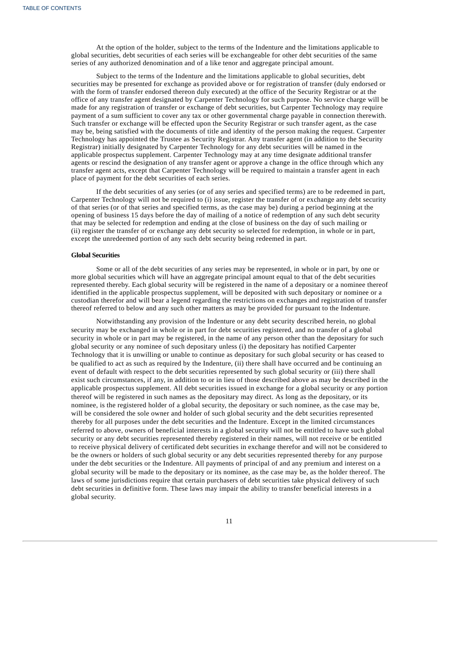At the option of the holder, subject to the terms of the Indenture and the limitations applicable to global securities, debt securities of each series will be exchangeable for other debt securities of the same series of any authorized denomination and of a like tenor and aggregate principal amount.

Subject to the terms of the Indenture and the limitations applicable to global securities, debt securities may be presented for exchange as provided above or for registration of transfer (duly endorsed or with the form of transfer endorsed thereon duly executed) at the office of the Security Registrar or at the office of any transfer agent designated by Carpenter Technology for such purpose. No service charge will be made for any registration of transfer or exchange of debt securities, but Carpenter Technology may require payment of a sum sufficient to cover any tax or other governmental charge payable in connection therewith. Such transfer or exchange will be effected upon the Security Registrar or such transfer agent, as the case may be, being satisfied with the documents of title and identity of the person making the request. Carpenter Technology has appointed the Trustee as Security Registrar. Any transfer agent (in addition to the Security Registrar) initially designated by Carpenter Technology for any debt securities will be named in the applicable prospectus supplement. Carpenter Technology may at any time designate additional transfer agents or rescind the designation of any transfer agent or approve a change in the office through which any transfer agent acts, except that Carpenter Technology will be required to maintain a transfer agent in each place of payment for the debt securities of each series.

If the debt securities of any series (or of any series and specified terms) are to be redeemed in part, Carpenter Technology will not be required to (i) issue, register the transfer of or exchange any debt security of that series (or of that series and specified terms, as the case may be) during a period beginning at the opening of business 15 days before the day of mailing of a notice of redemption of any such debt security that may be selected for redemption and ending at the close of business on the day of such mailing or (ii) register the transfer of or exchange any debt security so selected for redemption, in whole or in part, except the unredeemed portion of any such debt security being redeemed in part.

#### **Global Securities**

Some or all of the debt securities of any series may be represented, in whole or in part, by one or more global securities which will have an aggregate principal amount equal to that of the debt securities represented thereby. Each global security will be registered in the name of a depositary or a nominee thereof identified in the applicable prospectus supplement, will be deposited with such depositary or nominee or a custodian therefor and will bear a legend regarding the restrictions on exchanges and registration of transfer thereof referred to below and any such other matters as may be provided for pursuant to the Indenture.

Notwithstanding any provision of the Indenture or any debt security described herein, no global security may be exchanged in whole or in part for debt securities registered, and no transfer of a global security in whole or in part may be registered, in the name of any person other than the depositary for such global security or any nominee of such depositary unless (i) the depositary has notified Carpenter Technology that it is unwilling or unable to continue as depositary for such global security or has ceased to be qualified to act as such as required by the Indenture, (ii) there shall have occurred and be continuing an event of default with respect to the debt securities represented by such global security or (iii) there shall exist such circumstances, if any, in addition to or in lieu of those described above as may be described in the applicable prospectus supplement. All debt securities issued in exchange for a global security or any portion thereof will be registered in such names as the depositary may direct. As long as the depositary, or its nominee, is the registered holder of a global security, the depositary or such nominee, as the case may be, will be considered the sole owner and holder of such global security and the debt securities represented thereby for all purposes under the debt securities and the Indenture. Except in the limited circumstances referred to above, owners of beneficial interests in a global security will not be entitled to have such global security or any debt securities represented thereby registered in their names, will not receive or be entitled to receive physical delivery of certificated debt securities in exchange therefor and will not be considered to be the owners or holders of such global security or any debt securities represented thereby for any purpose under the debt securities or the Indenture. All payments of principal of and any premium and interest on a global security will be made to the depositary or its nominee, as the case may be, as the holder thereof. The laws of some jurisdictions require that certain purchasers of debt securities take physical delivery of such debt securities in definitive form. These laws may impair the ability to transfer beneficial interests in a global security.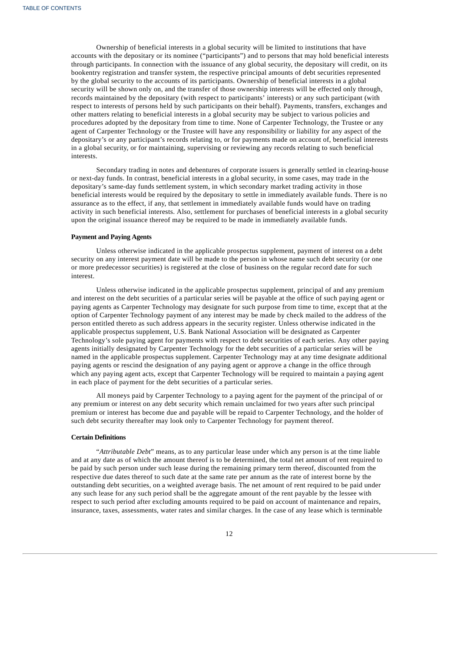Ownership of beneficial interests in a global security will be limited to institutions that have accounts with the depositary or its nominee ("participants") and to persons that may hold beneficial interests through participants. In connection with the issuance of any global security, the depositary will credit, on its bookentry registration and transfer system, the respective principal amounts of debt securities represented by the global security to the accounts of its participants. Ownership of beneficial interests in a global security will be shown only on, and the transfer of those ownership interests will be effected only through, records maintained by the depositary (with respect to participants' interests) or any such participant (with respect to interests of persons held by such participants on their behalf). Payments, transfers, exchanges and other matters relating to beneficial interests in a global security may be subject to various policies and procedures adopted by the depositary from time to time. None of Carpenter Technology, the Trustee or any agent of Carpenter Technology or the Trustee will have any responsibility or liability for any aspect of the depositary's or any participant's records relating to, or for payments made on account of, beneficial interests in a global security, or for maintaining, supervising or reviewing any records relating to such beneficial interests.

Secondary trading in notes and debentures of corporate issuers is generally settled in clearing-house or next-day funds. In contrast, beneficial interests in a global security, in some cases, may trade in the depositary's same-day funds settlement system, in which secondary market trading activity in those beneficial interests would be required by the depositary to settle in immediately available funds. There is no assurance as to the effect, if any, that settlement in immediately available funds would have on trading activity in such beneficial interests. Also, settlement for purchases of beneficial interests in a global security upon the original issuance thereof may be required to be made in immediately available funds.

## **Payment and Paying Agents**

Unless otherwise indicated in the applicable prospectus supplement, payment of interest on a debt security on any interest payment date will be made to the person in whose name such debt security (or one or more predecessor securities) is registered at the close of business on the regular record date for such interest.

Unless otherwise indicated in the applicable prospectus supplement, principal of and any premium and interest on the debt securities of a particular series will be payable at the office of such paying agent or paying agents as Carpenter Technology may designate for such purpose from time to time, except that at the option of Carpenter Technology payment of any interest may be made by check mailed to the address of the person entitled thereto as such address appears in the security register. Unless otherwise indicated in the applicable prospectus supplement, U.S. Bank National Association will be designated as Carpenter Technology's sole paying agent for payments with respect to debt securities of each series. Any other paying agents initially designated by Carpenter Technology for the debt securities of a particular series will be named in the applicable prospectus supplement. Carpenter Technology may at any time designate additional paying agents or rescind the designation of any paying agent or approve a change in the office through which any paying agent acts, except that Carpenter Technology will be required to maintain a paying agent in each place of payment for the debt securities of a particular series.

All moneys paid by Carpenter Technology to a paying agent for the payment of the principal of or any premium or interest on any debt security which remain unclaimed for two years after such principal premium or interest has become due and payable will be repaid to Carpenter Technology, and the holder of such debt security thereafter may look only to Carpenter Technology for payment thereof.

## **Certain Definitions**

"*Attributable Debt*" means, as to any particular lease under which any person is at the time liable and at any date as of which the amount thereof is to be determined, the total net amount of rent required to be paid by such person under such lease during the remaining primary term thereof, discounted from the respective due dates thereof to such date at the same rate per annum as the rate of interest borne by the outstanding debt securities, on a weighted average basis. The net amount of rent required to be paid under any such lease for any such period shall be the aggregate amount of the rent payable by the lessee with respect to such period after excluding amounts required to be paid on account of maintenance and repairs, insurance, taxes, assessments, water rates and similar charges. In the case of any lease which is terminable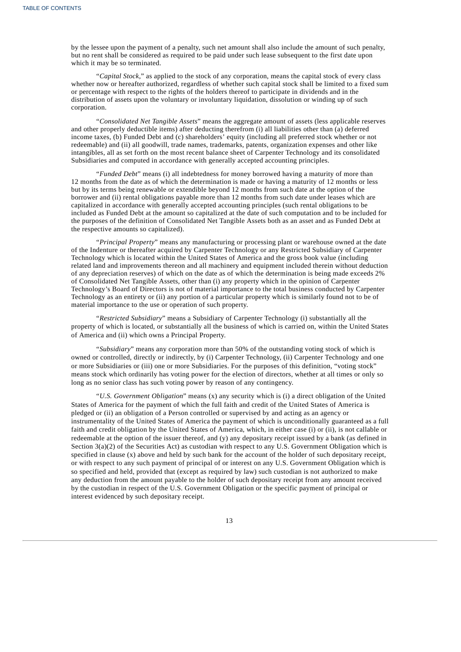by the lessee upon the payment of a penalty, such net amount shall also include the amount of such penalty, but no rent shall be considered as required to be paid under such lease subsequent to the first date upon which it may be so terminated.

"*Capital Stock*," as applied to the stock of any corporation, means the capital stock of every class whether now or hereafter authorized, regardless of whether such capital stock shall be limited to a fixed sum or percentage with respect to the rights of the holders thereof to participate in dividends and in the distribution of assets upon the voluntary or involuntary liquidation, dissolution or winding up of such corporation.

"*Consolidated Net Tangible Assets*" means the aggregate amount of assets (less applicable reserves and other properly deductible items) after deducting therefrom (i) all liabilities other than (a) deferred income taxes, (b) Funded Debt and (c) shareholders' equity (including all preferred stock whether or not redeemable) and (ii) all goodwill, trade names, trademarks, patents, organization expenses and other like intangibles, all as set forth on the most recent balance sheet of Carpenter Technology and its consolidated Subsidiaries and computed in accordance with generally accepted accounting principles.

"*Funded Debt*" means (i) all indebtedness for money borrowed having a maturity of more than 12 months from the date as of which the determination is made or having a maturity of 12 months or less but by its terms being renewable or extendible beyond 12 months from such date at the option of the borrower and (ii) rental obligations payable more than 12 months from such date under leases which are capitalized in accordance with generally accepted accounting principles (such rental obligations to be included as Funded Debt at the amount so capitalized at the date of such computation and to be included for the purposes of the definition of Consolidated Net Tangible Assets both as an asset and as Funded Debt at the respective amounts so capitalized).

"*Principal Property*" means any manufacturing or processing plant or warehouse owned at the date of the Indenture or thereafter acquired by Carpenter Technology or any Restricted Subsidiary of Carpenter Technology which is located within the United States of America and the gross book value (including related land and improvements thereon and all machinery and equipment included therein without deduction of any depreciation reserves) of which on the date as of which the determination is being made exceeds 2% of Consolidated Net Tangible Assets, other than (i) any property which in the opinion of Carpenter Technology's Board of Directors is not of material importance to the total business conducted by Carpenter Technology as an entirety or (ii) any portion of a particular property which is similarly found not to be of material importance to the use or operation of such property.

"*Restricted Subsidiary*" means a Subsidiary of Carpenter Technology (i) substantially all the property of which is located, or substantially all the business of which is carried on, within the United States of America and (ii) which owns a Principal Property.

"*Subsidiary*" means any corporation more than 50% of the outstanding voting stock of which is owned or controlled, directly or indirectly, by (i) Carpenter Technology, (ii) Carpenter Technology and one or more Subsidiaries or (iii) one or more Subsidiaries. For the purposes of this definition, "voting stock" means stock which ordinarily has voting power for the election of directors, whether at all times or only so long as no senior class has such voting power by reason of any contingency.

"*U.S. Government Obligation*" means (x) any security which is (i) a direct obligation of the United States of America for the payment of which the full faith and credit of the United States of America is pledged or (ii) an obligation of a Person controlled or supervised by and acting as an agency or instrumentality of the United States of America the payment of which is unconditionally guaranteed as a full faith and credit obligation by the United States of America, which, in either case (i) or (ii), is not callable or redeemable at the option of the issuer thereof, and (y) any depositary receipt issued by a bank (as defined in Section 3(a)(2) of the Securities Act) as custodian with respect to any U.S. Government Obligation which is specified in clause (x) above and held by such bank for the account of the holder of such depositary receipt, or with respect to any such payment of principal of or interest on any U.S. Government Obligation which is so specified and held, provided that (except as required by law) such custodian is not authorized to make any deduction from the amount payable to the holder of such depositary receipt from any amount received by the custodian in respect of the U.S. Government Obligation or the specific payment of principal or interest evidenced by such depositary receipt.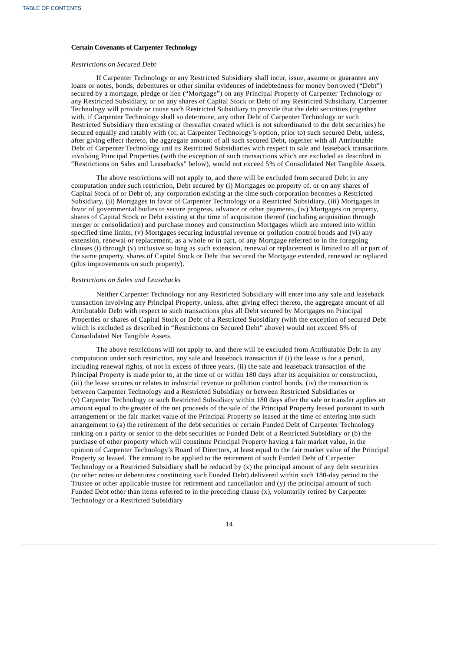## **Certain Covenants of Carpenter Technology**

#### *Restrictions on Secured Debt*

If Carpenter Technology or any Restricted Subsidiary shall incur, issue, assume or guarantee any loans or notes, bonds, debentures or other similar evidences of indebtedness for money borrowed ("Debt") secured by a mortgage, pledge or lien ("Mortgage") on any Principal Property of Carpenter Technology or any Restricted Subsidiary, or on any shares of Capital Stock or Debt of any Restricted Subsidiary, Carpenter Technology will provide or cause such Restricted Subsidiary to provide that the debt securities (together with, if Carpenter Technology shall so determine, any other Debt of Carpenter Technology or such Restricted Subsidiary then existing or thereafter created which is not subordinated to the debt securities) be secured equally and ratably with (or, at Carpenter Technology's option, prior to) such secured Debt, unless, after giving effect thereto, the aggregate amount of all such secured Debt, together with all Attributable Debt of Carpenter Technology and its Restricted Subsidiaries with respect to sale and leaseback transactions involving Principal Properties (with the exception of such transactions which are excluded as described in "Restrictions on Sales and Leasebacks" below), would not exceed 5% of Consolidated Net Tangible Assets.

The above restrictions will not apply to, and there will be excluded from secured Debt in any computation under such restriction, Debt secured by (i) Mortgages on property of, or on any shares of Capital Stock of or Debt of, any corporation existing at the time such corporation becomes a Restricted Subsidiary, (ii) Mortgages in favor of Carpenter Technology or a Restricted Subsidiary, (iii) Mortgages in favor of governmental bodies to secure progress, advance or other payments, (iv) Mortgages on property, shares of Capital Stock or Debt existing at the time of acquisition thereof (including acquisition through merger or consolidation) and purchase money and construction Mortgages which are entered into within specified time limits, (v) Mortgages securing industrial revenue or pollution control bonds and (vi) any extension, renewal or replacement, as a whole or in part, of any Mortgage referred to in the foregoing clauses (i) through (v) inclusive so long as such extension, renewal or replacement is limited to all or part of the same property, shares of Capital Stock or Debt that secured the Mortgage extended, renewed or replaced (plus improvements on such property).

#### *Restrictions on Sales and Leasebacks*

Neither Carpenter Technology nor any Restricted Subsidiary will enter into any sale and leaseback transaction involving any Principal Property, unless, after giving effect thereto, the aggregate amount of all Attributable Debt with respect to such transactions plus all Debt secured by Mortgages on Principal Properties or shares of Capital Stock or Debt of a Restricted Subsidiary (with the exception of secured Debt which is excluded as described in "Restrictions on Secured Debt" above) would not exceed 5% of Consolidated Net Tangible Assets.

The above restrictions will not apply to, and there will be excluded from Attributable Debt in any computation under such restriction, any sale and leaseback transaction if (i) the lease is for a period, including renewal rights, of not in excess of three years, (ii) the sale and leaseback transaction of the Principal Property is made prior to, at the time of or within 180 days after its acquisition or construction, (iii) the lease secures or relates to industrial revenue or pollution control bonds, (iv) the transaction is between Carpenter Technology and a Restricted Subsidiary or between Restricted Subsidiaries or (v) Carpenter Technology or such Restricted Subsidiary within 180 days after the sale or transfer applies an amount equal to the greater of the net proceeds of the sale of the Principal Property leased pursuant to such arrangement or the fair market value of the Principal Property so leased at the time of entering into such arrangement to (a) the retirement of the debt securities or certain Funded Debt of Carpenter Technology ranking on a parity or senior to the debt securities or Funded Debt of a Restricted Subsidiary or (b) the purchase of other property which will constitute Principal Property having a fair market value, in the opinion of Carpenter Technology's Board of Directors, at least equal to the fair market value of the Principal Property so leased. The amount to be applied to the retirement of such Funded Debt of Carpenter Technology or a Restricted Subsidiary shall be reduced by (x) the principal amount of any debt securities (or other notes or debentures constituting such Funded Debt) delivered within such 180-day period to the Trustee or other applicable trustee for retirement and cancellation and (y) the principal amount of such Funded Debt other than items referred to in the preceding clause (x), voluntarily retired by Carpenter Technology or a Restricted Subsidiary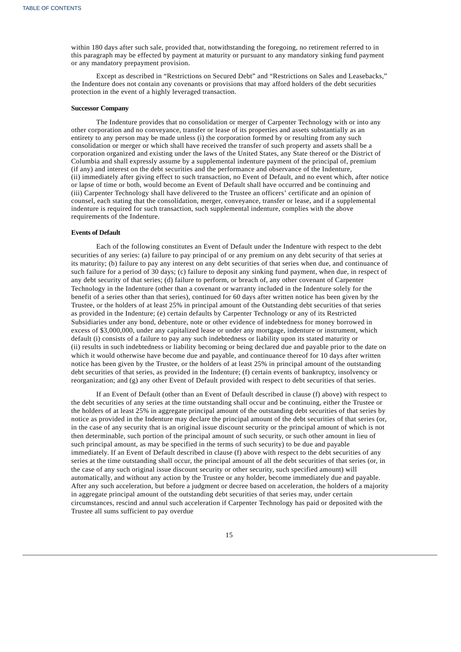within 180 days after such sale, provided that, notwithstanding the foregoing, no retirement referred to in this paragraph may be effected by payment at maturity or pursuant to any mandatory sinking fund payment or any mandatory prepayment provision.

Except as described in "Restrictions on Secured Debt" and "Restrictions on Sales and Leasebacks," the Indenture does not contain any covenants or provisions that may afford holders of the debt securities protection in the event of a highly leveraged transaction.

#### **Successor Company**

The Indenture provides that no consolidation or merger of Carpenter Technology with or into any other corporation and no conveyance, transfer or lease of its properties and assets substantially as an entirety to any person may be made unless (i) the corporation formed by or resulting from any such consolidation or merger or which shall have received the transfer of such property and assets shall be a corporation organized and existing under the laws of the United States, any State thereof or the District of Columbia and shall expressly assume by a supplemental indenture payment of the principal of, premium (if any) and interest on the debt securities and the performance and observance of the Indenture, (ii) immediately after giving effect to such transaction, no Event of Default, and no event which, after notice or lapse of time or both, would become an Event of Default shall have occurred and be continuing and (iii) Carpenter Technology shall have delivered to the Trustee an officers' certificate and an opinion of counsel, each stating that the consolidation, merger, conveyance, transfer or lease, and if a supplemental indenture is required for such transaction, such supplemental indenture, complies with the above requirements of the Indenture.

# **Events of Default**

Each of the following constitutes an Event of Default under the Indenture with respect to the debt securities of any series: (a) failure to pay principal of or any premium on any debt security of that series at its maturity; (b) failure to pay any interest on any debt securities of that series when due, and continuance of such failure for a period of 30 days; (c) failure to deposit any sinking fund payment, when due, in respect of any debt security of that series; (d) failure to perform, or breach of, any other covenant of Carpenter Technology in the Indenture (other than a covenant or warranty included in the Indenture solely for the benefit of a series other than that series), continued for 60 days after written notice has been given by the Trustee, or the holders of at least 25% in principal amount of the Outstanding debt securities of that series as provided in the Indenture; (e) certain defaults by Carpenter Technology or any of its Restricted Subsidiaries under any bond, debenture, note or other evidence of indebtedness for money borrowed in excess of \$3,000,000, under any capitalized lease or under any mortgage, indenture or instrument, which default (i) consists of a failure to pay any such indebtedness or liability upon its stated maturity or (ii) results in such indebtedness or liability becoming or being declared due and payable prior to the date on which it would otherwise have become due and payable, and continuance thereof for 10 days after written notice has been given by the Trustee, or the holders of at least 25% in principal amount of the outstanding debt securities of that series, as provided in the Indenture; (f) certain events of bankruptcy, insolvency or reorganization; and (g) any other Event of Default provided with respect to debt securities of that series.

If an Event of Default (other than an Event of Default described in clause (f) above) with respect to the debt securities of any series at the time outstanding shall occur and be continuing, either the Trustee or the holders of at least 25% in aggregate principal amount of the outstanding debt securities of that series by notice as provided in the Indenture may declare the principal amount of the debt securities of that series (or, in the case of any security that is an original issue discount security or the principal amount of which is not then determinable, such portion of the principal amount of such security, or such other amount in lieu of such principal amount, as may be specified in the terms of such security) to be due and payable immediately. If an Event of Default described in clause (f) above with respect to the debt securities of any series at the time outstanding shall occur, the principal amount of all the debt securities of that series (or, in the case of any such original issue discount security or other security, such specified amount) will automatically, and without any action by the Trustee or any holder, become immediately due and payable. After any such acceleration, but before a judgment or decree based on acceleration, the holders of a majority in aggregate principal amount of the outstanding debt securities of that series may, under certain circumstances, rescind and annul such acceleration if Carpenter Technology has paid or deposited with the Trustee all sums sufficient to pay overdue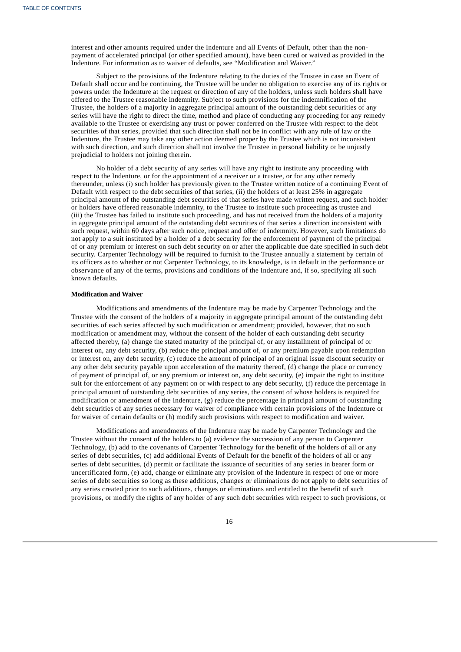interest and other amounts required under the Indenture and all Events of Default, other than the nonpayment of accelerated principal (or other specified amount), have been cured or waived as provided in the Indenture. For information as to waiver of defaults, see "Modification and Waiver."

Subject to the provisions of the Indenture relating to the duties of the Trustee in case an Event of Default shall occur and be continuing, the Trustee will be under no obligation to exercise any of its rights or powers under the Indenture at the request or direction of any of the holders, unless such holders shall have offered to the Trustee reasonable indemnity. Subject to such provisions for the indemnification of the Trustee, the holders of a majority in aggregate principal amount of the outstanding debt securities of any series will have the right to direct the time, method and place of conducting any proceeding for any remedy available to the Trustee or exercising any trust or power conferred on the Trustee with respect to the debt securities of that series, provided that such direction shall not be in conflict with any rule of law or the Indenture, the Trustee may take any other action deemed proper by the Trustee which is not inconsistent with such direction, and such direction shall not involve the Trustee in personal liability or be unjustly prejudicial to holders not joining therein.

No holder of a debt security of any series will have any right to institute any proceeding with respect to the Indenture, or for the appointment of a receiver or a trustee, or for any other remedy thereunder, unless (i) such holder has previously given to the Trustee written notice of a continuing Event of Default with respect to the debt securities of that series, (ii) the holders of at least 25% in aggregate principal amount of the outstanding debt securities of that series have made written request, and such holder or holders have offered reasonable indemnity, to the Trustee to institute such proceeding as trustee and (iii) the Trustee has failed to institute such proceeding, and has not received from the holders of a majority in aggregate principal amount of the outstanding debt securities of that series a direction inconsistent with such request, within 60 days after such notice, request and offer of indemnity. However, such limitations do not apply to a suit instituted by a holder of a debt security for the enforcement of payment of the principal of or any premium or interest on such debt security on or after the applicable due date specified in such debt security. Carpenter Technology will be required to furnish to the Trustee annually a statement by certain of its officers as to whether or not Carpenter Technology, to its knowledge, is in default in the performance or observance of any of the terms, provisions and conditions of the Indenture and, if so, specifying all such known defaults.

#### **Modification and Waiver**

Modifications and amendments of the Indenture may be made by Carpenter Technology and the Trustee with the consent of the holders of a majority in aggregate principal amount of the outstanding debt securities of each series affected by such modification or amendment; provided, however, that no such modification or amendment may, without the consent of the holder of each outstanding debt security affected thereby, (a) change the stated maturity of the principal of, or any installment of principal of or interest on, any debt security, (b) reduce the principal amount of, or any premium payable upon redemption or interest on, any debt security, (c) reduce the amount of principal of an original issue discount security or any other debt security payable upon acceleration of the maturity thereof, (d) change the place or currency of payment of principal of, or any premium or interest on, any debt security, (e) impair the right to institute suit for the enforcement of any payment on or with respect to any debt security, (f) reduce the percentage in principal amount of outstanding debt securities of any series, the consent of whose holders is required for modification or amendment of the Indenture, (g) reduce the percentage in principal amount of outstanding debt securities of any series necessary for waiver of compliance with certain provisions of the Indenture or for waiver of certain defaults or (h) modify such provisions with respect to modification and waiver.

Modifications and amendments of the Indenture may be made by Carpenter Technology and the Trustee without the consent of the holders to (a) evidence the succession of any person to Carpenter Technology, (b) add to the covenants of Carpenter Technology for the benefit of the holders of all or any series of debt securities, (c) add additional Events of Default for the benefit of the holders of all or any series of debt securities, (d) permit or facilitate the issuance of securities of any series in bearer form or uncertificated form, (e) add, change or eliminate any provision of the Indenture in respect of one or more series of debt securities so long as these additions, changes or eliminations do not apply to debt securities of any series created prior to such additions, changes or eliminations and entitled to the benefit of such provisions, or modify the rights of any holder of any such debt securities with respect to such provisions, or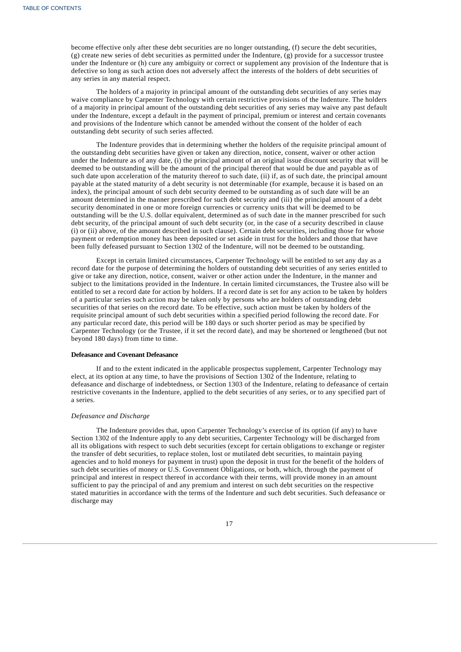become effective only after these debt securities are no longer outstanding, (f) secure the debt securities, (g) create new series of debt securities as permitted under the Indenture, (g) provide for a successor trustee under the Indenture or (h) cure any ambiguity or correct or supplement any provision of the Indenture that is defective so long as such action does not adversely affect the interests of the holders of debt securities of any series in any material respect.

The holders of a majority in principal amount of the outstanding debt securities of any series may waive compliance by Carpenter Technology with certain restrictive provisions of the Indenture. The holders of a majority in principal amount of the outstanding debt securities of any series may waive any past default under the Indenture, except a default in the payment of principal, premium or interest and certain covenants and provisions of the Indenture which cannot be amended without the consent of the holder of each outstanding debt security of such series affected.

The Indenture provides that in determining whether the holders of the requisite principal amount of the outstanding debt securities have given or taken any direction, notice, consent, waiver or other action under the Indenture as of any date, (i) the principal amount of an original issue discount security that will be deemed to be outstanding will be the amount of the principal thereof that would be due and payable as of such date upon acceleration of the maturity thereof to such date, (ii) if, as of such date, the principal amount payable at the stated maturity of a debt security is not determinable (for example, because it is based on an index), the principal amount of such debt security deemed to be outstanding as of such date will be an amount determined in the manner prescribed for such debt security and (iii) the principal amount of a debt security denominated in one or more foreign currencies or currency units that will be deemed to be outstanding will be the U.S. dollar equivalent, determined as of such date in the manner prescribed for such debt security, of the principal amount of such debt security (or, in the case of a security described in clause (i) or (ii) above, of the amount described in such clause). Certain debt securities, including those for whose payment or redemption money has been deposited or set aside in trust for the holders and those that have been fully defeased pursuant to Section 1302 of the Indenture, will not be deemed to be outstanding.

Except in certain limited circumstances, Carpenter Technology will be entitled to set any day as a record date for the purpose of determining the holders of outstanding debt securities of any series entitled to give or take any direction, notice, consent, waiver or other action under the Indenture, in the manner and subject to the limitations provided in the Indenture. In certain limited circumstances, the Trustee also will be entitled to set a record date for action by holders. If a record date is set for any action to be taken by holders of a particular series such action may be taken only by persons who are holders of outstanding debt securities of that series on the record date. To be effective, such action must be taken by holders of the requisite principal amount of such debt securities within a specified period following the record date. For any particular record date, this period will be 180 days or such shorter period as may be specified by Carpenter Technology (or the Trustee, if it set the record date), and may be shortened or lengthened (but not beyond 180 days) from time to time.

## **Defeasance and Covenant Defeasance**

If and to the extent indicated in the applicable prospectus supplement, Carpenter Technology may elect, at its option at any time, to have the provisions of Section 1302 of the Indenture, relating to defeasance and discharge of indebtedness, or Section 1303 of the Indenture, relating to defeasance of certain restrictive covenants in the Indenture, applied to the debt securities of any series, or to any specified part of a series.

#### *Defeasance and Discharge*

The Indenture provides that, upon Carpenter Technology's exercise of its option (if any) to have Section 1302 of the Indenture apply to any debt securities, Carpenter Technology will be discharged from all its obligations with respect to such debt securities (except for certain obligations to exchange or register the transfer of debt securities, to replace stolen, lost or mutilated debt securities, to maintain paying agencies and to hold moneys for payment in trust) upon the deposit in trust for the benefit of the holders of such debt securities of money or U.S. Government Obligations, or both, which, through the payment of principal and interest in respect thereof in accordance with their terms, will provide money in an amount sufficient to pay the principal of and any premium and interest on such debt securities on the respective stated maturities in accordance with the terms of the Indenture and such debt securities. Such defeasance or discharge may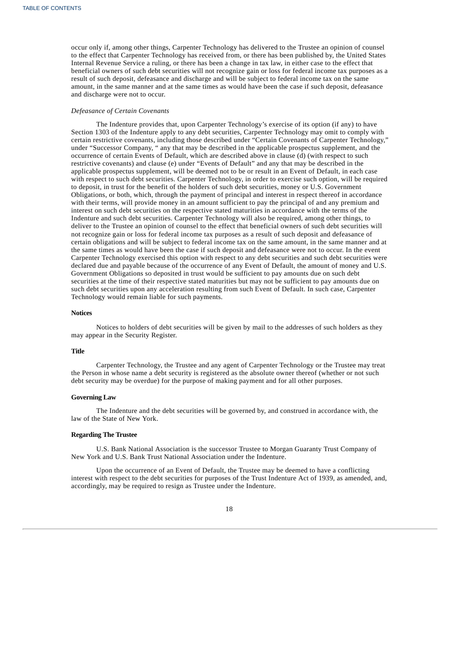occur only if, among other things, Carpenter Technology has delivered to the Trustee an opinion of counsel to the effect that Carpenter Technology has received from, or there has been published by, the United States Internal Revenue Service a ruling, or there has been a change in tax law, in either case to the effect that beneficial owners of such debt securities will not recognize gain or loss for federal income tax purposes as a result of such deposit, defeasance and discharge and will be subject to federal income tax on the same amount, in the same manner and at the same times as would have been the case if such deposit, defeasance and discharge were not to occur.

#### *Defeasance of Certain Covenants*

The Indenture provides that, upon Carpenter Technology's exercise of its option (if any) to have Section 1303 of the Indenture apply to any debt securities, Carpenter Technology may omit to comply with certain restrictive covenants, including those described under "Certain Covenants of Carpenter Technology," under "Successor Company, " any that may be described in the applicable prospectus supplement, and the occurrence of certain Events of Default, which are described above in clause (d) (with respect to such restrictive covenants) and clause (e) under "Events of Default" and any that may be described in the applicable prospectus supplement, will be deemed not to be or result in an Event of Default, in each case with respect to such debt securities. Carpenter Technology, in order to exercise such option, will be required to deposit, in trust for the benefit of the holders of such debt securities, money or U.S. Government Obligations, or both, which, through the payment of principal and interest in respect thereof in accordance with their terms, will provide money in an amount sufficient to pay the principal of and any premium and interest on such debt securities on the respective stated maturities in accordance with the terms of the Indenture and such debt securities. Carpenter Technology will also be required, among other things, to deliver to the Trustee an opinion of counsel to the effect that beneficial owners of such debt securities will not recognize gain or loss for federal income tax purposes as a result of such deposit and defeasance of certain obligations and will be subject to federal income tax on the same amount, in the same manner and at the same times as would have been the case if such deposit and defeasance were not to occur. In the event Carpenter Technology exercised this option with respect to any debt securities and such debt securities were declared due and payable because of the occurrence of any Event of Default, the amount of money and U.S. Government Obligations so deposited in trust would be sufficient to pay amounts due on such debt securities at the time of their respective stated maturities but may not be sufficient to pay amounts due on such debt securities upon any acceleration resulting from such Event of Default. In such case, Carpenter Technology would remain liable for such payments.

#### **Notices**

Notices to holders of debt securities will be given by mail to the addresses of such holders as they may appear in the Security Register.

## **Title**

Carpenter Technology, the Trustee and any agent of Carpenter Technology or the Trustee may treat the Person in whose name a debt security is registered as the absolute owner thereof (whether or not such debt security may be overdue) for the purpose of making payment and for all other purposes.

#### **Governing Law**

The Indenture and the debt securities will be governed by, and construed in accordance with, the law of the State of New York.

## **Regarding The Trustee**

U.S. Bank National Association is the successor Trustee to Morgan Guaranty Trust Company of New York and U.S. Bank Trust National Association under the Indenture.

<span id="page-70-0"></span>Upon the occurrence of an Event of Default, the Trustee may be deemed to have a conflicting interest with respect to the debt securities for purposes of the Trust Indenture Act of 1939, as amended, and, accordingly, may be required to resign as Trustee under the Indenture.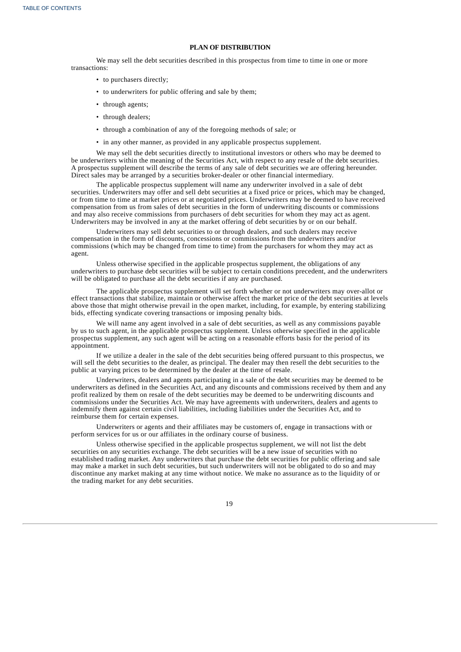#### **PLAN OF DISTRIBUTION**

We may sell the debt securities described in this prospectus from time to time in one or more transactions:

- to purchasers directly;
- to underwriters for public offering and sale by them;
- through agents;
- through dealers;
- through a combination of any of the foregoing methods of sale; or
- in any other manner, as provided in any applicable prospectus supplement.

We may sell the debt securities directly to institutional investors or others who may be deemed to be underwriters within the meaning of the Securities Act, with respect to any resale of the debt securities. A prospectus supplement will describe the terms of any sale of debt securities we are offering hereunder. Direct sales may be arranged by a securities broker-dealer or other financial intermediary.

The applicable prospectus supplement will name any underwriter involved in a sale of debt securities. Underwriters may offer and sell debt securities at a fixed price or prices, which may be changed, or from time to time at market prices or at negotiated prices. Underwriters may be deemed to have received compensation from us from sales of debt securities in the form of underwriting discounts or commissions and may also receive commissions from purchasers of debt securities for whom they may act as agent. Underwriters may be involved in any at the market offering of debt securities by or on our behalf.

Underwriters may sell debt securities to or through dealers, and such dealers may receive compensation in the form of discounts, concessions or commissions from the underwriters and/or commissions (which may be changed from time to time) from the purchasers for whom they may act as agent.

Unless otherwise specified in the applicable prospectus supplement, the obligations of any underwriters to purchase debt securities will be subject to certain conditions precedent, and the underwriters will be obligated to purchase all the debt securities if any are purchased.

The applicable prospectus supplement will set forth whether or not underwriters may over-allot or effect transactions that stabilize, maintain or otherwise affect the market price of the debt securities at levels above those that might otherwise prevail in the open market, including, for example, by entering stabilizing bids, effecting syndicate covering transactions or imposing penalty bids.

We will name any agent involved in a sale of debt securities, as well as any commissions payable by us to such agent, in the applicable prospectus supplement. Unless otherwise specified in the applicable prospectus supplement, any such agent will be acting on a reasonable efforts basis for the period of its appointment.

If we utilize a dealer in the sale of the debt securities being offered pursuant to this prospectus, we will sell the debt securities to the dealer, as principal. The dealer may then resell the debt securities to the public at varying prices to be determined by the dealer at the time of resale.

Underwriters, dealers and agents participating in a sale of the debt securities may be deemed to be underwriters as defined in the Securities Act, and any discounts and commissions received by them and any profit realized by them on resale of the debt securities may be deemed to be underwriting discounts and commissions under the Securities Act. We may have agreements with underwriters, dealers and agents to indemnify them against certain civil liabilities, including liabilities under the Securities Act, and to reimburse them for certain expenses.

Underwriters or agents and their affiliates may be customers of, engage in transactions with or perform services for us or our affiliates in the ordinary course of business.

<span id="page-71-0"></span>Unless otherwise specified in the applicable prospectus supplement, we will not list the debt securities on any securities exchange. The debt securities will be a new issue of securities with no established trading market. Any underwriters that purchase the debt securities for public offering and sale may make a market in such debt securities, but such underwriters will not be obligated to do so and may discontinue any market making at any time without notice. We make no assurance as to the liquidity of or the trading market for any debt securities.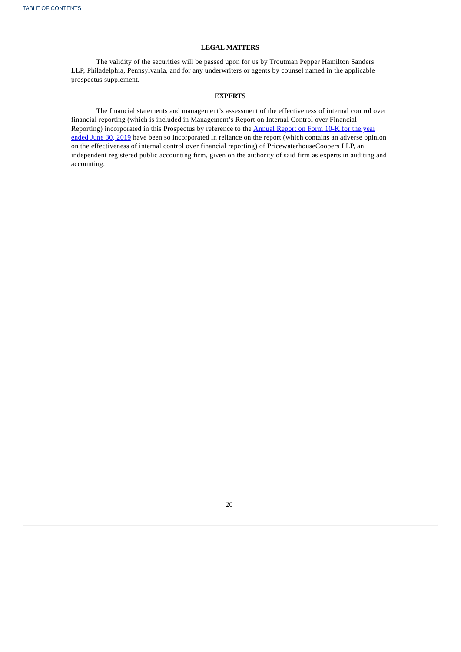### **LEGAL MATTERS**

The validity of the securities will be passed upon for us by Troutman Pepper Hamilton Sanders LLP, Philadelphia, Pennsylvania, and for any underwriters or agents by counsel named in the applicable prospectus supplement.

### **EXPERTS**

The financial statements and management's assessment of the effectiveness of internal control over financial reporting (which is included in Management's Report on Internal Control over Financial Reporting) [incorporated](http://www.sec.gov/Archives/edgar/data/17843/000001784319000058/crs630201910k.htm) in this Prospectus by reference to the Annual Report on Form 10-K for the year ended June 30, 2019 have been so incorporated in reliance on the report (which contains an adverse opinion on the effectiveness of internal control over financial reporting) of PricewaterhouseCoopers LLP, an independent registered public accounting firm, given on the authority of said firm as experts in auditing and accounting.

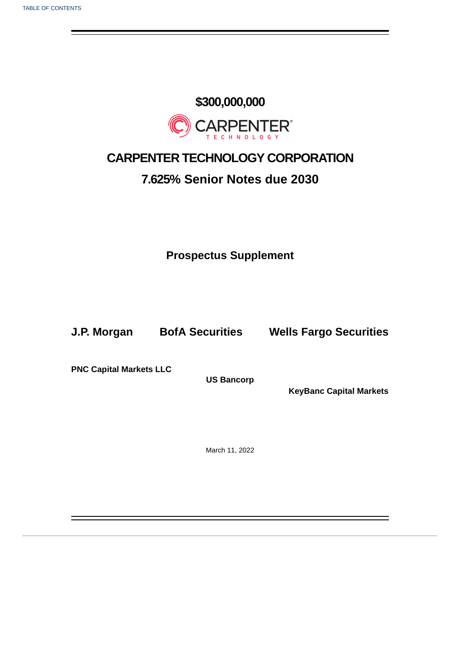# **\$300,000,000 CARPENTER®**

## **CARPENTER TECHNOLOGY CORPORATION**

### **7.625% Senior Notes due 2030**

**Prospectus Supplement**

**J.P. Morgan BofA Securities Wells Fargo Securities**

**PNC Capital Markets LLC**

**US Bancorp**

**KeyBanc Capital Markets**

March 11, 2022